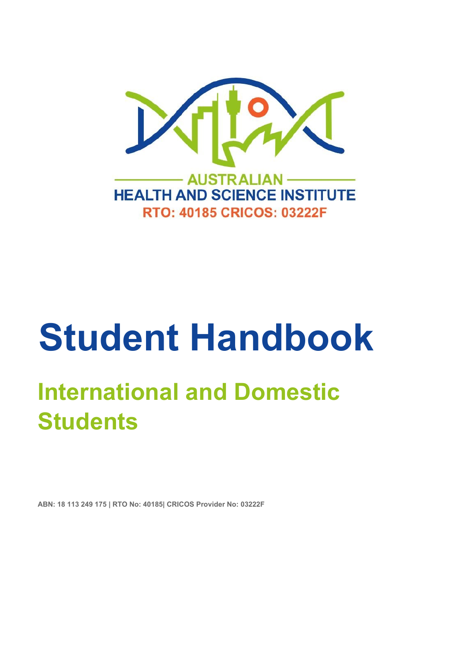

# **Student Handbook**

## **International and Domestic Students**

**ABN: 18 113 249 175 | RTO No: 40185| CRICOS Provider No: 03222F**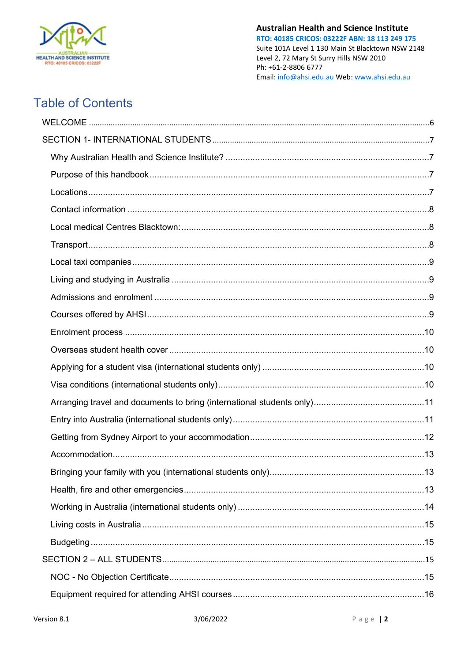

### **Table of Contents**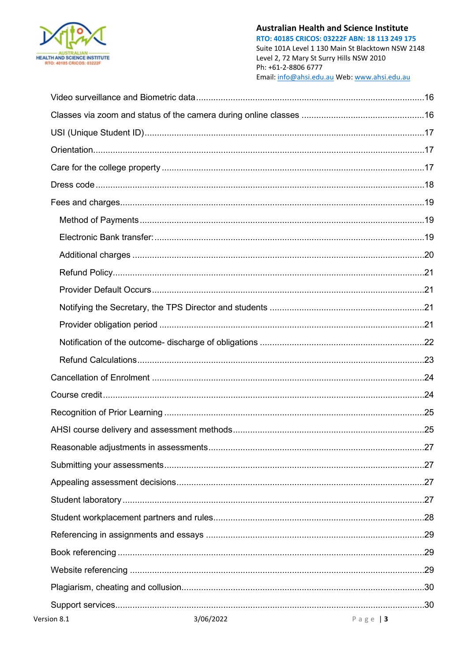

RTO: 40185 CRICOS: 03222F ABN: 18 113 249 175 Suite 101A Level 1 130 Main St Blacktown NSW 2148 Level 2, 72 Mary St Surry Hills NSW 2010 Ph: +61-2-8806 6777 Email: info@ahsi.edu.au Web: www.ahsi.edu.au

| 3/06/2022<br>Version 8.1<br>Page $ 3 $ |  |
|----------------------------------------|--|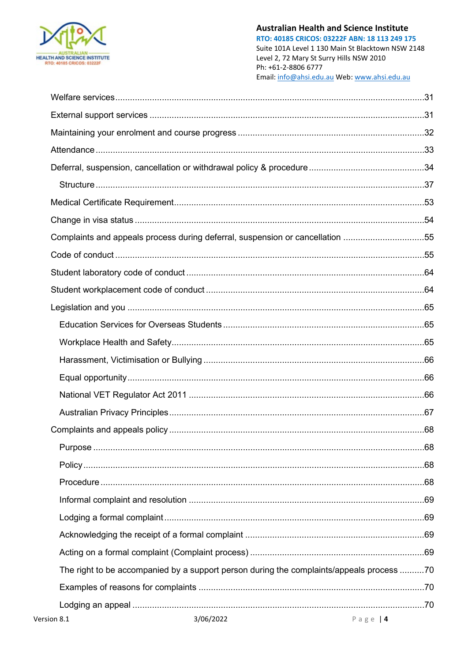

RTO: 40185 CRICOS: 03222F ABN: 18 113 249 175 Suite 101A Level 1 130 Main St Blacktown NSW 2148 Level 2, 72 Mary St Surry Hills NSW 2010 Ph: +61-2-8806 6777 Email: info@ahsi.edu.au Web: www.ahsi.edu.au

| Complaints and appeals process during deferral, suspension or cancellation 55            |        |
|------------------------------------------------------------------------------------------|--------|
|                                                                                          |        |
|                                                                                          |        |
|                                                                                          |        |
|                                                                                          |        |
|                                                                                          |        |
|                                                                                          |        |
|                                                                                          |        |
|                                                                                          |        |
|                                                                                          |        |
|                                                                                          |        |
|                                                                                          |        |
|                                                                                          |        |
|                                                                                          |        |
|                                                                                          |        |
|                                                                                          |        |
|                                                                                          |        |
|                                                                                          |        |
|                                                                                          |        |
| The right to be accompanied by a support person during the complaints/appeals process 70 |        |
|                                                                                          |        |
|                                                                                          |        |
| $2/\Omega$<br>$\mathsf{inn} \mathsf{0} \mathsf{1}$                                       | $\Box$ |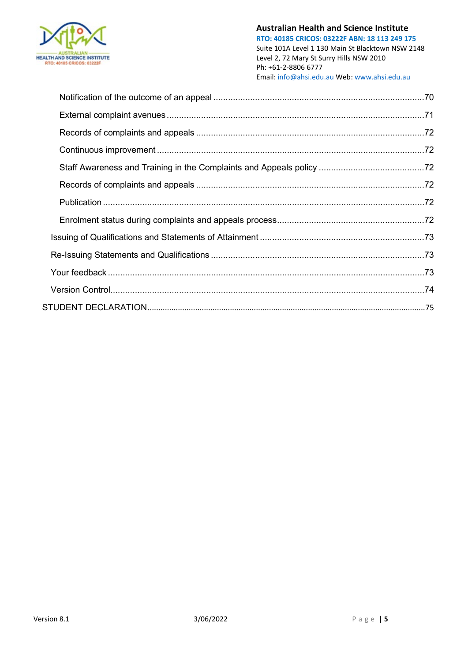

**RTO: 40185 CRICOS: 03222F ABN: 18 113 249 175** Suite 101A Level 1 130 Main St Blacktown NSW 2148 Level 2, 72 Mary St Surry Hills NSW 2010 Ph: +61-2-8806 6777 Email[: info@ahsi.edu.au](mailto:info@ahsi.edu.au) Web[: www.ahsi.edu.au](http://www.ahsi.edu.au/)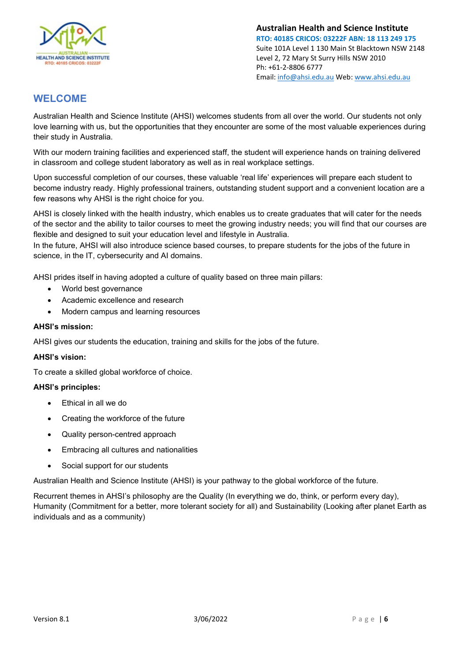

#### <span id="page-5-0"></span>**WELCOME**

Australian Health and Science Institute (AHSI) welcomes students from all over the world. Our students not only love learning with us, but the opportunities that they encounter are some of the most valuable experiences during their study in Australia.

With our modern training facilities and experienced staff, the student will experience hands on training delivered in classroom and college student laboratory as well as in real workplace settings.

Upon successful completion of our courses, these valuable 'real life' experiences will prepare each student to become industry ready. Highly professional trainers, outstanding student support and a convenient location are a few reasons why AHSI is the right choice for you.

AHSI is closely linked with the health industry, which enables us to create graduates that will cater for the needs of the sector and the ability to tailor courses to meet the growing industry needs; you will find that our courses are flexible and designed to suit your education level and lifestyle in Australia.

In the future, AHSI will also introduce science based courses, to prepare students for the jobs of the future in science, in the IT, cybersecurity and AI domains.

AHSI prides itself in having adopted a culture of quality based on three main pillars:

- World best governance
- Academic excellence and research
- Modern campus and learning resources

#### **AHSI's mission:**

AHSI gives our students the education, training and skills for the jobs of the future.

#### **AHSI's vision:**

To create a skilled global workforce of choice.

#### **AHSI's principles:**

- Ethical in all we do
- Creating the workforce of the future
- Quality person-centred approach
- Embracing all cultures and nationalities
- Social support for our students

Australian Health and Science Institute (AHSI) is your pathway to the global workforce of the future.

Recurrent themes in AHSI's philosophy are the Quality (In everything we do, think, or perform every day), Humanity (Commitment for a better, more tolerant society for all) and Sustainability (Looking after planet Earth as individuals and as a community)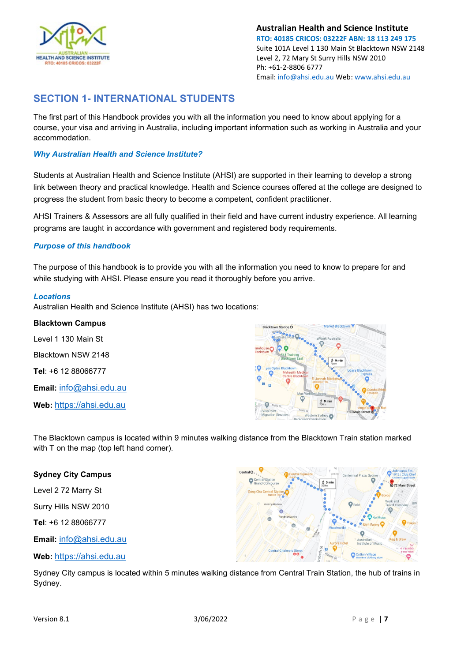

#### <span id="page-6-0"></span>**SECTION 1- INTERNATIONAL STUDENTS**

The first part of this Handbook provides you with all the information you need to know about applying for a course, your visa and arriving in Australia, including important information such as working in Australia and your accommodation.

#### <span id="page-6-1"></span>*Why Australian Health and Science Institute?*

Students at Australian Health and Science Institute (AHSI) are supported in their learning to develop a strong link between theory and practical knowledge. Health and Science courses offered at the college are designed to progress the student from basic theory to become a competent, confident practitioner.

AHSI Trainers & Assessors are all fully qualified in their field and have current industry experience. All learning programs are taught in accordance with government and registered body requirements.

#### <span id="page-6-2"></span>*Purpose of this handbook*

The purpose of this handbook is to provide you with all the information you need to know to prepare for and while studying with AHSI. Please ensure you read it thoroughly before you arrive.

#### <span id="page-6-3"></span>*Locations*

Australian Health and Science Institute (AHSI) has two locations:

#### **Blacktown Campus**

Level 1 130 Main St Blacktown NSW 2148 **Tel**: +6 12 88066777 **Email:** [info@ahsi.edu.au](mailto:info@ahsi.edu.au)

**Web:** [https://ahsi.edu.au](https://ahsi.edu.au/)



The Blacktown campus is located within 9 minutes walking distance from the Blacktown Train station marked with T on the map (top left hand corner).

#### **Sydney City Campus**

Level 2 72 Marry St

Surry Hills NSW 2010

**Tel**: +6 12 88066777

**Email:** [info@ahsi.edu.au](mailto:info@ahsi.edu.au)

**Web:** [https://ahsi.edu.au](https://ahsi.edu.au/)

G

Sydney City campus is located within 5 minutes walking distance from Central Train Station, the hub of trains in Sydney.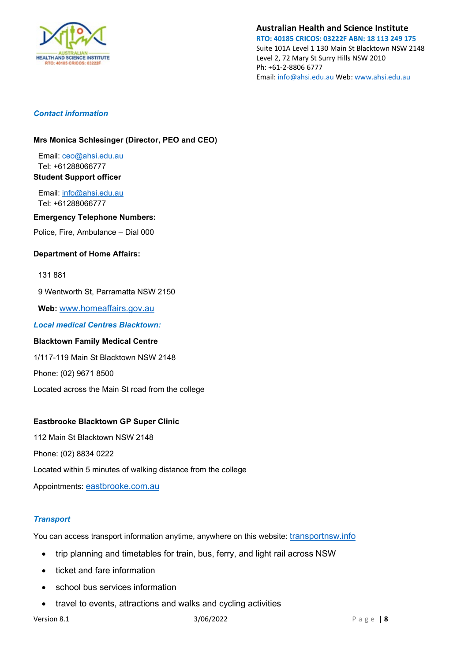

**RTO: 40185 CRICOS: 03222F ABN: 18 113 249 175** Suite 101A Level 1 130 Main St Blacktown NSW 2148 Level 2, 72 Mary St Surry Hills NSW 2010 Ph: +61-2-8806 6777 Email[: info@ahsi.edu.au](mailto:info@ahsi.edu.au) Web[: www.ahsi.edu.au](http://www.ahsi.edu.au/)

#### <span id="page-7-0"></span>*Contact information*

#### **Mrs Monica Schlesinger (Director, PEO and CEO)**

Email: ceo@ahsi.edu.au Tel: +61288066777 **Student Support officer** 

Email: [info@ahsi.edu.au](mailto:info@ahsi.edu.au) Tel: +61288066777

#### **Emergency Telephone Numbers:**

Police, Fire, Ambulance – Dial 000

#### **Department of Home Affairs:**

#### 131 881

9 Wentworth St, Parramatta NSW 2150

**Web:** [www.homeaffairs.gov.au](http://www.homeaffairs.gov.au/)

<span id="page-7-1"></span>*Local medical Centres Blacktown:*

#### **Blacktown Family Medical Centre**

1/117-119 Main St Blacktown NSW 2148

Phone: (02) 9671 8500

Located across the Main St road from the college

#### **Eastbrooke Blacktown GP Super Clinic**

112 Main St Blacktown NSW 2148 Phone: (02) 8834 0222 Located within 5 minutes of walking distance from the college Appointments: [eastbrooke.com.au](http://www.eastbrooke.com.au/)

#### <span id="page-7-2"></span>*Transport*

You can access transport information anytime, anywhere on this website: transportnsw.info

- trip planning and timetables for train, bus, ferry, and light rail across NSW
- ticket and fare information
- school bus services information
- travel to events, attractions and walks and cycling activities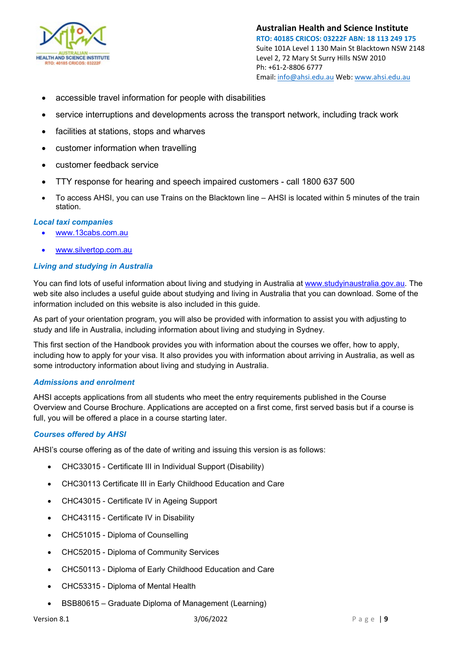

- accessible travel information for people with disabilities
- service interruptions and developments across the transport network, including track work
- facilities at stations, stops and wharves
- customer information when travelling
- customer feedback service
- TTY response for hearing and speech impaired customers call 1800 637 500
- To access AHSI, you can use Trains on the Blacktown line AHSI is located within 5 minutes of the train station.

#### <span id="page-8-0"></span>*Local taxi companies*

- [www.13cabs.com.au](http://www.13cabs.com.au/)
- [www.silvertop.com.au](http://www.silvertop.com.au/)

#### <span id="page-8-1"></span>*Living and studying in Australia*

You can find lots of useful information about living and studying in Australia at [www.studyinaustralia.gov.au.](http://www.studyinaustralia.gov.au/) The web site also includes a useful guide about studying and living in Australia that you can download. Some of the information included on this website is also included in this guide.

As part of your orientation program, you will also be provided with information to assist you with adjusting to study and life in Australia, including information about living and studying in Sydney.

This first section of the Handbook provides you with information about the courses we offer, how to apply, including how to apply for your visa. It also provides you with information about arriving in Australia, as well as some introductory information about living and studying in Australia.

#### <span id="page-8-2"></span>*Admissions and enrolment*

AHSI accepts applications from all students who meet the entry requirements published in the Course Overview and Course Brochure. Applications are accepted on a first come, first served basis but if a course is full, you will be offered a place in a course starting later.

#### <span id="page-8-3"></span>*Courses offered by AHSI*

AHSI's course offering as of the date of writing and issuing this version is as follows:

- CHC33015 Certificate III in Individual Support (Disability)
- CHC30113 Certificate III in Early Childhood Education and Care
- CHC43015 Certificate IV in Ageing Support
- CHC43115 Certificate IV in Disability
- CHC51015 Diploma of Counselling
- CHC52015 Diploma of Community Services
- CHC50113 Diploma of Early Childhood Education and Care
- CHC53315 Diploma of Mental Health
- BSB80615 Graduate Diploma of Management (Learning)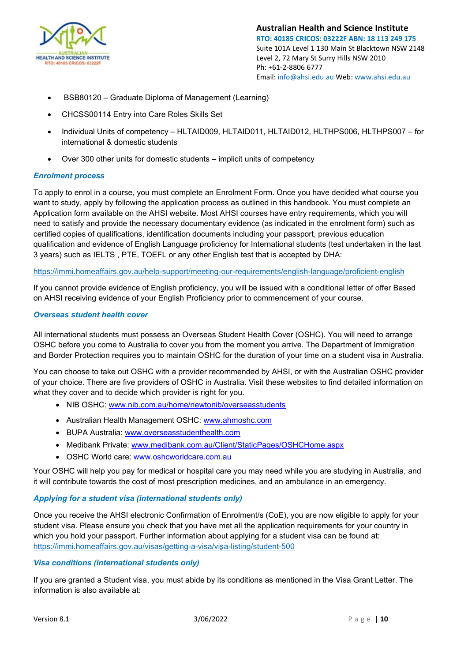

- BSB80120 Graduate Diploma of Management (Learning)
- CHCSS00114 Entry into Care Roles Skills Set
- Individual Units of competency HLTAID009, HLTAID011, HLTAID012, HLTHPS006, HLTHPS007 for international & domestic students
- Over 300 other units for domestic students implicit units of competency

#### <span id="page-9-0"></span>*Enrolment process*

To apply to enrol in a course, you must complete an Enrolment Form. Once you have decided what course you want to study, apply by following the application process as outlined in this handbook. You must complete an Application form available on the AHSI website. Most AHSI courses have entry requirements, which you will need to satisfy and provide the necessary documentary evidence (as indicated in the enrolment form) such as certified copies of qualifications, identification documents including your passport, previous education qualification and evidence of English Language proficiency for International students (test undertaken in the last 3 years) such as IELTS , PTE, TOEFL or any other English test that is accepted by DHA:

#### <https://immi.homeaffairs.gov.au/help-support/meeting-our-requirements/english-language/proficient-english>

If you cannot provide evidence of English proficiency, you will be issued with a conditional letter of offer Based on AHSI receiving evidence of your English Proficiency prior to commencement of your course.

#### <span id="page-9-1"></span>*Overseas student health cover*

All international students must possess an Overseas Student Health Cover (OSHC). You will need to arrange OSHC before you come to Australia to cover you from the moment you arrive. The Department of Immigration and Border Protection requires you to maintain OSHC for the duration of your time on a student visa in Australia.

You can choose to take out OSHC with a provider recommended by AHSI, or with the Australian OSHC provider of your choice. There are five providers of OSHC in Australia. Visit these websites to find detailed information on what they cover and to decide which provider is right for you.

- NIB OSHC: [www.nib.com.au/home/newtonib/overseasstudents](http://www.nib.com.au/home/newtonib/overseasstudents)
- Australian Health Management OSHC: [www.ahmoshc.com](http://www.ahmoshc.com/)
- BUPA Australia: [www.overseasstudenthealth.com](http://www.overseasstudenthealth.com/)
- Medibank Private: [www.medibank.com.au/Client/StaticPages/OSHCHome.aspx](http://www.medibank.com.au/Client/StaticPages/OSHCHome.aspx)
- OSHC World care: [www.oshcworldcare.com.au](http://www.oshcworldcare.com.au/)

Your OSHC will help you pay for medical or hospital care you may need while you are studying in Australia, and it will contribute towards the cost of most prescription medicines, and an ambulance in an emergency.

#### <span id="page-9-2"></span>*Applying for a student visa (international students only)*

Once you receive the AHSI electronic Confirmation of Enrolment/s (CoE), you are now eligible to apply for your student visa. Please ensure you check that you have met all the application requirements for your country in which you hold your passport. Further information about applying for a student visa can be found at: <https://immi.homeaffairs.gov.au/visas/getting-a-visa/visa-listing/student-500>

#### <span id="page-9-3"></span>*Visa conditions (international students only)*

If you are granted a Student visa, you must abide by its conditions as mentioned in the Visa Grant Letter. The information is also available at: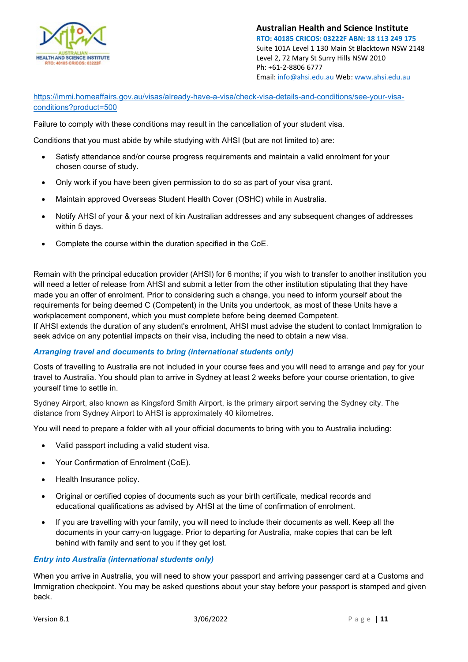

[https://immi.homeaffairs.gov.au/visas/already-have-a-visa/check-visa-details-and-conditions/see-your-visa](https://immi.homeaffairs.gov.au/visas/already-have-a-visa/check-visa-details-and-conditions/see-your-visa-conditions?product=500)[conditions?product=500](https://immi.homeaffairs.gov.au/visas/already-have-a-visa/check-visa-details-and-conditions/see-your-visa-conditions?product=500) 

Failure to comply with these conditions may result in the cancellation of your student visa.

Conditions that you must abide by while studying with AHSI (but are not limited to) are:

- Satisfy attendance and/or course progress requirements and maintain a valid enrolment for your chosen course of study.
- Only work if you have been given permission to do so as part of your visa grant.
- Maintain approved Overseas Student Health Cover (OSHC) while in Australia.
- Notify AHSI of your & your next of kin Australian addresses and any subsequent changes of addresses within 5 days.
- Complete the course within the duration specified in the CoE.

Remain with the principal education provider (AHSI) for 6 months; if you wish to transfer to another institution you will need a letter of release from AHSI and submit a letter from the other institution stipulating that they have made you an offer of enrolment. Prior to considering such a change, you need to inform yourself about the requirements for being deemed C (Competent) in the Units you undertook, as most of these Units have a workplacement component, which you must complete before being deemed Competent. If AHSI extends the duration of any student's enrolment, AHSI must advise the student to contact Immigration to

#### <span id="page-10-0"></span>*Arranging travel and documents to bring (international students only)*

seek advice on any potential impacts on their visa, including the need to obtain a new visa.

Costs of travelling to Australia are not included in your course fees and you will need to arrange and pay for your travel to Australia. You should plan to arrive in Sydney at least 2 weeks before your course orientation, to give yourself time to settle in.

Sydney Airport, also known as Kingsford Smith Airport, is the primary airport serving the Sydney city. The distance from Sydney Airport to AHSI is approximately 40 kilometres.

You will need to prepare a folder with all your official documents to bring with you to Australia including:

- Valid passport including a valid student visa.
- Your Confirmation of Enrolment (CoE).
- Health Insurance policy.
- Original or certified copies of documents such as your birth certificate, medical records and educational qualifications as advised by AHSI at the time of confirmation of enrolment.
- If you are travelling with your family, you will need to include their documents as well. Keep all the documents in your carry-on luggage. Prior to departing for Australia, make copies that can be left behind with family and sent to you if they get lost.

#### <span id="page-10-1"></span>*Entry into Australia (international students only)*

When you arrive in Australia, you will need to show your passport and arriving passenger card at a Customs and Immigration checkpoint. You may be asked questions about your stay before your passport is stamped and given back.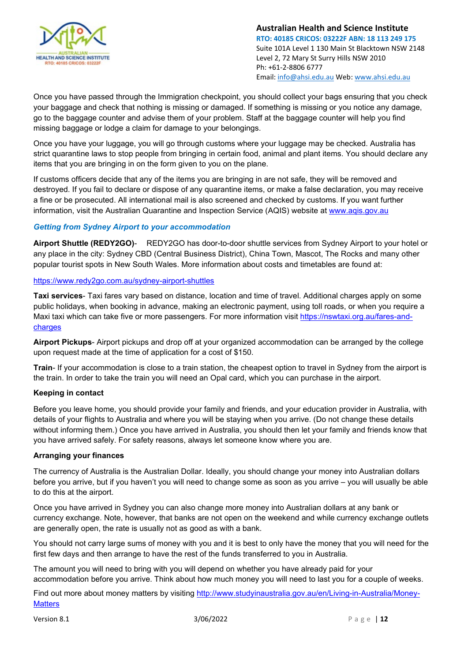

Once you have passed through the Immigration checkpoint, you should collect your bags ensuring that you check your baggage and check that nothing is missing or damaged. If something is missing or you notice any damage, go to the baggage counter and advise them of your problem. Staff at the baggage counter will help you find missing baggage or lodge a claim for damage to your belongings.

Once you have your luggage, you will go through customs where your luggage may be checked. Australia has strict quarantine laws to stop people from bringing in certain food, animal and plant items. You should declare any items that you are bringing in on the form given to you on the plane.

If customs officers decide that any of the items you are bringing in are not safe, they will be removed and destroyed. If you fail to declare or dispose of any quarantine items, or make a false declaration, you may receive a fine or be prosecuted. All international mail is also screened and checked by customs. If you want further information, visit the Australian Quarantine and Inspection Service (AQIS) website at [www.aqis.gov.au](http://www.aqis.gov.au/)

#### <span id="page-11-0"></span>*Getting from Sydney Airport to your accommodation*

**Airport Shuttle (REDY2GO)**- REDY2GO has door-to-door shuttle services from Sydney Airport to your hotel or any place in the city: Sydney CBD (Central Business District), China Town, [Mascot,](https://www.redy2go.com.au/mascot-shuttle-services) The Rocks and many other popular tourist spots in New South Wales. More information about costs and timetables are found at:

#### <https://www.redy2go.com.au/sydney-airport-shuttles>

**Taxi services**- Taxi fares vary based on distance, location and time of travel. Additional charges apply on some public holidays, when booking in advance, making an electronic payment, using toll roads, or when you require a Maxi taxi which can take five or more passengers. For more information visit https://nswtaxi.org.au/fares-andcharges

**Airport Pickups**- Airport pickups and drop off at your organized accommodation can be arranged by the college upon request made at the time of application for a cost of \$150.

**Train**- If your accommodation is close to a train station, the cheapest option to travel in Sydney from the airport is the train. In order to take the train you will need an Opal card, which you can purchase in the airport.

#### **Keeping in contact**

Before you leave home, you should provide your family and friends, and your education provider in Australia, with details of your flights to Australia and where you will be staying when you arrive. (Do not change these details without informing them.) Once you have arrived in Australia, you should then let your family and friends know that you have arrived safely. For safety reasons, always let someone know where you are.

#### **Arranging your finances**

The currency of Australia is the Australian Dollar. Ideally, you should change your money into Australian dollars before you arrive, but if you haven't you will need to change some as soon as you arrive – you will usually be able to do this at the airport.

Once you have arrived in Sydney you can also change more money into Australian dollars at any bank or currency exchange. Note, however, that banks are not open on the weekend and while currency exchange outlets are generally open, the rate is usually not as good as with a bank.

You should not carry large sums of money with you and it is best to only have the money that you will need for the first few days and then arrange to have the rest of the funds transferred to you in Australia.

The amount you will need to bring with you will depend on whether you have already paid for your accommodation before you arrive. Think about how much money you will need to last you for a couple of weeks.

Find out more about money matters by visiting [http://www.studyinaustralia.gov.au/en/Living-in-Australia/Money-](http://www.studyinaustralia.gov.au/en/Living-in-Australia/Money-Matters)**[Matters](http://www.studyinaustralia.gov.au/en/Living-in-Australia/Money-Matters)**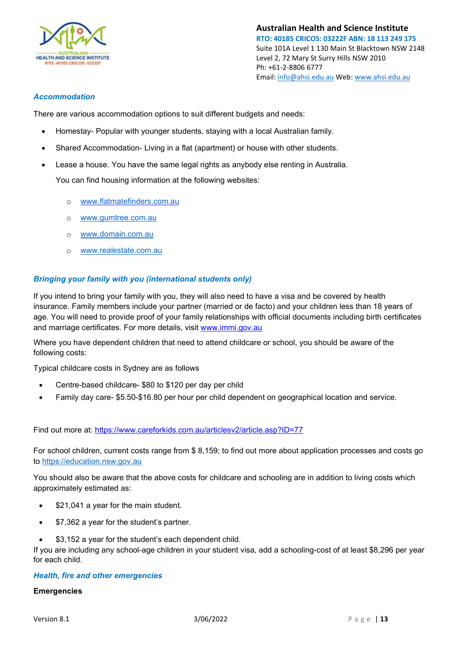

#### <span id="page-12-0"></span>*Accommodation*

There are various accommodation options to suit different budgets and needs:

- Homestay- Popular with younger students, staying with a local Australian family.
- Shared Accommodation- Living in a flat (apartment) or house with other students.
- Lease a house. You have the same legal rights as anybody else renting in Australia.

You can find housing information at the following websites:

- o [www.flatmatefinders.com.au](http://www.flatmatefinders.com.au/)
- o [www.gumtree.com.au](http://www.gumtree.com.au/)
- o [www.domain.com.au](http://www.domain.com.au/)
- o [www.realestate.com.au](http://www.realestate.com.au/)

#### <span id="page-12-1"></span>*Bringing your family with you (international students only)*

If you intend to bring your family with you, they will also need to have a visa and be covered by health insurance. Family members include your partner (married or de facto) and your children less than 18 years of age. You will need to provide proof of your family relationships with official documents including birth certificates and marriage certificates. For more details, visit [www.immi.gov.au](http://www.immi.gov.au/)

Where you have dependent children that need to attend childcare or school, you should be aware of the following costs:

Typical childcare costs in Sydney are as follows

- Centre-based childcare- \$80 to \$120 per day per child
- Family day care- \$5.50-\$16.80 per hour per child dependent on geographical location and service.

Find out more at:<https://www.careforkids.com.au/articlesv2/article.asp?ID=77>

For school children, current costs range from \$ 8,159; to find out more about application processes and costs go to [https://education.nsw.gov.au](https://education.nsw.gov.au/)

You should also be aware that the above costs for childcare and schooling are in addition to living costs which approximately estimated as:

- \$21,041 a year for the main student.
- \$7,362 a year for the student's partner.
- \$3,152 a year for the student's each dependent child.

If you are including any school-age children in your student visa, add a schooling-cost of at least \$8,296 per year for each child.

#### <span id="page-12-2"></span>*Health, fire and other emergencies*

#### **Emergencies**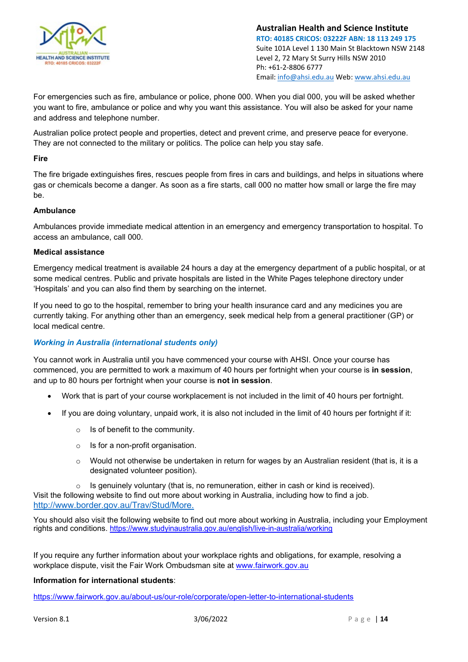

For emergencies such as fire, ambulance or police, phone 000. When you dial 000, you will be asked whether you want to fire, ambulance or police and why you want this assistance. You will also be asked for your name and address and telephone number.

Australian police protect people and properties, detect and prevent crime, and preserve peace for everyone. They are not connected to the military or politics. The police can help you stay safe.

#### **Fire**

The fire brigade extinguishes fires, rescues people from fires in cars and buildings, and helps in situations where gas or chemicals become a danger. As soon as a fire starts, call 000 no matter how small or large the fire may be.

#### **Ambulance**

Ambulances provide immediate medical attention in an emergency and emergency transportation to hospital. To access an ambulance, call 000.

#### **Medical assistance**

Emergency medical treatment is available 24 hours a day at the emergency department of a public hospital, or at some medical centres. Public and private hospitals are listed in the White Pages telephone directory under 'Hospitals' and you can also find them by searching on the internet.

If you need to go to the hospital, remember to bring your health insurance card and any medicines you are currently taking. For anything other than an emergency, seek medical help from a general practitioner (GP) or local medical centre.

#### <span id="page-13-0"></span>*Working in Australia (international students only)*

You cannot work in Australia until you have commenced your course with AHSI. Once your course has commenced, you are permitted to work a maximum of 40 hours per fortnight when your course is **in session**, and up to 80 hours per fortnight when your course is **not in session**.

- Work that is part of your course workplacement is not included in the limit of 40 hours per fortnight.
- If you are doing voluntary, unpaid work, it is also not included in the limit of 40 hours per fortnight if it:
	- $\circ$  Is of benefit to the community.
	- $\circ$  Is for a non-profit organisation.
	- $\circ$  Would not otherwise be undertaken in return for wages by an Australian resident (that is, it is a designated volunteer position).

o Is genuinely voluntary (that is, no remuneration, either in cash or kind is received). Visit the following website to find out more about working in Australia, including how to find a job. <http://www.border.gov.au/Trav/Stud/More.>

You should also visit the following website to find out more about working in Australia, including your Employment rights and conditions.<https://www.studyinaustralia.gov.au/english/live-in-australia/working>

If you require any further information about your workplace rights and obligations, for example, resolving a workplace dispute, visit the Fair Work Ombudsman site at [www.fairwork.gov.au](http://www.fairwork.gov.au/)

#### **Information for international students**:

<https://www.fairwork.gov.au/about-us/our-role/corporate/open-letter-to-international-students>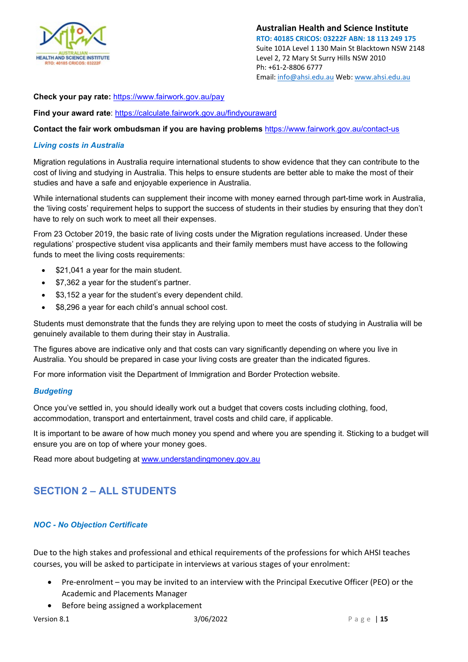

**Check your pay rate:** <https://www.fairwork.gov.au/pay>

**Find your award rate**:<https://calculate.fairwork.gov.au/findyouraward>

**Contact the fair work ombudsman if you are having problems** <https://www.fairwork.gov.au/contact-us>

#### <span id="page-14-0"></span>*Living costs in Australia*

Migration regulations in Australia require international students to show evidence that they can contribute to the cost of living and studying in Australia. This helps to ensure students are better able to make the most of their studies and have a safe and enjoyable experience in Australia.

While international students can supplement their income with money earned through part-time work in Australia, the 'living costs' requirement helps to support the success of students in their studies by ensuring that they don't have to rely on such work to meet all their expenses.

From 23 October 2019, the basic rate of living costs under the Migration regulations increased. Under these regulations' prospective student visa applicants and their family members must have access to the following funds to meet the living costs requirements:

- \$21,041 a year for the main student.
- \$7,362 a year for the student's partner.
- \$3,152 a year for the student's every dependent child.
- \$8,296 a year for each child's annual school cost.

Students must demonstrate that the funds they are relying upon to meet the costs of studying in Australia will be genuinely available to them during their stay in Australia.

The figures above are indicative only and that costs can vary significantly depending on where you live in Australia. You should be prepared in case your living costs are greater than the indicated figures.

For more information visit the Department of Immigration and Border Protection website.

#### <span id="page-14-1"></span>*Budgeting*

Once you've settled in, you should ideally work out a budget that covers costs including clothing, food, accommodation, transport and entertainment, travel costs and child care, if applicable.

It is important to be aware of how much money you spend and where you are spending it. Sticking to a budget will ensure you are on top of where your money goes.

Read more about budgeting at [www.understandingmoney.gov.au](http://www.understandingmoney.gov.au/)

#### <span id="page-14-2"></span>**SECTION 2 – ALL STUDENTS**

#### <span id="page-14-3"></span>*NOC - No Objection Certificate*

Due to the high stakes and professional and ethical requirements of the professions for which AHSI teaches courses, you will be asked to participate in interviews at various stages of your enrolment:

- Pre-enrolment you may be invited to an interview with the Principal Executive Officer (PEO) or the Academic and Placements Manager
- Before being assigned a workplacement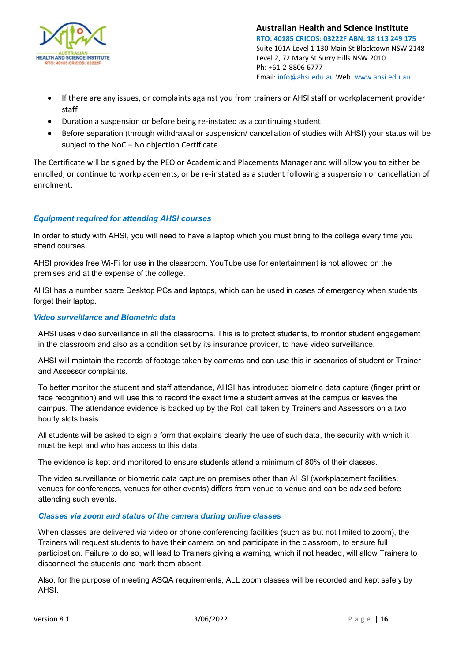

- If there are any issues, or complaints against you from trainers or AHSI staff or workplacement provider staff
- Duration a suspension or before being re-instated as a continuing student
- Before separation (through withdrawal or suspension/ cancellation of studies with AHSI) your status will be subject to the NoC – No objection Certificate.

The Certificate will be signed by the PEO or Academic and Placements Manager and will allow you to either be enrolled, or continue to workplacements, or be re-instated as a student following a suspension or cancellation of enrolment.

#### <span id="page-15-0"></span>*Equipment required for attending AHSI courses*

In order to study with AHSI, you will need to have a laptop which you must bring to the college every time you attend courses.

AHSI provides free Wi-Fi for use in the classroom. YouTube use for entertainment is not allowed on the premises and at the expense of the college.

AHSI has a number spare Desktop PCs and laptops, which can be used in cases of emergency when students forget their laptop.

#### <span id="page-15-1"></span>*Video surveillance and Biometric data*

AHSI uses video surveillance in all the classrooms. This is to protect students, to monitor student engagement in the classroom and also as a condition set by its insurance provider, to have video surveillance.

AHSI will maintain the records of footage taken by cameras and can use this in scenarios of student or Trainer and Assessor complaints.

To better monitor the student and staff attendance, AHSI has introduced biometric data capture (finger print or face recognition) and will use this to record the exact time a student arrives at the campus or leaves the campus. The attendance evidence is backed up by the Roll call taken by Trainers and Assessors on a two hourly slots basis.

All students will be asked to sign a form that explains clearly the use of such data, the security with which it must be kept and who has access to this data.

The evidence is kept and monitored to ensure students attend a minimum of 80% of their classes.

The video surveillance or biometric data capture on premises other than AHSI (workplacement facilities, venues for conferences, venues for other events) differs from venue to venue and can be advised before attending such events.

#### <span id="page-15-2"></span>*Classes via zoom and status of the camera during online classes*

When classes are delivered via video or phone conferencing facilities (such as but not limited to zoom), the Trainers will request students to have their camera on and participate in the classroom, to ensure full participation. Failure to do so, will lead to Trainers giving a warning, which if not headed, will allow Trainers to disconnect the students and mark them absent.

Also, for the purpose of meeting ASQA requirements, ALL zoom classes will be recorded and kept safely by AHSI.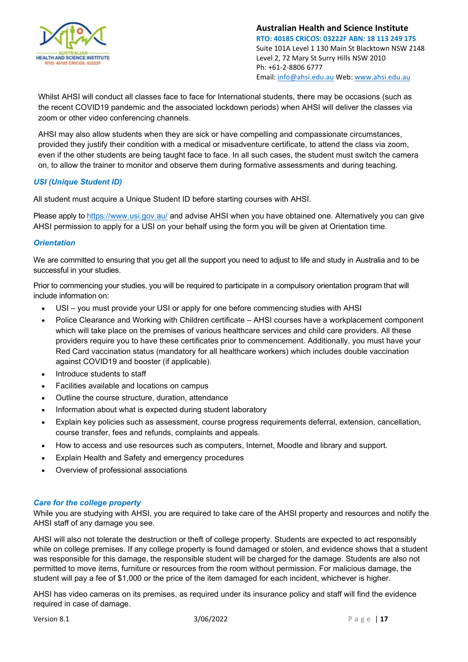

Whilst AHSI will conduct all classes face to face for International students, there may be occasions (such as the recent COVID19 pandemic and the associated lockdown periods) when AHSI will deliver the classes via zoom or other video conferencing channels.

AHSI may also allow students when they are sick or have compelling and compassionate circumstances, provided they justify their condition with a medical or misadventure certificate, to attend the class via zoom, even if the other students are being taught face to face. In all such cases, the student must switch the camera on, to allow the trainer to monitor and observe them during formative assessments and during teaching.

#### <span id="page-16-0"></span>*USI (Unique Student ID)*

All student must acquire a Unique Student ID before starting courses with AHSI.

Please apply t[o https://www.usi.gov.au/](https://www.usi.gov.au/) and advise AHSI when you have obtained one. Alternatively you can give AHSI permission to apply for a USI on your behalf using the form you will be given at Orientation time.

#### <span id="page-16-1"></span>*Orientation*

We are committed to ensuring that you get all the support you need to adjust to life and study in Australia and to be successful in your studies.

Prior to commencing your studies, you will be required to participate in a compulsory orientation program that will include information on:

- USI you must provide your USI or apply for one before commencing studies with AHSI
- Police Clearance and Working with Children certificate AHSI courses have a workplacement component which will take place on the premises of various healthcare services and child care providers. All these providers require you to have these certificates prior to commencement. Additionally, you must have your Red Card vaccination status (mandatory for all healthcare workers) which includes double vaccination against COVID19 and booster (if applicable).
- Introduce students to staff
- Facilities available and locations on campus
- Outline the course structure, duration, attendance
- Information about what is expected during student laboratory
- Explain key policies such as assessment, course progress requirements deferral, extension, cancellation, course transfer, fees and refunds, complaints and appeals.
- How to access and use resources such as computers, Internet, Moodle and library and support.
- Explain Health and Safety and emergency procedures
- Overview of professional associations

#### <span id="page-16-2"></span>*Care for the college property*

While you are studying with AHSI, you are required to take care of the AHSI property and resources and notify the AHSI staff of any damage you see.

AHSI will also not tolerate the destruction or theft of college property. Students are expected to act responsibly while on college premises. If any college property is found damaged or stolen, and evidence shows that a student was responsible for this damage, the responsible student will be charged for the damage. Students are also not permitted to move items, furniture or resources from the room without permission. For malicious damage, the student will pay a fee of \$1,000 or the price of the item damaged for each incident, whichever is higher.

AHSI has video cameras on its premises, as required under its insurance policy and staff will find the evidence required in case of damage.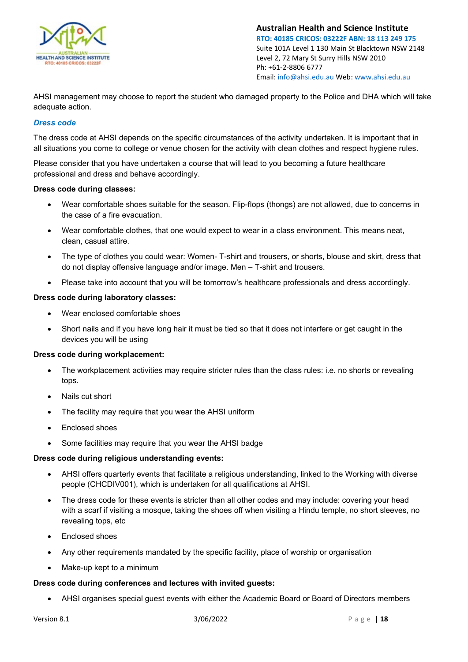

AHSI management may choose to report the student who damaged property to the Police and DHA which will take adequate action.

#### <span id="page-17-0"></span>*Dress code*

The dress code at AHSI depends on the specific circumstances of the activity undertaken. It is important that in all situations you come to college or venue chosen for the activity with clean clothes and respect hygiene rules.

Please consider that you have undertaken a course that will lead to you becoming a future healthcare professional and dress and behave accordingly.

#### **Dress code during classes:**

- Wear comfortable shoes suitable for the season. Flip-flops (thongs) are not allowed, due to concerns in the case of a fire evacuation.
- Wear comfortable clothes, that one would expect to wear in a class environment. This means neat, clean, casual attire.
- The type of clothes you could wear: Women- T-shirt and trousers, or shorts, blouse and skirt, dress that do not display offensive language and/or image. Men – T-shirt and trousers.
- Please take into account that you will be tomorrow's healthcare professionals and dress accordingly.

#### **Dress code during laboratory classes:**

- Wear enclosed comfortable shoes
- Short nails and if you have long hair it must be tied so that it does not interfere or get caught in the devices you will be using

#### **Dress code during workplacement:**

- The workplacement activities may require stricter rules than the class rules: i.e. no shorts or revealing tops.
- Nails cut short
- The facility may require that you wear the AHSI uniform
- Enclosed shoes
- Some facilities may require that you wear the AHSI badge

#### **Dress code during religious understanding events:**

- AHSI offers quarterly events that facilitate a religious understanding, linked to the Working with diverse people (CHCDIV001), which is undertaken for all qualifications at AHSI.
- The dress code for these events is stricter than all other codes and may include: covering your head with a scarf if visiting a mosque, taking the shoes off when visiting a Hindu temple, no short sleeves, no revealing tops, etc
- Enclosed shoes
- Any other requirements mandated by the specific facility, place of worship or organisation
- Make-up kept to a minimum

#### **Dress code during conferences and lectures with invited guests:**

• AHSI organises special guest events with either the Academic Board or Board of Directors members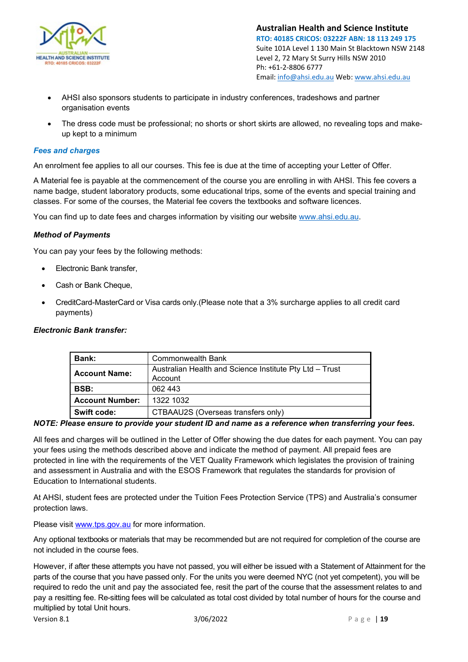

- AHSI also sponsors students to participate in industry conferences, tradeshows and partner organisation events
- The dress code must be professional; no shorts or short skirts are allowed, no revealing tops and makeup kept to a minimum

#### <span id="page-18-0"></span>*Fees and charges*

An enrolment fee applies to all our courses. This fee is due at the time of accepting your Letter of Offer.

A Material fee is payable at the commencement of the course you are enrolling in with AHSI. This fee covers a name badge, student laboratory products, some educational trips, some of the events and special training and classes. For some of the courses, the Material fee covers the textbooks and software licences.

You can find up to date fees and charges information by visiting our website [www.ahsi.edu.au.](http://www.ahsi.edu.au/)

#### <span id="page-18-1"></span>*Method of Payments*

You can pay your fees by the following methods:

- Electronic Bank transfer,
- Cash or Bank Cheque,
- CreditCard-MasterCard or Visa cards only.(Please note that a 3% surcharge applies to all credit card payments)

#### <span id="page-18-2"></span>*Electronic Bank transfer:*

| <b>Bank:</b>                        | Commonwealth Bank                                       |  |
|-------------------------------------|---------------------------------------------------------|--|
| <b>Account Name:</b>                | Australian Health and Science Institute Pty Ltd - Trust |  |
|                                     | Account                                                 |  |
| BSB:                                | 062 443                                                 |  |
| <b>Account Number:</b><br>1322 1032 |                                                         |  |
| <b>Swift code:</b>                  | CTBAAU2S (Overseas transfers only)                      |  |

*NOTE: Please ensure to provide your student ID and name as a reference when transferring your fees.*

All fees and charges will be outlined in the Letter of Offer showing the due dates for each payment. You can pay your fees using the methods described above and indicate the method of payment. All prepaid fees are protected in line with the requirements of the VET Quality Framework which legislates the provision of training and assessment in Australia and with the ESOS Framework that regulates the standards for provision of Education to International students.

At AHSI, student fees are protected under the Tuition Fees Protection Service (TPS) and Australia's consumer protection laws.

Please visit [www.tps.gov.au](http://www.tps.gov.au/) for more information.

Any optional textbooks or materials that may be recommended but are not required for completion of the course are not included in the course fees.

However, if after these attempts you have not passed, you will either be issued with a Statement of Attainment for the parts of the course that you have passed only. For the units you were deemed NYC (not yet competent), you will be required to redo the unit and pay the associated fee, resit the part of the course that the assessment relates to and pay a resitting fee. Re-sitting fees will be calculated as total cost divided by total number of hours for the course and multiplied by total Unit hours.

Version 8.1 3/06/2022 Page | **19**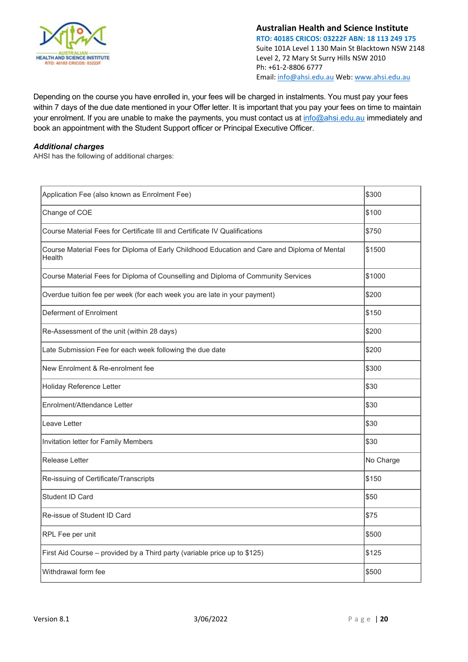

Depending on the course you have enrolled in, your fees will be charged in instalments. You must pay your fees within 7 days of the due date mentioned in your Offer letter. It is important that you pay your fees on time to maintain your enrolment. If you are unable to make the payments, you must contact us at [info@ahsi.edu.au](mailto:info@ahsi.edu.au) immediately and book an appointment with the Student Support officer or Principal Executive Officer.

#### <span id="page-19-0"></span>*Additional charges*

AHSI has the following of additional charges:

| Application Fee (also known as Enrolment Fee)                                                          | \$300     |
|--------------------------------------------------------------------------------------------------------|-----------|
| Change of COE                                                                                          | \$100     |
| Course Material Fees for Certificate III and Certificate IV Qualifications                             | \$750     |
| Course Material Fees for Diploma of Early Childhood Education and Care and Diploma of Mental<br>Health | \$1500    |
| Course Material Fees for Diploma of Counselling and Diploma of Community Services                      | \$1000    |
| Overdue tuition fee per week (for each week you are late in your payment)                              | \$200     |
| Deferment of Enrolment                                                                                 | \$150     |
| Re-Assessment of the unit (within 28 days)                                                             | \$200     |
| Late Submission Fee for each week following the due date                                               | \$200     |
| New Enrolment & Re-enrolment fee                                                                       | \$300     |
| Holiday Reference Letter                                                                               | \$30      |
| Enrolment/Attendance Letter                                                                            | \$30      |
| Leave Letter                                                                                           | \$30      |
| Invitation letter for Family Members                                                                   | \$30      |
| Release Letter                                                                                         | No Charge |
| Re-issuing of Certificate/Transcripts                                                                  | \$150     |
| <b>Student ID Card</b>                                                                                 | \$50      |
| Re-issue of Student ID Card                                                                            | \$75      |
| RPL Fee per unit                                                                                       | \$500     |
| First Aid Course - provided by a Third party (variable price up to \$125)                              | \$125     |
| Withdrawal form fee                                                                                    | \$500     |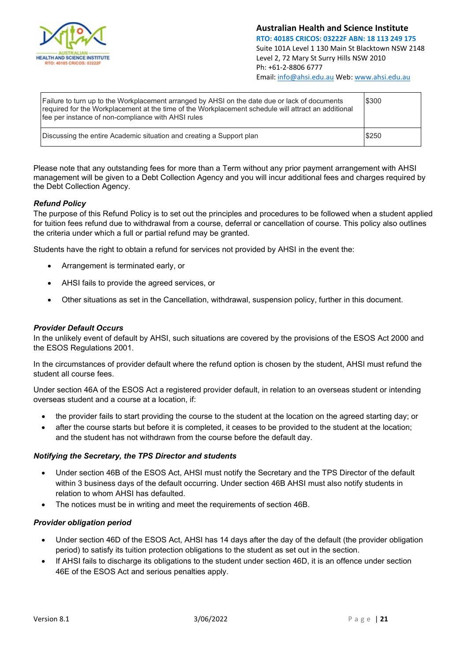

| Failure to turn up to the Workplacement arranged by AHSI on the date due or lack of documents<br>required for the Workplacement at the time of the Workplacement schedule will attract an additional<br>fee per instance of non-compliance with AHSI rules | \$300 |
|------------------------------------------------------------------------------------------------------------------------------------------------------------------------------------------------------------------------------------------------------------|-------|
| Discussing the entire Academic situation and creating a Support plan                                                                                                                                                                                       | \$250 |

Please note that any outstanding fees for more than a Term without any prior payment arrangement with AHSI management will be given to a Debt Collection Agency and you will incur additional fees and charges required by the Debt Collection Agency.

#### <span id="page-20-0"></span>*Refund Policy*

The purpose of this Refund Policy is to set out the principles and procedures to be followed when a student applied for tuition fees refund due to withdrawal from a course, deferral or cancellation of course. This policy also outlines the criteria under which a full or partial refund may be granted.

Students have the right to obtain a refund for services not provided by AHSI in the event the:

- Arrangement is terminated early, or
- AHSI fails to provide the agreed services, or
- Other situations as set in the Cancellation, withdrawal, suspension policy, further in this document.

#### <span id="page-20-1"></span>*Provider Default Occurs*

In the unlikely event of default by AHSI, such situations are covered by the provisions of the ESOS Act 2000 and the ESOS Regulations 2001.

In the circumstances of provider default where the refund option is chosen by the student, AHSI must refund the student all course fees.

Under section 46A of the ESOS Act a registered provider default, in relation to an overseas student or intending overseas student and a course at a location, if:

- the provider fails to start providing the course to the student at the location on the agreed starting day; or
- after the course starts but before it is completed, it ceases to be provided to the student at the location; and the student has not withdrawn from the course before the default day.

#### <span id="page-20-2"></span>*Notifying the Secretary, the TPS Director and students*

- Under section 46B of the ESOS Act, AHSI must notify the Secretary and the TPS Director of the default within 3 business days of the default occurring. Under section 46B AHSI must also notify students in relation to whom AHSI has defaulted.
- The notices must be in writing and meet the requirements of section 46B.

#### <span id="page-20-3"></span>*Provider obligation period*

- Under section 46D of the ESOS Act, AHSI has 14 days after the day of the default (the provider obligation period) to satisfy its tuition protection obligations to the student as set out in the section.
- If AHSI fails to discharge its obligations to the student under section 46D, it is an offence under section 46E of the ESOS Act and serious penalties apply.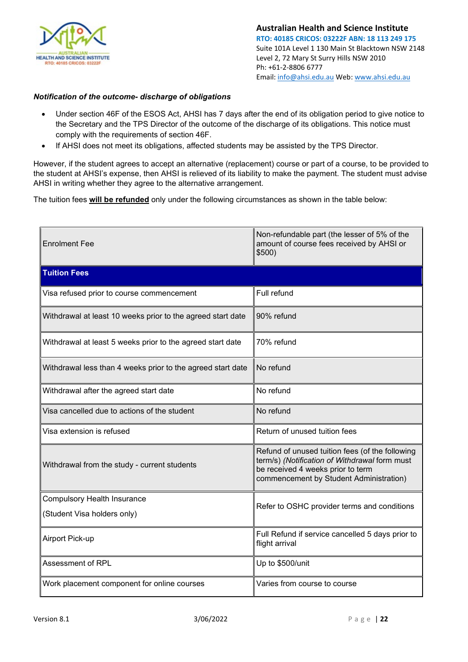

#### <span id="page-21-0"></span>*Notification of the outcome- discharge of obligations*

- Under section 46F of the ESOS Act, AHSI has 7 days after the end of its obligation period to give notice to the Secretary and the TPS Director of the outcome of the discharge of its obligations. This notice must comply with the requirements of section 46F.
- If AHSI does not meet its obligations, affected students may be assisted by the TPS Director.

However, if the student agrees to accept an alternative (replacement) course or part of a course, to be provided to the student at AHSI's expense, then AHSI is relieved of its liability to make the payment. The student must advise AHSI in writing whether they agree to the alternative arrangement.

The tuition fees **will be refunded** only under the following circumstances as shown in the table below:

| <b>Enrolment Fee</b>                                              | Non-refundable part (the lesser of 5% of the<br>amount of course fees received by AHSI or<br>\$500)                                                                              |  |
|-------------------------------------------------------------------|----------------------------------------------------------------------------------------------------------------------------------------------------------------------------------|--|
| <b>Tuition Fees</b>                                               |                                                                                                                                                                                  |  |
| Visa refused prior to course commencement                         | Full refund                                                                                                                                                                      |  |
| Withdrawal at least 10 weeks prior to the agreed start date       | 90% refund                                                                                                                                                                       |  |
| Withdrawal at least 5 weeks prior to the agreed start date        | 70% refund                                                                                                                                                                       |  |
| Withdrawal less than 4 weeks prior to the agreed start date       | No refund                                                                                                                                                                        |  |
| Withdrawal after the agreed start date                            | No refund                                                                                                                                                                        |  |
| Visa cancelled due to actions of the student                      | No refund                                                                                                                                                                        |  |
| Visa extension is refused                                         | Return of unused tuition fees                                                                                                                                                    |  |
| Withdrawal from the study - current students                      | Refund of unused tuition fees (of the following<br>term/s) (Notification of Withdrawal form must<br>be received 4 weeks prior to term<br>commencement by Student Administration) |  |
| <b>Compulsory Health Insurance</b><br>(Student Visa holders only) | Refer to OSHC provider terms and conditions                                                                                                                                      |  |
| Airport Pick-up                                                   | Full Refund if service cancelled 5 days prior to<br>flight arrival                                                                                                               |  |
| <b>Assessment of RPL</b>                                          | Up to \$500/unit                                                                                                                                                                 |  |
| Work placement component for online courses                       | Varies from course to course                                                                                                                                                     |  |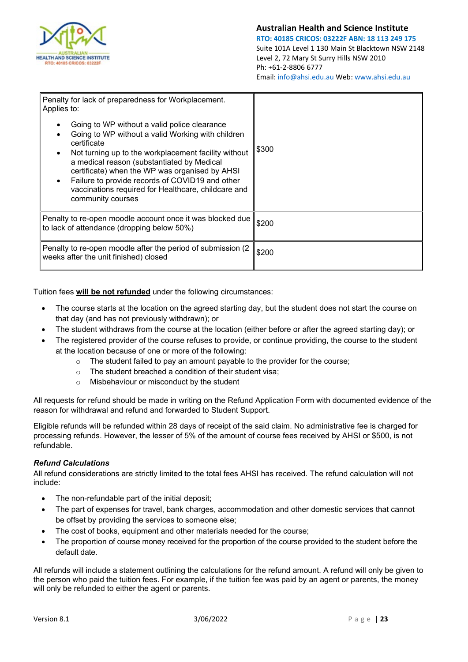

| Penalty for lack of preparedness for Workplacement.<br>Applies to:                                                                                                                                                                                                                                                                                                                                      |       |
|---------------------------------------------------------------------------------------------------------------------------------------------------------------------------------------------------------------------------------------------------------------------------------------------------------------------------------------------------------------------------------------------------------|-------|
| Going to WP without a valid police clearance<br>Going to WP without a valid Working with children<br>certificate<br>Not turning up to the workplacement facility without<br>a medical reason (substantiated by Medical<br>certificate) when the WP was organised by AHSI<br>Failure to provide records of COVID19 and other<br>vaccinations required for Healthcare, childcare and<br>community courses | \$300 |
| Penalty to re-open moodle account once it was blocked due<br>to lack of attendance (dropping below 50%)                                                                                                                                                                                                                                                                                                 | \$200 |
| Penalty to re-open moodle after the period of submission (2)<br>weeks after the unit finished) closed                                                                                                                                                                                                                                                                                                   | \$200 |

Tuition fees **will be not refunded** under the following circumstances:

- The course starts at the location on the agreed starting day, but the student does not start the course on that day (and has not previously withdrawn); or
- The student withdraws from the course at the location (either before or after the agreed starting day); or
- The registered provider of the course refuses to provide, or continue providing, the course to the student at the location because of one or more of the following:
	- $\circ$  The student failed to pay an amount payable to the provider for the course;
	- o The student breached a condition of their student visa;
	- o Misbehaviour or misconduct by the student

All requests for refund should be made in writing on the Refund Application Form with documented evidence of the reason for withdrawal and refund and forwarded to Student Support.

Eligible refunds will be refunded within 28 days of receipt of the said claim. No administrative fee is charged for processing refunds. However, the lesser of 5% of the amount of course fees received by AHSI or \$500, is not refundable.

#### <span id="page-22-0"></span>*Refund Calculations*

All refund considerations are strictly limited to the total fees AHSI has received. The refund calculation will not include:

- The non-refundable part of the initial deposit;
- The part of expenses for travel, bank charges, accommodation and other domestic services that cannot be offset by providing the services to someone else;
- The cost of books, equipment and other materials needed for the course;
- The proportion of course money received for the proportion of the course provided to the student before the default date.

All refunds will include a statement outlining the calculations for the refund amount. A refund will only be given to the person who paid the tuition fees. For example, if the tuition fee was paid by an agent or parents, the money will only be refunded to either the agent or parents.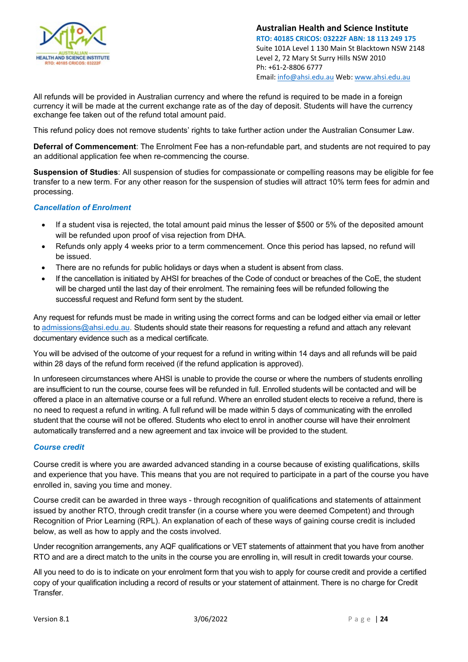

All refunds will be provided in Australian currency and where the refund is required to be made in a foreign currency it will be made at the current exchange rate as of the day of deposit. Students will have the currency exchange fee taken out of the refund total amount paid.

This refund policy does not remove students' rights to take further action under the Australian Consumer Law.

**Deferral of Commencement**: The Enrolment Fee has a non-refundable part, and students are not required to pay an additional application fee when re-commencing the course.

**Suspension of Studies**: All suspension of studies for compassionate or compelling reasons may be eligible for fee transfer to a new term. For any other reason for the suspension of studies will attract 10% term fees for admin and processing.

#### <span id="page-23-0"></span>*Cancellation of Enrolment*

- If a student visa is rejected, the total amount paid minus the lesser of \$500 or 5% of the deposited amount will be refunded upon proof of visa rejection from DHA.
- Refunds only apply 4 weeks prior to a term commencement. Once this period has lapsed, no refund will be issued.
- There are no refunds for public holidays or days when a student is absent from class.
- If the cancellation is initiated by AHSI for breaches of the Code of conduct or breaches of the CoE, the student will be charged until the last day of their enrolment. The remaining fees will be refunded following the successful request and Refund form sent by the student.

Any request for refunds must be made in writing using the correct forms and can be lodged either via email or letter to [admissions@ahsi.edu.au.](mailto:admissions@ahsi.edu.au) Students should state their reasons for requesting a refund and attach any relevant documentary evidence such as a medical certificate.

You will be advised of the outcome of your request for a refund in writing within 14 days and all refunds will be paid within 28 days of the refund form received (if the refund application is approved).

In unforeseen circumstances where AHSI is unable to provide the course or where the numbers of students enrolling are insufficient to run the course, course fees will be refunded in full. Enrolled students will be contacted and will be offered a place in an alternative course or a full refund. Where an enrolled student elects to receive a refund, there is no need to request a refund in writing. A full refund will be made within 5 days of communicating with the enrolled student that the course will not be offered. Students who elect to enrol in another course will have their enrolment automatically transferred and a new agreement and tax invoice will be provided to the student.

#### <span id="page-23-1"></span>*Course credit*

Course credit is where you are awarded advanced standing in a course because of existing qualifications, skills and experience that you have. This means that you are not required to participate in a part of the course you have enrolled in, saving you time and money.

Course credit can be awarded in three ways - through recognition of qualifications and statements of attainment issued by another RTO, through credit transfer (in a course where you were deemed Competent) and through Recognition of Prior Learning (RPL). An explanation of each of these ways of gaining course credit is included below, as well as how to apply and the costs involved.

Under recognition arrangements, any AQF qualifications or VET statements of attainment that you have from another RTO and are a direct match to the units in the course you are enrolling in, will result in credit towards your course.

All you need to do is to indicate on your enrolment form that you wish to apply for course credit and provide a certified copy of your qualification including a record of results or your statement of attainment. There is no charge for Credit Transfer.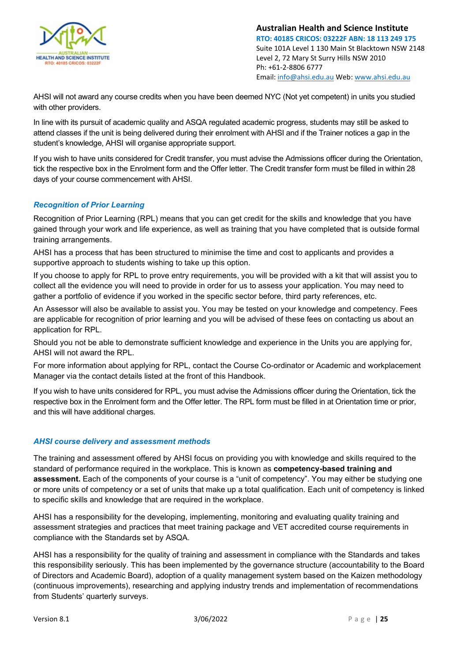

AHSI will not award any course credits when you have been deemed NYC (Not yet competent) in units you studied with other providers.

In line with its pursuit of academic quality and ASQA regulated academic progress, students may still be asked to attend classes if the unit is being delivered during their enrolment with AHSI and if the Trainer notices a gap in the student's knowledge, AHSI will organise appropriate support.

If you wish to have units considered for Credit transfer, you must advise the Admissions officer during the Orientation, tick the respective box in the Enrolment form and the Offer letter. The Credit transfer form must be filled in within 28 days of your course commencement with AHSI.

#### <span id="page-24-0"></span>*Recognition of Prior Learning*

Recognition of Prior Learning (RPL) means that you can get credit for the skills and knowledge that you have gained through your work and life experience, as well as training that you have completed that is outside formal training arrangements.

AHSI has a process that has been structured to minimise the time and cost to applicants and provides a supportive approach to students wishing to take up this option.

If you choose to apply for RPL to prove entry requirements, you will be provided with a kit that will assist you to collect all the evidence you will need to provide in order for us to assess your application. You may need to gather a portfolio of evidence if you worked in the specific sector before, third party references, etc.

An Assessor will also be available to assist you. You may be tested on your knowledge and competency. Fees are applicable for recognition of prior learning and you will be advised of these fees on contacting us about an application for RPL.

Should you not be able to demonstrate sufficient knowledge and experience in the Units you are applying for, AHSI will not award the RPL.

For more information about applying for RPL, contact the Course Co-ordinator or Academic and workplacement Manager via the contact details listed at the front of this Handbook.

If you wish to have units considered for RPL, you must advise the Admissions officer during the Orientation, tick the respective box in the Enrolment form and the Offer letter. The RPL form must be filled in at Orientation time or prior, and this will have additional charges.

#### <span id="page-24-1"></span>*AHSI course delivery and assessment methods*

The training and assessment offered by AHSI focus on providing you with knowledge and skills required to the standard of performance required in the workplace. This is known as **competency-based training and assessment.** Each of the components of your course is a "unit of competency". You may either be studying one or more units of competency or a set of units that make up a total qualification. Each unit of competency is linked to specific skills and knowledge that are required in the workplace.

AHSI has a responsibility for the developing, implementing, monitoring and evaluating quality training and assessment strategies and practices that meet training package and VET accredited course requirements in compliance with the Standards set by ASQA.

AHSI has a responsibility for the quality of training and assessment in compliance with the Standards and takes this responsibility seriously. This has been implemented by the governance structure (accountability to the Board of Directors and Academic Board), adoption of a quality management system based on the Kaizen methodology (continuous improvements), researching and applying industry trends and implementation of recommendations from Students' quarterly surveys.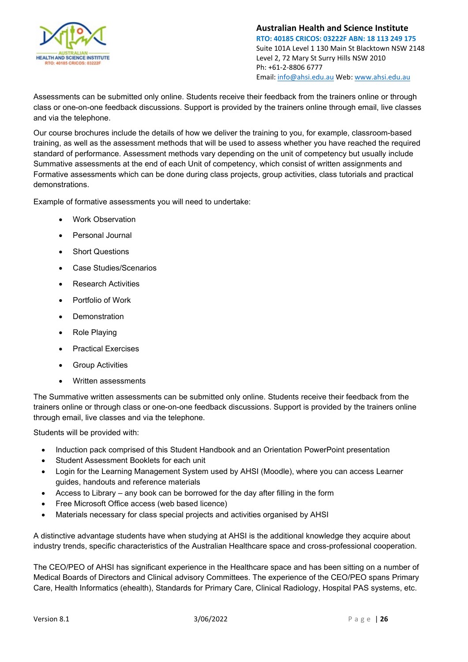

Assessments can be submitted only online. Students receive their feedback from the trainers online or through class or one-on-one feedback discussions. Support is provided by the trainers online through email, live classes and via the telephone.

Our course brochures include the details of how we deliver the training to you, for example, classroom-based training, as well as the assessment methods that will be used to assess whether you have reached the required standard of performance. Assessment methods vary depending on the unit of competency but usually include Summative assessments at the end of each Unit of competency, which consist of written assignments and Formative assessments which can be done during class projects, group activities, class tutorials and practical demonstrations.

Example of formative assessments you will need to undertake:

- Work Observation
- Personal Journal
- Short Questions
- Case Studies/Scenarios
- Research Activities
- Portfolio of Work
- **Demonstration**
- Role Playing
- Practical Exercises
- Group Activities
- Written assessments

The Summative written assessments can be submitted only online. Students receive their feedback from the trainers online or through class or one-on-one feedback discussions. Support is provided by the trainers online through email, live classes and via the telephone.

Students will be provided with:

- Induction pack comprised of this Student Handbook and an Orientation PowerPoint presentation
- Student Assessment Booklets for each unit
- Login for the Learning Management System used by AHSI (Moodle), where you can access Learner guides, handouts and reference materials
- Access to Library any book can be borrowed for the day after filling in the form
- Free Microsoft Office access (web based licence)
- Materials necessary for class special projects and activities organised by AHSI

A distinctive advantage students have when studying at AHSI is the additional knowledge they acquire about industry trends, specific characteristics of the Australian Healthcare space and cross-professional cooperation.

The CEO/PEO of AHSI has significant experience in the Healthcare space and has been sitting on a number of Medical Boards of Directors and Clinical advisory Committees. The experience of the CEO/PEO spans Primary Care, Health Informatics (ehealth), Standards for Primary Care, Clinical Radiology, Hospital PAS systems, etc.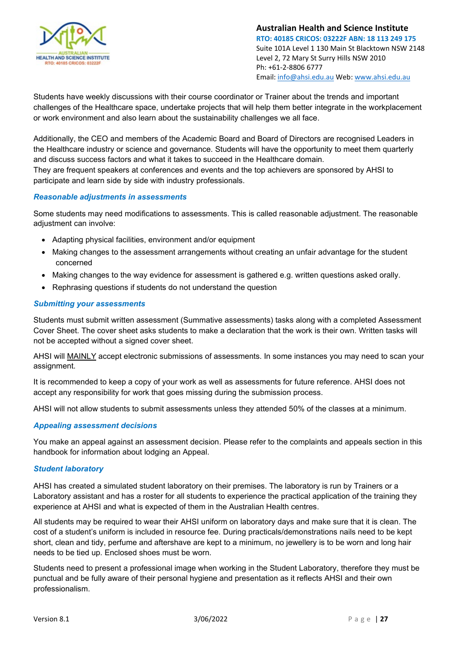

Students have weekly discussions with their course coordinator or Trainer about the trends and important challenges of the Healthcare space, undertake projects that will help them better integrate in the workplacement or work environment and also learn about the sustainability challenges we all face.

Additionally, the CEO and members of the Academic Board and Board of Directors are recognised Leaders in the Healthcare industry or science and governance. Students will have the opportunity to meet them quarterly and discuss success factors and what it takes to succeed in the Healthcare domain.

They are frequent speakers at conferences and events and the top achievers are sponsored by AHSI to participate and learn side by side with industry professionals.

#### <span id="page-26-0"></span>*Reasonable adjustments in assessments*

Some students may need modifications to assessments. This is called reasonable adjustment. The reasonable adjustment can involve:

- Adapting physical facilities, environment and/or equipment
- Making changes to the assessment arrangements without creating an unfair advantage for the student concerned
- Making changes to the way evidence for assessment is gathered e.g. written questions asked orally.
- Rephrasing questions if students do not understand the question

#### <span id="page-26-1"></span>*Submitting your assessments*

Students must submit written assessment (Summative assessments) tasks along with a completed Assessment Cover Sheet. The cover sheet asks students to make a declaration that the work is their own. Written tasks will not be accepted without a signed cover sheet.

AHSI will MAINLY accept electronic submissions of assessments. In some instances you may need to scan your assignment.

It is recommended to keep a copy of your work as well as assessments for future reference. AHSI does not accept any responsibility for work that goes missing during the submission process.

AHSI will not allow students to submit assessments unless they attended 50% of the classes at a minimum.

#### <span id="page-26-2"></span>*Appealing assessment decisions*

You make an appeal against an assessment decision. Please refer to the complaints and appeals section in this handbook for information about lodging an Appeal.

#### <span id="page-26-3"></span>*Student laboratory*

AHSI has created a simulated student laboratory on their premises. The laboratory is run by Trainers or a Laboratory assistant and has a roster for all students to experience the practical application of the training they experience at AHSI and what is expected of them in the Australian Health centres.

All students may be required to wear their AHSI uniform on laboratory days and make sure that it is clean. The cost of a student's uniform is included in resource fee. During practicals/demonstrations nails need to be kept short, clean and tidy, perfume and aftershave are kept to a minimum, no jewellery is to be worn and long hair needs to be tied up. Enclosed shoes must be worn.

Students need to present a professional image when working in the Student Laboratory, therefore they must be punctual and be fully aware of their personal hygiene and presentation as it reflects AHSI and their own professionalism.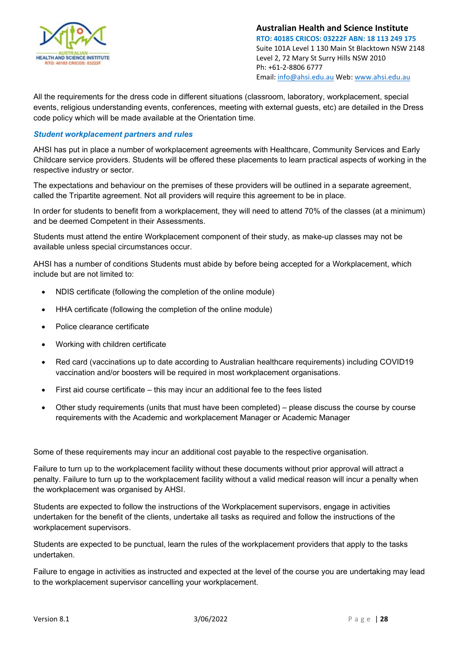

All the requirements for the dress code in different situations (classroom, laboratory, workplacement, special events, religious understanding events, conferences, meeting with external guests, etc) are detailed in the Dress code policy which will be made available at the Orientation time.

#### <span id="page-27-0"></span>*Student workplacement partners and rules*

AHSI has put in place a number of workplacement agreements with Healthcare, Community Services and Early Childcare service providers. Students will be offered these placements to learn practical aspects of working in the respective industry or sector.

The expectations and behaviour on the premises of these providers will be outlined in a separate agreement, called the Tripartite agreement. Not all providers will require this agreement to be in place.

In order for students to benefit from a workplacement, they will need to attend 70% of the classes (at a minimum) and be deemed Competent in their Assessments.

Students must attend the entire Workplacement component of their study, as make-up classes may not be available unless special circumstances occur.

AHSI has a number of conditions Students must abide by before being accepted for a Workplacement, which include but are not limited to:

- NDIS certificate (following the completion of the online module)
- HHA certificate (following the completion of the online module)
- Police clearance certificate
- Working with children certificate
- Red card (vaccinations up to date according to Australian healthcare requirements) including COVID19 vaccination and/or boosters will be required in most workplacement organisations.
- First aid course certificate this may incur an additional fee to the fees listed
- Other study requirements (units that must have been completed) please discuss the course by course requirements with the Academic and workplacement Manager or Academic Manager

Some of these requirements may incur an additional cost payable to the respective organisation.

Failure to turn up to the workplacement facility without these documents without prior approval will attract a penalty. Failure to turn up to the workplacement facility without a valid medical reason will incur a penalty when the workplacement was organised by AHSI.

Students are expected to follow the instructions of the Workplacement supervisors, engage in activities undertaken for the benefit of the clients, undertake all tasks as required and follow the instructions of the workplacement supervisors.

Students are expected to be punctual, learn the rules of the workplacement providers that apply to the tasks undertaken.

Failure to engage in activities as instructed and expected at the level of the course you are undertaking may lead to the workplacement supervisor cancelling your workplacement.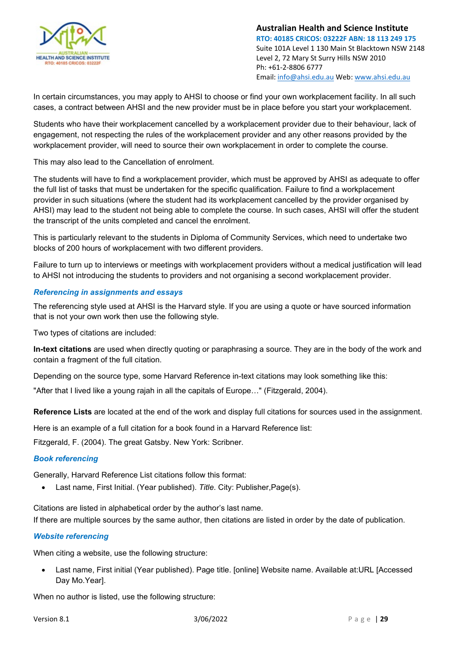

In certain circumstances, you may apply to AHSI to choose or find your own workplacement facility. In all such cases, a contract between AHSI and the new provider must be in place before you start your workplacement.

Students who have their workplacement cancelled by a workplacement provider due to their behaviour, lack of engagement, not respecting the rules of the workplacement provider and any other reasons provided by the workplacement provider, will need to source their own workplacement in order to complete the course.

This may also lead to the Cancellation of enrolment.

The students will have to find a workplacement provider, which must be approved by AHSI as adequate to offer the full list of tasks that must be undertaken for the specific qualification. Failure to find a workplacement provider in such situations (where the student had its workplacement cancelled by the provider organised by AHSI) may lead to the student not being able to complete the course. In such cases, AHSI will offer the student the transcript of the units completed and cancel the enrolment.

This is particularly relevant to the students in Diploma of Community Services, which need to undertake two blocks of 200 hours of workplacement with two different providers.

Failure to turn up to interviews or meetings with workplacement providers without a medical justification will lead to AHSI not introducing the students to providers and not organising a second workplacement provider.

#### <span id="page-28-0"></span>*Referencing in assignments and essays*

The referencing style used at AHSI is the Harvard style. If you are using a quote or have sourced information that is not your own work then use the following style.

Two types of citations are included:

**[In-text citations](https://www.citethisforme.com/harvard-referencing#harvard-in-text-citations)** are used when directly quoting or paraphrasing a source. They are in the body of the work and contain a fragment of the full citation.

Depending on the source type, some Harvard Reference in-text citations may look something like this:

"After that I lived like a young rajah in all the capitals of Europe…" (Fitzgerald, 2004).

**[Reference Lists](https://www.citethisforme.com/harvard-referencing#harvard-reference-list)** are located at the end of the work and display full citations for sources used in the assignment.

Here is an example of a full citation for a book found in a Harvard Reference list:

Fitzgerald, F. (2004). The great Gatsby. New York: Scribner.

#### <span id="page-28-1"></span>*Book referencing*

Generally, Harvard Reference List citations follow this format:

• Last name, First Initial. (Year published). *Title*. City: Publisher,Page(s).

Citations are listed in alphabetical order by the author's last name.

If there are multiple sources by the same author, then citations are listed in order by the date of publication.

#### <span id="page-28-2"></span>*Website referencing*

When citing a website, use the following structure:

• Last name, First initial (Year published). Page title. [online] Website name. Available at:URL [Accessed Day Mo.Year].

When no author is listed, use the following structure: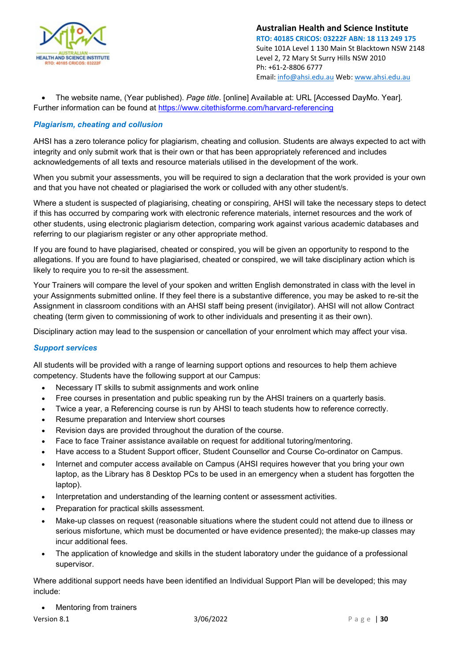

• The website name, (Year published). *Page title*. [online] Available at: URL [Accessed DayMo. Year]. Further information can be found at<https://www.citethisforme.com/harvard-referencing>

#### <span id="page-29-0"></span>*Plagiarism, cheating and collusion*

AHSI has a zero tolerance policy for plagiarism, cheating and collusion. Students are always expected to act with integrity and only submit work that is their own or that has been appropriately referenced and includes acknowledgements of all texts and resource materials utilised in the development of the work.

When you submit your assessments, you will be required to sign a declaration that the work provided is your own and that you have not cheated or plagiarised the work or colluded with any other student/s.

Where a student is suspected of plagiarising, cheating or conspiring, AHSI will take the necessary steps to detect if this has occurred by comparing work with electronic reference materials, internet resources and the work of other students, using electronic plagiarism detection, comparing work against various academic databases and referring to our plagiarism register or any other appropriate method.

If you are found to have plagiarised, cheated or conspired, you will be given an opportunity to respond to the allegations. If you are found to have plagiarised, cheated or conspired, we will take disciplinary action which is likely to require you to re-sit the assessment.

Your Trainers will compare the level of your spoken and written English demonstrated in class with the level in your Assignments submitted online. If they feel there is a substantive difference, you may be asked to re-sit the Assignment in classroom conditions with an AHSI staff being present (invigilator). AHSI will not allow Contract cheating (term given to commissioning of work to other individuals and presenting it as their own).

Disciplinary action may lead to the suspension or cancellation of your enrolment which may affect your visa.

#### <span id="page-29-1"></span>*Support services*

All students will be provided with a range of learning support options and resources to help them achieve competency. Students have the following support at our Campus:

- Necessary IT skills to submit assignments and work online
- Free courses in presentation and public speaking run by the AHSI trainers on a quarterly basis.
- Twice a year, a Referencing course is run by AHSI to teach students how to reference correctly.
- Resume preparation and Interview short courses
- Revision days are provided throughout the duration of the course.
- Face to face Trainer assistance available on request for additional tutoring/mentoring.
- Have access to a Student Support officer, Student Counsellor and Course Co-ordinator on Campus.
- Internet and computer access available on Campus (AHSI requires however that you bring your own laptop, as the Library has 8 Desktop PCs to be used in an emergency when a student has forgotten the laptop).
- Interpretation and understanding of the learning content or assessment activities.
- Preparation for practical skills assessment.
- Make-up classes on request (reasonable situations where the student could not attend due to illness or serious misfortune, which must be documented or have evidence presented); the make-up classes may incur additional fees.
- The application of knowledge and skills in the student laboratory under the guidance of a professional supervisor.

Where additional support needs have been identified an Individual Support Plan will be developed; this may include:

• Mentoring from trainers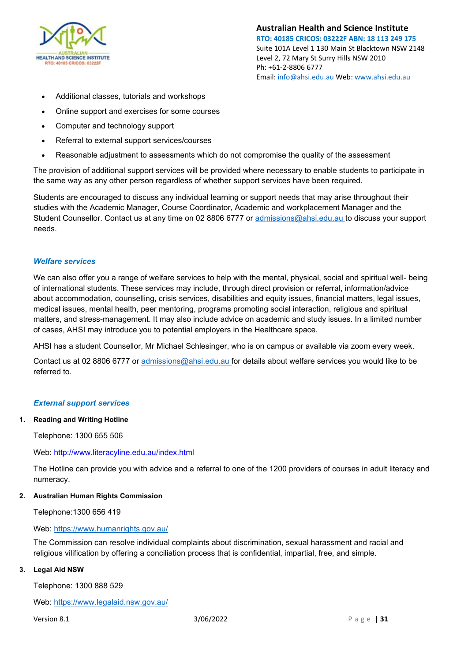

- Additional classes, tutorials and workshops
- Online support and exercises for some courses
- Computer and technology support
- Referral to external support services/courses
- Reasonable adjustment to assessments which do not compromise the quality of the assessment

The provision of additional support services will be provided where necessary to enable students to participate in the same way as any other person regardless of whether support services have been required.

Students are encouraged to discuss any individual learning or support needs that may arise throughout their studies with the Academic Manager, Course Coordinator, Academic and workplacement Manager and the Student Counsellor. Contact us at any time on 02 8806 6777 or [admissions@ahsi.edu.au t](mailto:admissions@ahsi.edu.au)o discuss your support needs.

#### <span id="page-30-0"></span>*Welfare services*

We can also offer you a range of welfare services to help with the mental, physical, social and spiritual well- being of international students. These services may include, through direct provision or referral, information/advice about accommodation, counselling, crisis services, disabilities and equity issues, financial matters, legal issues, medical issues, mental health, peer mentoring, programs promoting social interaction, religious and spiritual matters, and stress-management. It may also include advice on academic and study issues. In a limited number of cases, AHSI may introduce you to potential employers in the Healthcare space.

AHSI has a student Counsellor, Mr Michael Schlesinger, who is on campus or available via zoom every week.

Contact us at 02 8806 6777 or [admissions@ahsi.edu.au f](mailto:admissions@ahsi.edu.au)or details about welfare services you would like to be referred to.

#### <span id="page-30-1"></span>*External support services*

#### **1. Reading and Writing Hotline**

Telephone: 1300 655 506

#### Web:<http://www.literacyline.edu.au/index.html>

The Hotline can provide you with advice and a referral to one of the 1200 providers of courses in adult literacy and numeracy.

#### **2. Australian Human Rights Commission**

Telephone:1300 656 419

#### Web:<https://www.humanrights.gov.au/>

The Commission can resolve individual complaints about discrimination, sexual harassment and racial and religious vilification by offering a conciliation process that is confidential, impartial, free, and simple.

#### **3. Legal Aid NSW**

Telephone: 1300 888 529

Web: <https://www.legalaid.nsw.gov.au/>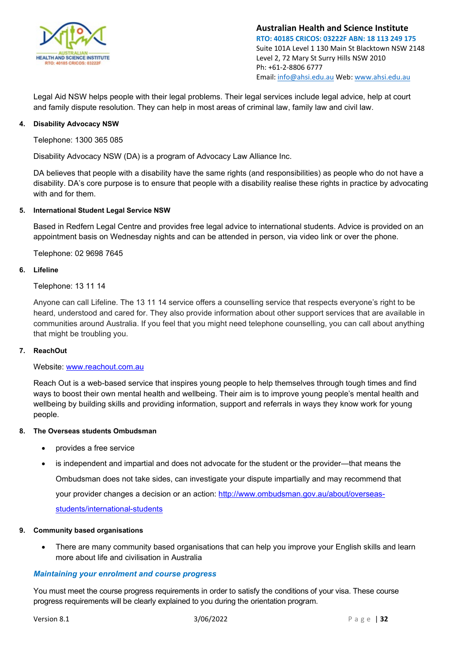

Legal Aid NSW helps people with their legal problems. Their legal services include legal advice, help at court and family dispute resolution. They can help in most areas of criminal law, family law and civil law.

#### **4. Disability Advocacy NSW**

Telephone: 1300 365 085

Disability Advocacy NSW (DA) is a program of Advocacy Law Alliance Inc.

DA believes that people with a disability have the same rights (and responsibilities) as people who do not have a disability. DA's core purpose is to ensure that people with a disability realise these rights in practice by advocating with and for them.

#### **5. International Student Legal Service NSW**

Based in Redfern Legal Centre and provides free legal advice to international students. Advice is provided on an appointment basis on Wednesday nights and can be attended in person, via video link or over the phone.

Telephone: 02 9698 7645

#### **6. Lifeline**

Telephone: 13 11 14

Anyone can call Lifeline. The 13 11 14 service offers a counselling service that respects everyone's right to be heard, understood and cared for. They also provide information about other support services that are available in communities around Australia. If you feel that you might need telephone counselling, you can call about anything that might be troubling you.

#### **7. ReachOut**

#### Website: [www.reachout.com.au](http://www.reachout.com.au/)

Reach Out is a web-based service that inspires young people to help themselves through tough times and find ways to boost their own mental health and wellbeing. Their aim is to improve young people's mental health and wellbeing by building skills and providing information, support and referrals in ways they know work for young people.

#### **8. The Overseas students Ombudsman**

- provides a free service
- is independent and impartial and does not advocate for the student or the provider—that means the

Ombudsman does not take sides, can investigate your dispute impartially and may recommend that

your provider changes a decision or an action: [http://www.ombudsman.gov.au/about/overseas-](http://www.ombudsman.gov.au/about/overseas-students/international-students)

[students/international-students](http://www.ombudsman.gov.au/about/overseas-students/international-students)

#### **9. Community based organisations**

• There are many community based organisations that can help you improve your English skills and learn more about life and civilisation in Australia

#### <span id="page-31-0"></span>*Maintaining your enrolment and course progress*

You must meet the course progress requirements in order to satisfy the conditions of your visa. These course progress requirements will be clearly explained to you during the orientation program.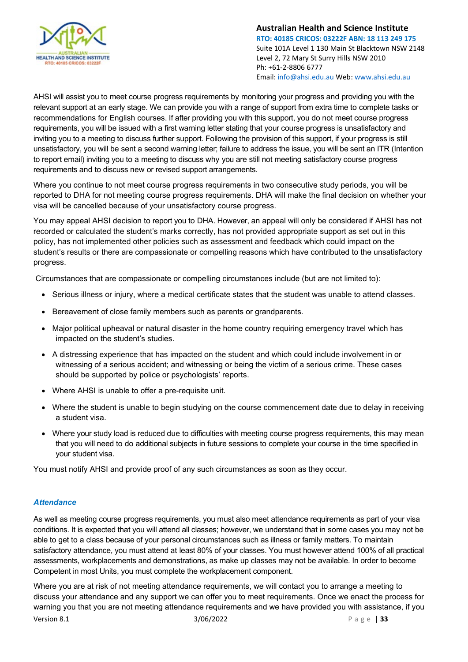

AHSI will assist you to meet course progress requirements by monitoring your progress and providing you with the relevant support at an early stage. We can provide you with a range of support from extra time to complete tasks or recommendations for English courses. If after providing you with this support, you do not meet course progress requirements, you will be issued with a first warning letter stating that your course progress is unsatisfactory and inviting you to a meeting to discuss further support. Following the provision of this support, if your progress is still unsatisfactory, you will be sent a second warning letter; failure to address the issue, you will be sent an ITR (Intention to report email) inviting you to a meeting to discuss why you are still not meeting satisfactory course progress requirements and to discuss new or revised support arrangements.

Where you continue to not meet course progress requirements in two consecutive study periods, you will be reported to DHA for not meeting course progress requirements. DHA will make the final decision on whether your visa will be cancelled because of your unsatisfactory course progress.

You may appeal AHSI decision to report you to DHA. However, an appeal will only be considered if AHSI has not recorded or calculated the student's marks correctly, has not provided appropriate support as set out in this policy, has not implemented other policies such as assessment and feedback which could impact on the student's results or there are compassionate or compelling reasons which have contributed to the unsatisfactory progress.

Circumstances that are compassionate or compelling circumstances include (but are not limited to):

- Serious illness or injury, where a medical certificate states that the student was unable to attend classes.
- Bereavement of close family members such as parents or grandparents.
- Major political upheaval or natural disaster in the home country requiring emergency travel which has impacted on the student's studies.
- A distressing experience that has impacted on the student and which could include involvement in or witnessing of a serious accident; and witnessing or being the victim of a serious crime. These cases should be supported by police or psychologists' reports.
- Where AHSI is unable to offer a pre-requisite unit.
- Where the student is unable to begin studying on the course commencement date due to delay in receiving a student visa.
- Where your study load is reduced due to difficulties with meeting course progress requirements, this may mean that you will need to do additional subjects in future sessions to complete your course in the time specified in your student visa.

You must notify AHSI and provide proof of any such circumstances as soon as they occur.

#### <span id="page-32-0"></span>*Attendance*

As well as meeting course progress requirements, you must also meet attendance requirements as part of your visa conditions. It is expected that you will attend all classes; however, we understand that in some cases you may not be able to get to a class because of your personal circumstances such as illness or family matters. To maintain satisfactory attendance, you must attend at least 80% of your classes. You must however attend 100% of all practical assessments, workplacements and demonstrations, as make up classes may not be available. In order to become Competent in most Units, you must complete the workplacement component.

**Version 8.1 3/06/2022** Page | **33** Where you are at risk of not meeting attendance requirements, we will contact you to arrange a meeting to discuss your attendance and any support we can offer you to meet requirements. Once we enact the process for warning you that you are not meeting attendance requirements and we have provided you with assistance, if you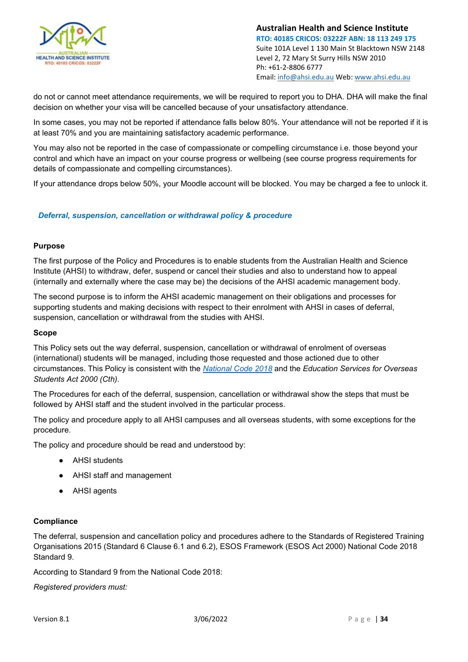

do not or cannot meet attendance requirements, we will be required to report you to DHA. DHA will make the final decision on whether your visa will be cancelled because of your unsatisfactory attendance.

In some cases, you may not be reported if attendance falls below 80%. Your attendance will not be reported if it is at least 70% and you are maintaining satisfactory academic performance.

You may also not be reported in the case of compassionate or compelling circumstance i.e. those beyond your control and which have an impact on your course progress or wellbeing (see course progress requirements for details of compassionate and compelling circumstances).

If your attendance drops below 50%, your Moodle account will be blocked. You may be charged a fee to unlock it.

#### <span id="page-33-0"></span>*Deferral, suspension, cancellation or withdrawal policy & procedure*

#### **Purpose**

The first purpose of the Policy and Procedures is to enable students from the Australian Health and Science Institute (AHSI) to withdraw, defer, suspend or cancel their studies and also to understand how to appeal (internally and externally where the case may be) the decisions of the AHSI academic management body.

The second purpose is to inform the AHSI academic management on their obligations and processes for supporting students and making decisions with respect to their enrolment with AHSI in cases of deferral, suspension, cancellation or withdrawal from the studies with AHSI.

#### **Scope**

This Policy sets out the way deferral, suspension, cancellation or withdrawal of enrolment of overseas (international) students will be managed, including those requested and those actioned due to other circumstances. This Policy is consistent with the *[National Code 2018](https://www.legislation.gov.au/Details/F2017L01182)* and the *Education Services for Overseas Students Act 2000 (Cth)*.

The Procedures for each of the deferral, suspension, cancellation or withdrawal show the steps that must be followed by AHSI staff and the student involved in the particular process.

The policy and procedure apply to all AHSI campuses and all overseas students, with some exceptions for the procedure.

The policy and procedure should be read and understood by:

- AHSI students
- AHSI staff and management
- AHSI agents

#### **Compliance**

The deferral, suspension and cancellation policy and procedures adhere to the Standards of Registered Training Organisations 2015 (Standard 6 Clause 6.1 and 6.2), ESOS Framework (ESOS Act 2000) National Code 2018 Standard 9.

According to Standard 9 from the National Code 2018:

*Registered providers must:*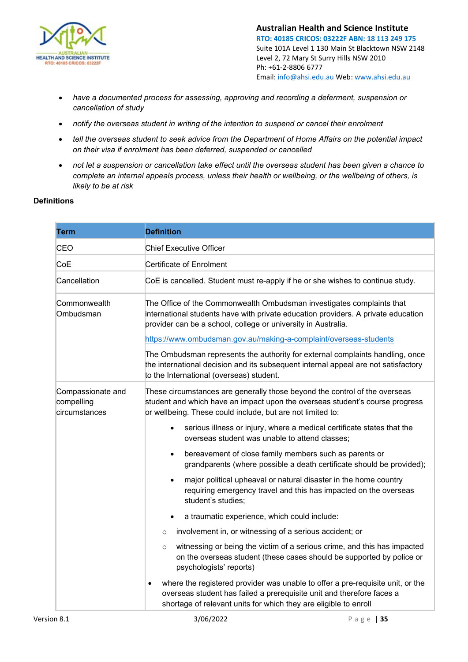

- *have a documented process for assessing, approving and recording a deferment, suspension or cancellation of study*
- *notify the overseas student in writing of the intention to suspend or cancel their enrolment*
- *tell the overseas student to seek advice from the Department of Home Affairs on the potential impact on their visa if enrolment has been deferred, suspended or cancelled*
- *not let a suspension or cancellation take effect until the overseas student has been given a chance to complete an internal appeals process, unless their health or wellbeing, or the wellbeing of others, is likely to be at risk*

#### **Definitions**

| <b>Term</b>                                      | <b>Definition</b>                                                                                                                                                                                                           |
|--------------------------------------------------|-----------------------------------------------------------------------------------------------------------------------------------------------------------------------------------------------------------------------------|
| CEO                                              | <b>Chief Executive Officer</b>                                                                                                                                                                                              |
| CoE                                              | Certificate of Enrolment                                                                                                                                                                                                    |
| Cancellation                                     | CoE is cancelled. Student must re-apply if he or she wishes to continue study.                                                                                                                                              |
| Commonwealth<br>Ombudsman                        | The Office of the Commonwealth Ombudsman investigates complaints that<br>international students have with private education providers. A private education<br>provider can be a school, college or university in Australia. |
|                                                  | https://www.ombudsman.gov.au/making-a-complaint/overseas-students                                                                                                                                                           |
|                                                  | The Ombudsman represents the authority for external complaints handling, once<br>the international decision and its subsequent internal appeal are not satisfactory<br>to the International (overseas) student.             |
| Compassionate and<br>compelling<br>circumstances | These circumstances are generally those beyond the control of the overseas<br>student and which have an impact upon the overseas student's course progress<br>or wellbeing. These could include, but are not limited to:    |
|                                                  | serious illness or injury, where a medical certificate states that the<br>$\bullet$<br>overseas student was unable to attend classes;                                                                                       |
|                                                  | bereavement of close family members such as parents or<br>$\bullet$<br>grandparents (where possible a death certificate should be provided);                                                                                |
|                                                  | major political upheaval or natural disaster in the home country<br>requiring emergency travel and this has impacted on the overseas<br>student's studies;                                                                  |
|                                                  | a traumatic experience, which could include:                                                                                                                                                                                |
|                                                  | involvement in, or witnessing of a serious accident; or<br>$\circ$                                                                                                                                                          |
|                                                  | witnessing or being the victim of a serious crime, and this has impacted<br>$\circ$<br>on the overseas student (these cases should be supported by police or<br>psychologists' reports)                                     |
|                                                  | where the registered provider was unable to offer a pre-requisite unit, or the<br>overseas student has failed a prerequisite unit and therefore faces a<br>shortage of relevant units for which they are eligible to enroll |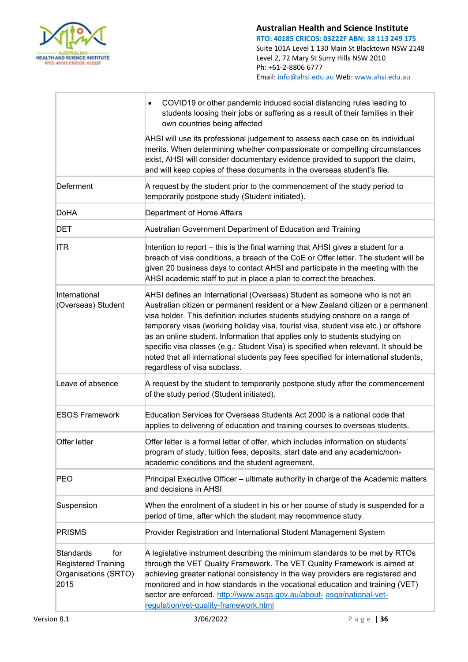

|                                                                                       | COVID19 or other pandemic induced social distancing rules leading to<br>$\bullet$<br>students loosing their jobs or suffering as a result of their families in their<br>own countries being affected                                                                                                                                                                                                                                                                                                                                                                                                                                |
|---------------------------------------------------------------------------------------|-------------------------------------------------------------------------------------------------------------------------------------------------------------------------------------------------------------------------------------------------------------------------------------------------------------------------------------------------------------------------------------------------------------------------------------------------------------------------------------------------------------------------------------------------------------------------------------------------------------------------------------|
|                                                                                       | AHSI will use its professional judgement to assess each case on its individual<br>merits. When determining whether compassionate or compelling circumstances<br>exist, AHSI will consider documentary evidence provided to support the claim,<br>and will keep copies of these documents in the overseas student's file.                                                                                                                                                                                                                                                                                                            |
| Deferment                                                                             | A request by the student prior to the commencement of the study period to<br>temporarily postpone study (Student initiated).                                                                                                                                                                                                                                                                                                                                                                                                                                                                                                        |
| <b>DoHA</b>                                                                           | Department of Home Affairs                                                                                                                                                                                                                                                                                                                                                                                                                                                                                                                                                                                                          |
| <b>DET</b>                                                                            | Australian Government Department of Education and Training                                                                                                                                                                                                                                                                                                                                                                                                                                                                                                                                                                          |
| <b>ITR</b>                                                                            | Intention to report - this is the final warning that AHSI gives a student for a<br>breach of visa conditions, a breach of the CoE or Offer letter. The student will be<br>given 20 business days to contact AHSI and participate in the meeting with the<br>AHSI academic staff to put in place a plan to correct the breaches.                                                                                                                                                                                                                                                                                                     |
| International<br>(Overseas) Student                                                   | AHSI defines an International (Overseas) Student as someone who is not an<br>Australian citizen or permanent resident or a New Zealand citizen or a permanent<br>visa holder. This definition includes students studying onshore on a range of<br>temporary visas (working holiday visa, tourist visa, student visa etc.) or offshore<br>as an online student. Information that applies only to students studying on<br>specific visa classes (e.g.: Student Visa) is specified when relevant. It should be<br>noted that all international students pay fees specified for international students,<br>regardless of visa subclass. |
| Leave of absence                                                                      | A request by the student to temporarily postpone study after the commencement<br>of the study period (Student initiated).                                                                                                                                                                                                                                                                                                                                                                                                                                                                                                           |
| <b>ESOS Framework</b>                                                                 | Education Services for Overseas Students Act 2000 is a national code that<br>applies to delivering of education and training courses to overseas students.                                                                                                                                                                                                                                                                                                                                                                                                                                                                          |
| Offer letter                                                                          | Offer letter is a formal letter of offer, which includes information on students'<br>program of study, tuition fees, deposits, start date and any academic/non-<br>academic conditions and the student agreement.                                                                                                                                                                                                                                                                                                                                                                                                                   |
| <b>PEO</b>                                                                            | Principal Executive Officer - ultimate authority in charge of the Academic matters<br>and decisions in AHSI                                                                                                                                                                                                                                                                                                                                                                                                                                                                                                                         |
| Suspension                                                                            | When the enrolment of a student in his or her course of study is suspended for a<br>period of time, after which the student may recommence study.                                                                                                                                                                                                                                                                                                                                                                                                                                                                                   |
| <b>PRISMS</b>                                                                         | Provider Registration and International Student Management System                                                                                                                                                                                                                                                                                                                                                                                                                                                                                                                                                                   |
| <b>Standards</b><br>for<br><b>Registered Training</b><br>Organisations (SRTO)<br>2015 | A legislative instrument describing the minimum standards to be met by RTOs<br>through the VET Quality Framework. The VET Quality Framework is aimed at<br>achieving greater national consistency in the way providers are registered and<br>monitored and in how standards in the vocational education and training (VET)<br>sector are enforced. http://www.asqa.gov.au/about- asqa/national-vet-<br>regulation/vet-quality-framework.html                                                                                                                                                                                        |
| Version 8.1                                                                           | 3/06/2022<br>Page   $36$                                                                                                                                                                                                                                                                                                                                                                                                                                                                                                                                                                                                            |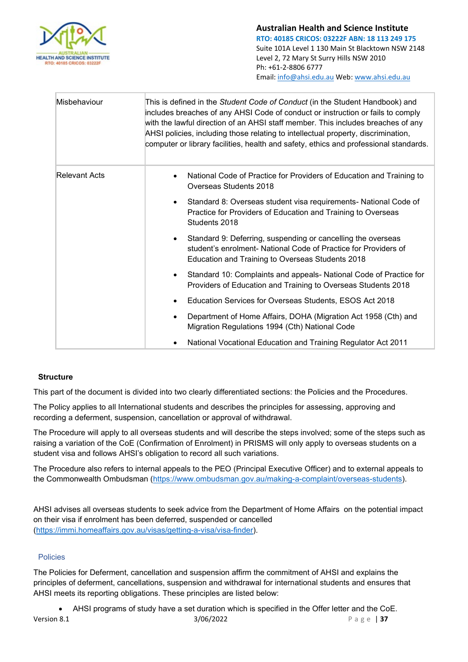

| Misbehaviour         | This is defined in the Student Code of Conduct (in the Student Handbook) and<br>includes breaches of any AHSI Code of conduct or instruction or fails to comply<br>with the lawful direction of an AHSI staff member. This includes breaches of any<br>AHSI policies, including those relating to intellectual property, discrimination,<br>computer or library facilities, health and safety, ethics and professional standards. |  |
|----------------------|-----------------------------------------------------------------------------------------------------------------------------------------------------------------------------------------------------------------------------------------------------------------------------------------------------------------------------------------------------------------------------------------------------------------------------------|--|
| <b>Relevant Acts</b> | National Code of Practice for Providers of Education and Training to<br>Overseas Students 2018                                                                                                                                                                                                                                                                                                                                    |  |
|                      | Standard 8: Overseas student visa requirements- National Code of<br>$\bullet$<br>Practice for Providers of Education and Training to Overseas<br>Students 2018                                                                                                                                                                                                                                                                    |  |
|                      | Standard 9: Deferring, suspending or cancelling the overseas<br>student's enrolment- National Code of Practice for Providers of<br>Education and Training to Overseas Students 2018                                                                                                                                                                                                                                               |  |
|                      | Standard 10: Complaints and appeals- National Code of Practice for<br>Providers of Education and Training to Overseas Students 2018                                                                                                                                                                                                                                                                                               |  |
|                      | Education Services for Overseas Students, ESOS Act 2018                                                                                                                                                                                                                                                                                                                                                                           |  |
|                      | Department of Home Affairs, DOHA (Migration Act 1958 (Cth) and<br>Migration Regulations 1994 (Cth) National Code                                                                                                                                                                                                                                                                                                                  |  |
|                      | National Vocational Education and Training Regulator Act 2011                                                                                                                                                                                                                                                                                                                                                                     |  |

## **Structure**

This part of the document is divided into two clearly differentiated sections: the Policies and the Procedures.

The Policy applies to all International students and describes the principles for assessing, approving and recording a deferment, suspension, cancellation or approval of withdrawal.

The Procedure will apply to all overseas students and will describe the steps involved; some of the steps such as raising a variation of the CoE (Confirmation of Enrolment) in PRISMS will only apply to overseas students on a student visa and follows AHSI's obligation to record all such variations.

The Procedure also refers to internal appeals to the PEO (Principal Executive Officer) and to external appeals to the Commonwealth Ombudsman [\(https://www.ombudsman.gov.au/making-a-complaint/overseas-students\)](https://www.ombudsman.gov.au/making-a-complaint/overseas-students).

AHSI advises all overseas students to seek advice from the Department of Home Affairs on the potential impact on their visa if enrolment has been deferred, suspended or cancelled [\(https://immi.homeaffairs.gov.au/visas/getting-a-visa/visa-finder\)](https://immi.homeaffairs.gov.au/visas/getting-a-visa/visa-finder).

## Policies

The Policies for Deferment, cancellation and suspension affirm the commitment of AHSI and explains the principles of deferment, cancellations, suspension and withdrawal for international students and ensures that AHSI meets its reporting obligations. These principles are listed below:

Version 8.1 3/06/2022 Page | **37** • AHSI programs of study have a set duration which is specified in the Offer letter and the CoE.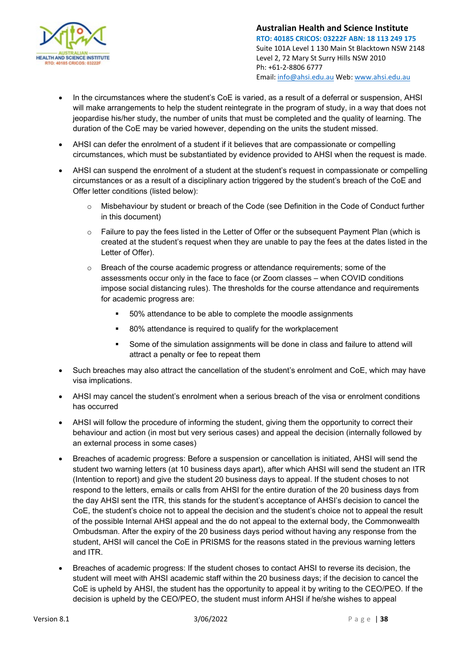

- In the circumstances where the student's CoE is varied, as a result of a deferral or suspension, AHSI will make arrangements to help the student reintegrate in the program of study, in a way that does not jeopardise his/her study, the number of units that must be completed and the quality of learning. The duration of the CoE may be varied however, depending on the units the student missed.
- AHSI can defer the enrolment of a student if it believes that are compassionate or compelling circumstances, which must be substantiated by evidence provided to AHSI when the request is made.
- AHSI can suspend the enrolment of a student at the student's request in compassionate or compelling circumstances or as a result of a disciplinary action triggered by the student's breach of the CoE and Offer letter conditions (listed below):
	- $\circ$  Misbehaviour by student or breach of the Code (see Definition in the Code of Conduct further in this document)
	- $\circ$  Failure to pay the fees listed in the Letter of Offer or the subsequent Payment Plan (which is created at the student's request when they are unable to pay the fees at the dates listed in the Letter of Offer).
	- o Breach of the course academic progress or attendance requirements; some of the assessments occur only in the face to face (or Zoom classes – when COVID conditions impose social distancing rules). The thresholds for the course attendance and requirements for academic progress are:
		- 50% attendance to be able to complete the moodle assignments
		- 80% attendance is required to qualify for the workplacement
		- Some of the simulation assignments will be done in class and failure to attend will attract a penalty or fee to repeat them
- Such breaches may also attract the cancellation of the student's enrolment and CoE, which may have visa implications.
- AHSI may cancel the student's enrolment when a serious breach of the visa or enrolment conditions has occurred
- AHSI will follow the procedure of informing the student, giving them the opportunity to correct their behaviour and action (in most but very serious cases) and appeal the decision (internally followed by an external process in some cases)
- Breaches of academic progress: Before a suspension or cancellation is initiated, AHSI will send the student two warning letters (at 10 business days apart), after which AHSI will send the student an ITR (Intention to report) and give the student 20 business days to appeal. If the student choses to not respond to the letters, emails or calls from AHSI for the entire duration of the 20 business days from the day AHSI sent the ITR, this stands for the student's acceptance of AHSI's decision to cancel the CoE, the student's choice not to appeal the decision and the student's choice not to appeal the result of the possible Internal AHSI appeal and the do not appeal to the external body, the Commonwealth Ombudsman. After the expiry of the 20 business days period without having any response from the student, AHSI will cancel the CoE in PRISMS for the reasons stated in the previous warning letters and ITR.
- Breaches of academic progress: If the student choses to contact AHSI to reverse its decision, the student will meet with AHSI academic staff within the 20 business days; if the decision to cancel the CoE is upheld by AHSI, the student has the opportunity to appeal it by writing to the CEO/PEO. If the decision is upheld by the CEO/PEO, the student must inform AHSI if he/she wishes to appeal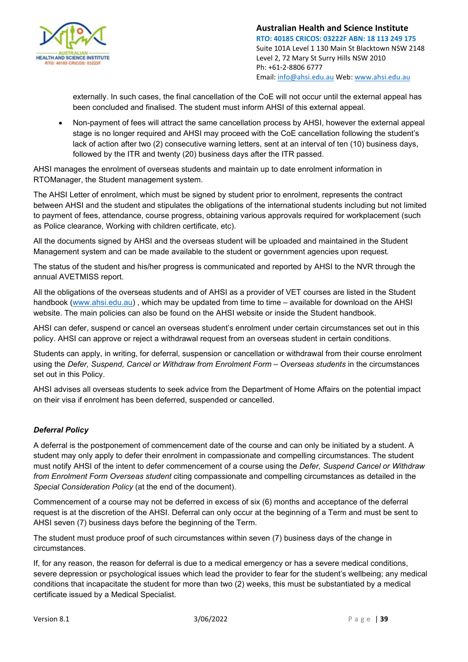

externally. In such cases, the final cancellation of the CoE will not occur until the external appeal has been concluded and finalised. The student must inform AHSI of this external appeal.

• Non-payment of fees will attract the same cancellation process by AHSI, however the external appeal stage is no longer required and AHSI may proceed with the CoE cancellation following the student's lack of action after two (2) consecutive warning letters, sent at an interval of ten (10) business days, followed by the ITR and twenty (20) business days after the ITR passed.

AHSI manages the enrolment of overseas students and maintain up to date enrolment information in RTOManager, the Student management system.

The AHSI Letter of enrolment, which must be signed by student prior to enrolment, represents the contract between AHSI and the student and stipulates the obligations of the international students including but not limited to payment of fees, attendance, course progress, obtaining various approvals required for workplacement (such as Police clearance, Working with children certificate, etc).

All the documents signed by AHSI and the overseas student will be uploaded and maintained in the Student Management system and can be made available to the student or government agencies upon request.

The status of the student and his/her progress is communicated and reported by AHSI to the NVR through the annual AVETMISS report.

All the obligations of the overseas students and of AHSI as a provider of VET courses are listed in the Student handbook [\(www.ahsi.edu.au\)](http://www.ahsi.edu.au/), which may be updated from time to time – available for download on the AHSI website. The main policies can also be found on the AHSI website or inside the Student handbook.

AHSI can defer, suspend or cancel an overseas student's enrolment under certain circumstances set out in this policy. AHSI can approve or reject a withdrawal request from an overseas student in certain conditions.

Students can apply, in writing, for deferral, suspension or cancellation or withdrawal from their course enrolment using the *Defer, Suspend, Cancel or Withdraw from Enrolment Form – Overseas students* in the circumstances set out in this Policy.

AHSI advises all overseas students to seek advice from the Department of Home Affairs on the potential impact on their visa if enrolment has been deferred, suspended or cancelled.

## *Deferral Policy*

A deferral is the postponement of commencement date of the course and can only be initiated by a student. A student may only apply to defer their enrolment in compassionate and compelling circumstances. The student must notify AHSI of the intent to defer commencement of a course using the *Defer, Suspend Cancel or Withdraw from Enrolment Form Overseas student* citing compassionate and compelling circumstances as detailed in the *Special Consideration Policy* (at the end of the document).

Commencement of a course may not be deferred in excess of six (6) months and acceptance of the deferral request is at the discretion of the AHSI. Deferral can only occur at the beginning of a Term and must be sent to AHSI seven (7) business days before the beginning of the Term.

The student must produce proof of such circumstances within seven (7) business days of the change in circumstances.

If, for any reason, the reason for deferral is due to a medical emergency or has a severe medical conditions, severe depression or psychological issues which lead the provider to fear for the student's wellbeing; any medical conditions that incapacitate the student for more than two (2) weeks, this must be substantiated by a medical certificate issued by a Medical Specialist.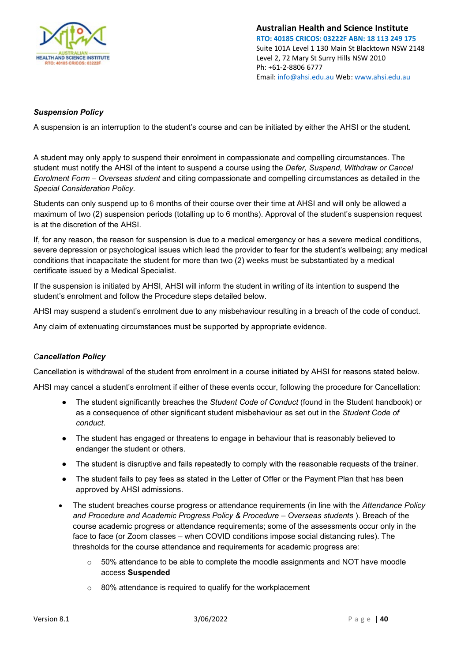

## *Suspension Policy*

A suspension is an interruption to the student's course and can be initiated by either the AHSI or the student.

A student may only apply to suspend their enrolment in compassionate and compelling circumstances. The student must notify the AHSI of the intent to suspend a course using the *Defer, Suspend, Withdraw or Cancel Enrolment Form – Overseas student* and citing compassionate and compelling circumstances as detailed in the *Special Consideration Policy.*

Students can only suspend up to 6 months of their course over their time at AHSI and will only be allowed a maximum of two (2) suspension periods (totalling up to 6 months). Approval of the student's suspension request is at the discretion of the AHSI.

If, for any reason, the reason for suspension is due to a medical emergency or has a severe medical conditions, severe depression or psychological issues which lead the provider to fear for the student's wellbeing; any medical conditions that incapacitate the student for more than two (2) weeks must be substantiated by a medical certificate issued by a Medical Specialist.

If the suspension is initiated by AHSI, AHSI will inform the student in writing of its intention to suspend the student's enrolment and follow the Procedure steps detailed below.

AHSI may suspend a student's enrolment due to any misbehaviour resulting in a breach of the code of conduct.

Any claim of extenuating circumstances must be supported by appropriate evidence.

## *Cancellation Policy*

Cancellation is withdrawal of the student from enrolment in a course initiated by AHSI for reasons stated below.

AHSI may cancel a student's enrolment if either of these events occur, following the procedure for Cancellation:

- The student significantly breaches the *Student Code of Conduct* (found in the Student handbook) or as a consequence of other significant student misbehaviour as set out in the *Student Code of conduct*.
- The student has engaged or threatens to engage in behaviour that is reasonably believed to endanger the student or others.
- The student is disruptive and fails repeatedly to comply with the reasonable requests of the trainer.
- The student fails to pay fees as stated in the Letter of Offer or the Payment Plan that has been approved by AHSI admissions.
- The student breaches course progress or attendance requirements (in line with the *Attendance Policy and Procedure and Academic Progress Policy & Procedure – Overseas students* ). Breach of the course academic progress or attendance requirements; some of the assessments occur only in the face to face (or Zoom classes – when COVID conditions impose social distancing rules). The thresholds for the course attendance and requirements for academic progress are:
	- $\circ$  50% attendance to be able to complete the moodle assignments and NOT have moodle access **Suspended**
	- o 80% attendance is required to qualify for the workplacement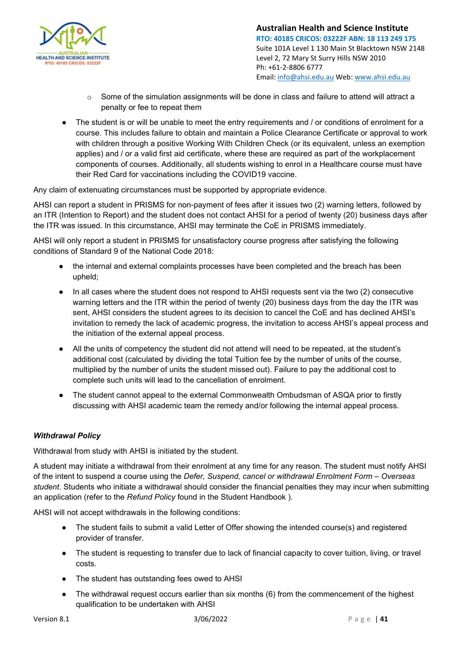

- $\circ$  Some of the simulation assignments will be done in class and failure to attend will attract a penalty or fee to repeat them
- The student is or will be unable to meet the entry requirements and / or conditions of enrolment for a course. This includes failure to obtain and maintain a Police Clearance Certificate or approval to work with children through a positive Working With Children Check (or its equivalent, unless an exemption applies) and / or a valid first aid certificate, where these are required as part of the workplacement components of courses. Additionally, all students wishing to enrol in a Healthcare course must have their Red Card for vaccinations including the COVID19 vaccine.

Any claim of extenuating circumstances must be supported by appropriate evidence.

AHSI can report a student in PRISMS for non-payment of fees after it issues two (2) warning letters, followed by an ITR (Intention to Report) and the student does not contact AHSI for a period of twenty (20) business days after the ITR was issued. In this circumstance, AHSI may terminate the CoE in PRISMS immediately.

AHSI will only report a student in PRISMS for unsatisfactory course progress after satisfying the following conditions of Standard 9 of the National Code 2018:

- the internal and external complaints processes have been completed and the breach has been upheld;
- In all cases where the student does not respond to AHSI requests sent via the two (2) consecutive warning letters and the ITR within the period of twenty (20) business days from the day the ITR was sent, AHSI considers the student agrees to its decision to cancel the CoE and has declined AHSI's invitation to remedy the lack of academic progress, the invitation to access AHSI's appeal process and the initiation of the external appeal process.
- All the units of competency the student did not attend will need to be repeated, at the student's additional cost (calculated by dividing the total Tuition fee by the number of units of the course, multiplied by the number of units the student missed out). Failure to pay the additional cost to complete such units will lead to the cancellation of enrolment.
- The student cannot appeal to the external Commonwealth Ombudsman of ASQA prior to firstly discussing with AHSI academic team the remedy and/or following the internal appeal process.

## *Withdrawal Policy*

Withdrawal from study with AHSI is initiated by the student.

A student may initiate a withdrawal from their enrolment at any time for any reason. The student must notify AHSI of the intent to suspend a course using the *Defer, Suspend, cancel or withdrawal Enrolment Form – Overseas student*. Students who initiate a withdrawal should consider the financial penalties they may incur when submitting an application (refer to the *Refund Policy* found in the Student Handbook ).

AHSI will not accept withdrawals in the following conditions:

- The student fails to submit a valid Letter of Offer showing the intended course(s) and registered provider of transfer.
- The student is requesting to transfer due to lack of financial capacity to cover tuition, living, or travel costs.
- The student has outstanding fees owed to AHSI
- The withdrawal request occurs earlier than six months (6) from the commencement of the highest qualification to be undertaken with AHSI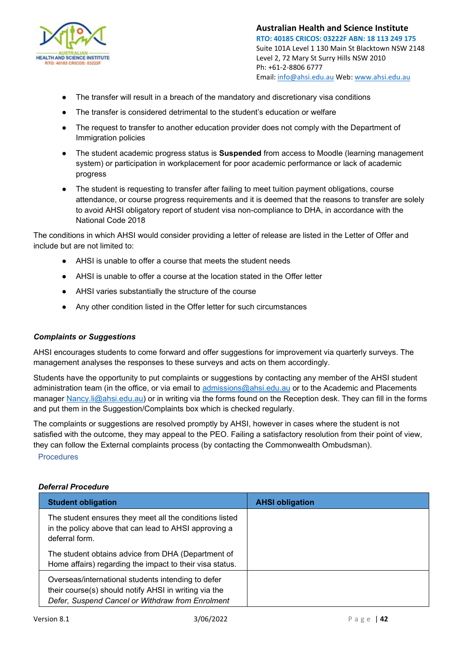

- The transfer will result in a breach of the mandatory and discretionary visa conditions
- The transfer is considered detrimental to the student's education or welfare
- The request to transfer to another education provider does not comply with the Department of Immigration policies
- The student academic progress status is **Suspended** from access to Moodle (learning management system) or participation in workplacement for poor academic performance or lack of academic progress
- The student is requesting to transfer after failing to meet tuition payment obligations, course attendance, or course progress requirements and it is deemed that the reasons to transfer are solely to avoid AHSI obligatory report of student visa non-compliance to DHA, in accordance with the National Code 2018

The conditions in which AHSI would consider providing a letter of release are listed in the Letter of Offer and include but are not limited to:

- AHSI is unable to offer a course that meets the student needs
- AHSI is unable to offer a course at the location stated in the Offer letter
- AHSI varies substantially the structure of the course
- Any other condition listed in the Offer letter for such circumstances

## *Complaints or Suggestions*

AHSI encourages students to come forward and offer suggestions for improvement via quarterly surveys. The management analyses the responses to these surveys and acts on them accordingly.

Students have the opportunity to put complaints or suggestions by contacting any member of the AHSI student administration team (in the office, or via email to [admissions@ahsi.edu.au](mailto:admissions@ahsi.edu.au) or to the Academic and Placements manager [Nancy.li@ahsi.edu.au\)](mailto:Nancy.li@ahsi.edu.au) or in writing via the forms found on the Reception desk. They can fill in the forms and put them in the Suggestion/Complaints box which is checked regularly.

The complaints or suggestions are resolved promptly by AHSI, however in cases where the student is not satisfied with the outcome, they may appeal to the PEO. Failing a satisfactory resolution from their point of view, they can follow the External complaints process (by contacting the Commonwealth Ombudsman).

Procedures

## *Deferral Procedure*

| <b>Student obligation</b>                                                                                                                                       | <b>AHSI obligation</b> |
|-----------------------------------------------------------------------------------------------------------------------------------------------------------------|------------------------|
| The student ensures they meet all the conditions listed<br>in the policy above that can lead to AHSI approving a<br>deferral form.                              |                        |
| The student obtains advice from DHA (Department of<br>Home affairs) regarding the impact to their visa status.                                                  |                        |
| Overseas/international students intending to defer<br>their course(s) should notify AHSI in writing via the<br>Defer, Suspend Cancel or Withdraw from Enrolment |                        |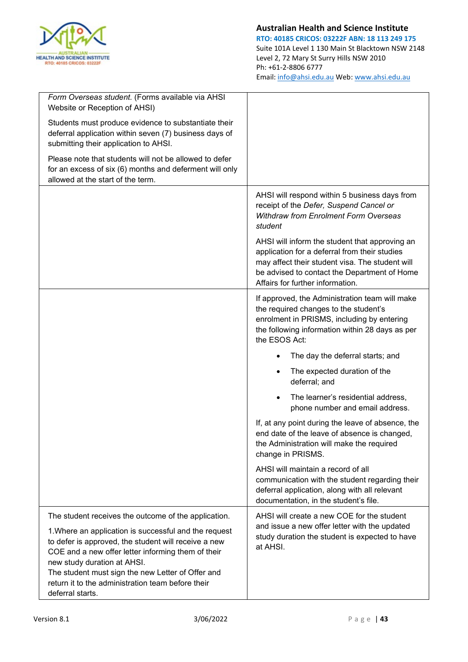

| Form Overseas student. (Forms available via AHSI<br>Website or Reception of AHSI)                                                                                                                                                                                                                                                                                                        |                                                                                                                                                                                                                                        |
|------------------------------------------------------------------------------------------------------------------------------------------------------------------------------------------------------------------------------------------------------------------------------------------------------------------------------------------------------------------------------------------|----------------------------------------------------------------------------------------------------------------------------------------------------------------------------------------------------------------------------------------|
| Students must produce evidence to substantiate their<br>deferral application within seven (7) business days of<br>submitting their application to AHSI.                                                                                                                                                                                                                                  |                                                                                                                                                                                                                                        |
| Please note that students will not be allowed to defer<br>for an excess of six (6) months and deferment will only<br>allowed at the start of the term.                                                                                                                                                                                                                                   |                                                                                                                                                                                                                                        |
|                                                                                                                                                                                                                                                                                                                                                                                          | AHSI will respond within 5 business days from<br>receipt of the Defer, Suspend Cancel or<br><b>Withdraw from Enrolment Form Overseas</b><br>student                                                                                    |
|                                                                                                                                                                                                                                                                                                                                                                                          | AHSI will inform the student that approving an<br>application for a deferral from their studies<br>may affect their student visa. The student will<br>be advised to contact the Department of Home<br>Affairs for further information. |
|                                                                                                                                                                                                                                                                                                                                                                                          | If approved, the Administration team will make<br>the required changes to the student's<br>enrolment in PRISMS, including by entering<br>the following information within 28 days as per<br>the ESOS Act:                              |
|                                                                                                                                                                                                                                                                                                                                                                                          | The day the deferral starts; and                                                                                                                                                                                                       |
|                                                                                                                                                                                                                                                                                                                                                                                          | The expected duration of the<br>deferral; and                                                                                                                                                                                          |
|                                                                                                                                                                                                                                                                                                                                                                                          | The learner's residential address,<br>phone number and email address.                                                                                                                                                                  |
|                                                                                                                                                                                                                                                                                                                                                                                          | If, at any point during the leave of absence, the<br>end date of the leave of absence is changed,<br>the Administration will make the required<br>change in PRISMS.                                                                    |
|                                                                                                                                                                                                                                                                                                                                                                                          | AHSI will maintain a record of all<br>communication with the student regarding their<br>deferral application, along with all relevant<br>documentation, in the student's file.                                                         |
| The student receives the outcome of the application.<br>1. Where an application is successful and the request<br>to defer is approved, the student will receive a new<br>COE and a new offer letter informing them of their<br>new study duration at AHSI.<br>The student must sign the new Letter of Offer and<br>return it to the administration team before their<br>deferral starts. | AHSI will create a new COE for the student<br>and issue a new offer letter with the updated<br>study duration the student is expected to have<br>at AHSI.                                                                              |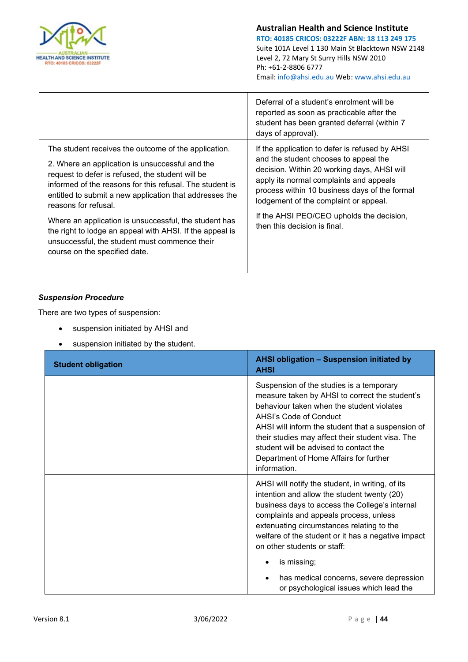

|                                                                                                                                                                                                                                                                                                                                                                                                                                                                                                                   | Deferral of a student's enrolment will be<br>reported as soon as practicable after the<br>student has been granted deferral (within 7<br>days of approval).                                                                                                                                                                                              |
|-------------------------------------------------------------------------------------------------------------------------------------------------------------------------------------------------------------------------------------------------------------------------------------------------------------------------------------------------------------------------------------------------------------------------------------------------------------------------------------------------------------------|----------------------------------------------------------------------------------------------------------------------------------------------------------------------------------------------------------------------------------------------------------------------------------------------------------------------------------------------------------|
| The student receives the outcome of the application.<br>2. Where an application is unsuccessful and the<br>request to defer is refused, the student will be<br>informed of the reasons for this refusal. The student is<br>entitled to submit a new application that addresses the<br>reasons for refusal.<br>Where an application is unsuccessful, the student has<br>the right to lodge an appeal with AHSI. If the appeal is<br>unsuccessful, the student must commence their<br>course on the specified date. | If the application to defer is refused by AHSI<br>and the student chooses to appeal the<br>decision. Within 20 working days, AHSI will<br>apply its normal complaints and appeals<br>process within 10 business days of the formal<br>lodgement of the complaint or appeal.<br>If the AHSI PEO/CEO upholds the decision,<br>then this decision is final. |

## *Suspension Procedure*

There are two types of suspension:

- suspension initiated by AHSI and
- suspension initiated by the student.

| <b>Student obligation</b> | AHSI obligation - Suspension initiated by<br><b>AHSI</b>                                                                                                                                                                                                                                                                                                                       |
|---------------------------|--------------------------------------------------------------------------------------------------------------------------------------------------------------------------------------------------------------------------------------------------------------------------------------------------------------------------------------------------------------------------------|
|                           | Suspension of the studies is a temporary<br>measure taken by AHSI to correct the student's<br>behaviour taken when the student violates<br>AHSI's Code of Conduct<br>AHSI will inform the student that a suspension of<br>their studies may affect their student visa. The<br>student will be advised to contact the<br>Department of Home Affairs for further<br>information. |
|                           | AHSI will notify the student, in writing, of its<br>intention and allow the student twenty (20)<br>business days to access the College's internal<br>complaints and appeals process, unless<br>extenuating circumstances relating to the<br>welfare of the student or it has a negative impact<br>on other students or staff:<br>is missing;                                   |
|                           | has medical concerns, severe depression<br>or psychological issues which lead the                                                                                                                                                                                                                                                                                              |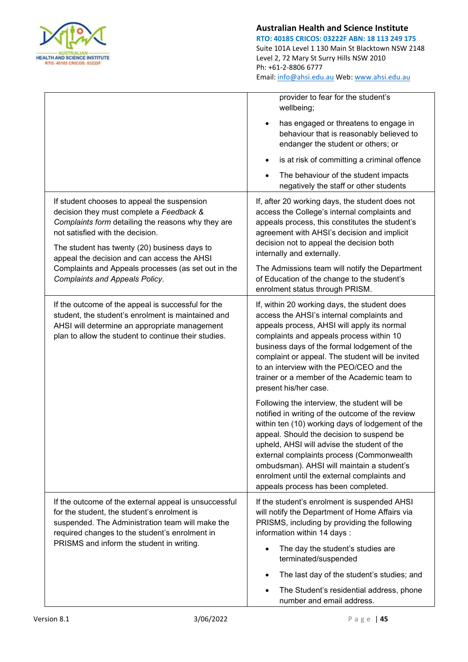

|                                                                                                                                                                                                                                                                                  | provider to fear for the student's<br>wellbeing;                                                                                                                                                                                                                                                                                                                                                                                  |
|----------------------------------------------------------------------------------------------------------------------------------------------------------------------------------------------------------------------------------------------------------------------------------|-----------------------------------------------------------------------------------------------------------------------------------------------------------------------------------------------------------------------------------------------------------------------------------------------------------------------------------------------------------------------------------------------------------------------------------|
|                                                                                                                                                                                                                                                                                  | has engaged or threatens to engage in<br>behaviour that is reasonably believed to<br>endanger the student or others; or                                                                                                                                                                                                                                                                                                           |
|                                                                                                                                                                                                                                                                                  | is at risk of committing a criminal offence                                                                                                                                                                                                                                                                                                                                                                                       |
|                                                                                                                                                                                                                                                                                  | The behaviour of the student impacts<br>negatively the staff or other students                                                                                                                                                                                                                                                                                                                                                    |
| If student chooses to appeal the suspension<br>decision they must complete a Feedback &<br>Complaints form detailing the reasons why they are<br>not satisfied with the decision.<br>The student has twenty (20) business days to<br>appeal the decision and can access the AHSI | If, after 20 working days, the student does not<br>access the College's internal complaints and<br>appeals process, this constitutes the student's<br>agreement with AHSI's decision and implicit<br>decision not to appeal the decision both<br>internally and externally.                                                                                                                                                       |
| Complaints and Appeals processes (as set out in the<br><b>Complaints and Appeals Policy.</b>                                                                                                                                                                                     | The Admissions team will notify the Department<br>of Education of the change to the student's<br>enrolment status through PRISM.                                                                                                                                                                                                                                                                                                  |
| If the outcome of the appeal is successful for the<br>student, the student's enrolment is maintained and<br>AHSI will determine an appropriate management<br>plan to allow the student to continue their studies.                                                                | If, within 20 working days, the student does<br>access the AHSI's internal complaints and<br>appeals process, AHSI will apply its normal<br>complaints and appeals process within 10<br>business days of the formal lodgement of the<br>complaint or appeal. The student will be invited<br>to an interview with the PEO/CEO and the<br>trainer or a member of the Academic team to<br>present his/her case.                      |
|                                                                                                                                                                                                                                                                                  | Following the interview, the student will be<br>notified in writing of the outcome of the review<br>within ten (10) working days of lodgement of the<br>appeal. Should the decision to suspend be<br>upheld, AHSI will advise the student of the<br>external complaints process (Commonwealth<br>ombudsman). AHSI will maintain a student's<br>enrolment until the external complaints and<br>appeals process has been completed. |
| If the outcome of the external appeal is unsuccessful<br>for the student, the student's enrolment is<br>suspended. The Administration team will make the<br>required changes to the student's enrolment in<br>PRISMS and inform the student in writing.                          | If the student's enrolment is suspended AHSI<br>will notify the Department of Home Affairs via<br>PRISMS, including by providing the following<br>information within 14 days:                                                                                                                                                                                                                                                     |
|                                                                                                                                                                                                                                                                                  | The day the student's studies are<br>terminated/suspended                                                                                                                                                                                                                                                                                                                                                                         |
|                                                                                                                                                                                                                                                                                  | The last day of the student's studies; and                                                                                                                                                                                                                                                                                                                                                                                        |
|                                                                                                                                                                                                                                                                                  | The Student's residential address, phone<br>number and email address.                                                                                                                                                                                                                                                                                                                                                             |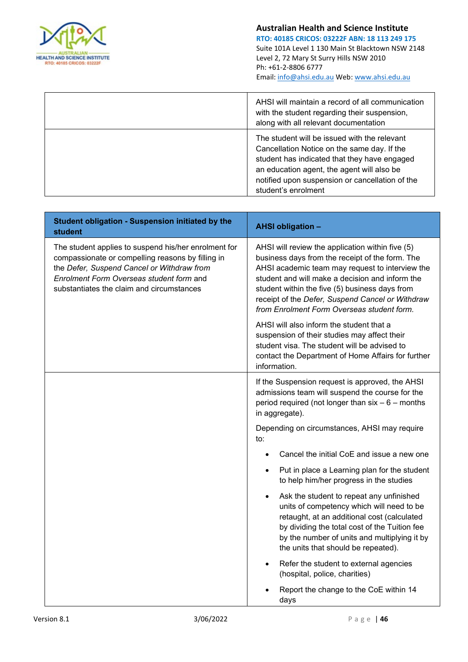

| AHSI will maintain a record of all communication<br>with the student regarding their suspension,<br>along with all relevant documentation                                                                                                                           |
|---------------------------------------------------------------------------------------------------------------------------------------------------------------------------------------------------------------------------------------------------------------------|
| The student will be issued with the relevant<br>Cancellation Notice on the same day. If the<br>student has indicated that they have engaged<br>an education agent, the agent will also be<br>notified upon suspension or cancellation of the<br>student's enrolment |

| Student obligation - Suspension initiated by the<br><b>student</b>                                                                                                                                                                               | <b>AHSI obligation -</b>                                                                                                                                                                                                                                                                                                                                      |
|--------------------------------------------------------------------------------------------------------------------------------------------------------------------------------------------------------------------------------------------------|---------------------------------------------------------------------------------------------------------------------------------------------------------------------------------------------------------------------------------------------------------------------------------------------------------------------------------------------------------------|
| The student applies to suspend his/her enrolment for<br>compassionate or compelling reasons by filling in<br>the Defer, Suspend Cancel or Withdraw from<br>Enrolment Form Overseas student form and<br>substantiates the claim and circumstances | AHSI will review the application within five (5)<br>business days from the receipt of the form. The<br>AHSI academic team may request to interview the<br>student and will make a decision and inform the<br>student within the five (5) business days from<br>receipt of the Defer, Suspend Cancel or Withdraw<br>from Enrolment Form Overseas student form. |
|                                                                                                                                                                                                                                                  | AHSI will also inform the student that a<br>suspension of their studies may affect their<br>student visa. The student will be advised to<br>contact the Department of Home Affairs for further<br>information.                                                                                                                                                |
|                                                                                                                                                                                                                                                  | If the Suspension request is approved, the AHSI<br>admissions team will suspend the course for the<br>period required (not longer than $six - 6$ – months<br>in aggregate).                                                                                                                                                                                   |
|                                                                                                                                                                                                                                                  | Depending on circumstances, AHSI may require<br>to:                                                                                                                                                                                                                                                                                                           |
|                                                                                                                                                                                                                                                  | Cancel the initial CoE and issue a new one                                                                                                                                                                                                                                                                                                                    |
|                                                                                                                                                                                                                                                  | Put in place a Learning plan for the student<br>to help him/her progress in the studies                                                                                                                                                                                                                                                                       |
|                                                                                                                                                                                                                                                  | Ask the student to repeat any unfinished<br>units of competency which will need to be<br>retaught, at an additional cost (calculated<br>by dividing the total cost of the Tuition fee<br>by the number of units and multiplying it by<br>the units that should be repeated).                                                                                  |
|                                                                                                                                                                                                                                                  | Refer the student to external agencies<br>(hospital, police, charities)                                                                                                                                                                                                                                                                                       |
|                                                                                                                                                                                                                                                  | Report the change to the CoE within 14<br>days                                                                                                                                                                                                                                                                                                                |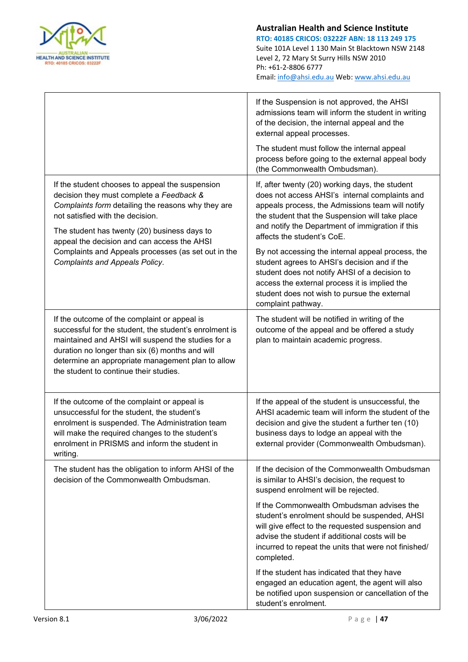

|                                                                                                                                                                                                                                                                                                                | If the Suspension is not approved, the AHSI<br>admissions team will inform the student in writing<br>of the decision, the internal appeal and the<br>external appeal processes.                                                                                                            |
|----------------------------------------------------------------------------------------------------------------------------------------------------------------------------------------------------------------------------------------------------------------------------------------------------------------|--------------------------------------------------------------------------------------------------------------------------------------------------------------------------------------------------------------------------------------------------------------------------------------------|
|                                                                                                                                                                                                                                                                                                                | The student must follow the internal appeal<br>process before going to the external appeal body<br>(the Commonwealth Ombudsman).                                                                                                                                                           |
| If the student chooses to appeal the suspension<br>decision they must complete a Feedback &<br>Complaints form detailing the reasons why they are<br>not satisfied with the decision.<br>The student has twenty (20) business days to<br>appeal the decision and can access the AHSI                           | If, after twenty (20) working days, the student<br>does not access AHSI's internal complaints and<br>appeals process, the Admissions team will notify<br>the student that the Suspension will take place<br>and notify the Department of immigration if this<br>affects the student's CoE. |
| Complaints and Appeals processes (as set out in the<br><b>Complaints and Appeals Policy.</b>                                                                                                                                                                                                                   | By not accessing the internal appeal process, the<br>student agrees to AHSI's decision and if the<br>student does not notify AHSI of a decision to<br>access the external process it is implied the<br>student does not wish to pursue the external<br>complaint pathway.                  |
| If the outcome of the complaint or appeal is<br>successful for the student, the student's enrolment is<br>maintained and AHSI will suspend the studies for a<br>duration no longer than six (6) months and will<br>determine an appropriate management plan to allow<br>the student to continue their studies. | The student will be notified in writing of the<br>outcome of the appeal and be offered a study<br>plan to maintain academic progress.                                                                                                                                                      |
| If the outcome of the complaint or appeal is<br>unsuccessful for the student, the student's<br>enrolment is suspended. The Administration team<br>will make the required changes to the student's<br>enrolment in PRISMS and inform the student in<br>writing.                                                 | If the appeal of the student is unsuccessful, the<br>AHSI academic team will inform the student of the<br>decision and give the student a further ten (10)<br>business days to lodge an appeal with the<br>external provider (Commonwealth Ombudsman).                                     |
| The student has the obligation to inform AHSI of the<br>decision of the Commonwealth Ombudsman.                                                                                                                                                                                                                | If the decision of the Commonwealth Ombudsman<br>is similar to AHSI's decision, the request to<br>suspend enrolment will be rejected.                                                                                                                                                      |
|                                                                                                                                                                                                                                                                                                                | If the Commonwealth Ombudsman advises the<br>student's enrolment should be suspended, AHSI<br>will give effect to the requested suspension and<br>advise the student if additional costs will be<br>incurred to repeat the units that were not finished/<br>completed.                     |
|                                                                                                                                                                                                                                                                                                                | If the student has indicated that they have<br>engaged an education agent, the agent will also<br>be notified upon suspension or cancellation of the<br>student's enrolment.                                                                                                               |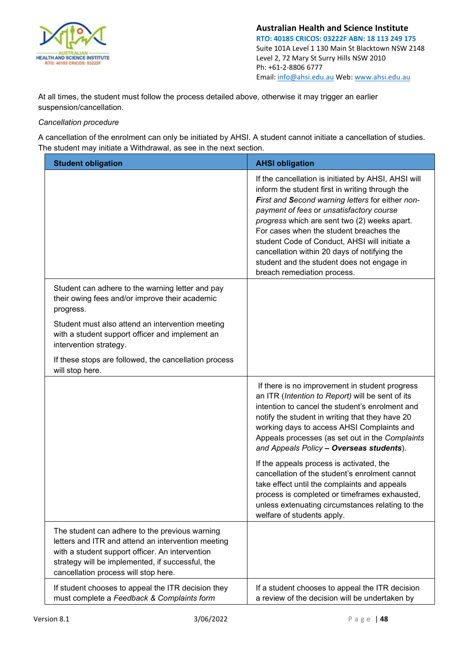

At all times, the student must follow the process detailed above, otherwise it may trigger an earlier suspension/cancellation.

## *Cancellation procedure*

A cancellation of the enrolment can only be initiated by AHSI. A student cannot initiate a cancellation of studies. The student may initiate a Withdrawal, as see in the next section.

| <b>Student obligation</b>                                                                                                                                                                                                                           | <b>AHSI obligation</b>                                                                                                                                                                                                                                                                                                                                                                                                                                                          |
|-----------------------------------------------------------------------------------------------------------------------------------------------------------------------------------------------------------------------------------------------------|---------------------------------------------------------------------------------------------------------------------------------------------------------------------------------------------------------------------------------------------------------------------------------------------------------------------------------------------------------------------------------------------------------------------------------------------------------------------------------|
|                                                                                                                                                                                                                                                     | If the cancellation is initiated by AHSI, AHSI will<br>inform the student first in writing through the<br>First and Second warning letters for either non-<br>payment of fees or unsatisfactory course<br>progress which are sent two (2) weeks apart.<br>For cases when the student breaches the<br>student Code of Conduct, AHSI will initiate a<br>cancellation within 20 days of notifying the<br>student and the student does not engage in<br>breach remediation process. |
| Student can adhere to the warning letter and pay<br>their owing fees and/or improve their academic<br>progress.                                                                                                                                     |                                                                                                                                                                                                                                                                                                                                                                                                                                                                                 |
| Student must also attend an intervention meeting<br>with a student support officer and implement an<br>intervention strategy.                                                                                                                       |                                                                                                                                                                                                                                                                                                                                                                                                                                                                                 |
| If these stops are followed, the cancellation process<br>will stop here.                                                                                                                                                                            |                                                                                                                                                                                                                                                                                                                                                                                                                                                                                 |
|                                                                                                                                                                                                                                                     | If there is no improvement in student progress<br>an ITR (Intention to Report) will be sent of its<br>intention to cancel the student's enrolment and<br>notify the student in writing that they have 20<br>working days to access AHSI Complaints and<br>Appeals processes (as set out in the Complaints<br>and Appeals Policy - Overseas students).                                                                                                                           |
|                                                                                                                                                                                                                                                     | If the appeals process is activated, the<br>cancellation of the student's enrolment cannot<br>take effect until the complaints and appeals<br>process is completed or timeframes exhausted,<br>unless extenuating circumstances relating to the<br>welfare of students apply.                                                                                                                                                                                                   |
| The student can adhere to the previous warning<br>letters and ITR and attend an intervention meeting<br>with a student support officer. An intervention<br>strategy will be implemented, if successful, the<br>cancellation process will stop here. |                                                                                                                                                                                                                                                                                                                                                                                                                                                                                 |
| If student chooses to appeal the ITR decision they<br>must complete a Feedback & Complaints form                                                                                                                                                    | If a student chooses to appeal the ITR decision<br>a review of the decision will be undertaken by                                                                                                                                                                                                                                                                                                                                                                               |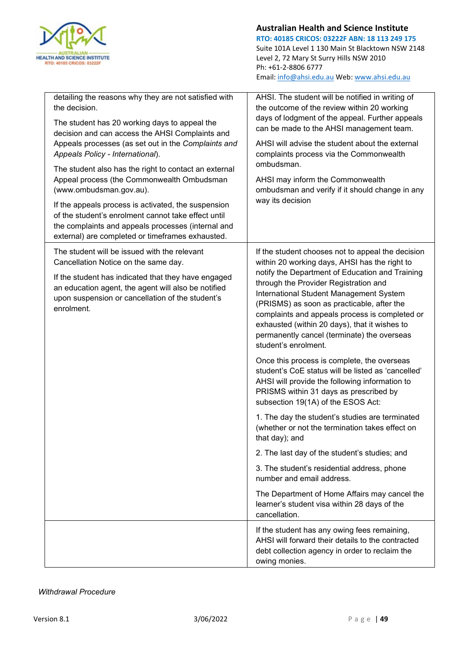

| detailing the reasons why they are not satisfied with<br>the decision.<br>The student has 20 working days to appeal the<br>decision and can access the AHSI Complaints and<br>Appeals processes (as set out in the Complaints and<br>Appeals Policy - International).<br>The student also has the right to contact an external<br>Appeal process (the Commonwealth Ombudsman<br>(www.ombudsman.gov.au).<br>If the appeals process is activated, the suspension<br>of the student's enrolment cannot take effect until<br>the complaints and appeals processes (internal and<br>external) are completed or timeframes exhausted. | AHSI. The student will be notified in writing of<br>the outcome of the review within 20 working<br>days of lodgment of the appeal. Further appeals<br>can be made to the AHSI management team.<br>AHSI will advise the student about the external<br>complaints process via the Commonwealth<br>ombudsman.<br>AHSI may inform the Commonwealth<br>ombudsman and verify if it should change in any<br>way its decision                                             |
|---------------------------------------------------------------------------------------------------------------------------------------------------------------------------------------------------------------------------------------------------------------------------------------------------------------------------------------------------------------------------------------------------------------------------------------------------------------------------------------------------------------------------------------------------------------------------------------------------------------------------------|-------------------------------------------------------------------------------------------------------------------------------------------------------------------------------------------------------------------------------------------------------------------------------------------------------------------------------------------------------------------------------------------------------------------------------------------------------------------|
| The student will be issued with the relevant<br>Cancellation Notice on the same day.<br>If the student has indicated that they have engaged<br>an education agent, the agent will also be notified<br>upon suspension or cancellation of the student's<br>enrolment.                                                                                                                                                                                                                                                                                                                                                            | If the student chooses not to appeal the decision<br>within 20 working days, AHSI has the right to<br>notify the Department of Education and Training<br>through the Provider Registration and<br>International Student Management System<br>(PRISMS) as soon as practicable, after the<br>complaints and appeals process is completed or<br>exhausted (within 20 days), that it wishes to<br>permanently cancel (terminate) the overseas<br>student's enrolment. |
|                                                                                                                                                                                                                                                                                                                                                                                                                                                                                                                                                                                                                                 | Once this process is complete, the overseas<br>student's CoE status will be listed as 'cancelled'<br>AHSI will provide the following information to<br>PRISMS within 31 days as prescribed by<br>subsection 19(1A) of the ESOS Act:                                                                                                                                                                                                                               |
|                                                                                                                                                                                                                                                                                                                                                                                                                                                                                                                                                                                                                                 | 1. The day the student's studies are terminated<br>(whether or not the termination takes effect on<br>that day); and                                                                                                                                                                                                                                                                                                                                              |
|                                                                                                                                                                                                                                                                                                                                                                                                                                                                                                                                                                                                                                 | 2. The last day of the student's studies; and                                                                                                                                                                                                                                                                                                                                                                                                                     |
|                                                                                                                                                                                                                                                                                                                                                                                                                                                                                                                                                                                                                                 | 3. The student's residential address, phone<br>number and email address.                                                                                                                                                                                                                                                                                                                                                                                          |
|                                                                                                                                                                                                                                                                                                                                                                                                                                                                                                                                                                                                                                 | The Department of Home Affairs may cancel the<br>learner's student visa within 28 days of the<br>cancellation.                                                                                                                                                                                                                                                                                                                                                    |
|                                                                                                                                                                                                                                                                                                                                                                                                                                                                                                                                                                                                                                 | If the student has any owing fees remaining,<br>AHSI will forward their details to the contracted<br>debt collection agency in order to reclaim the<br>owing monies.                                                                                                                                                                                                                                                                                              |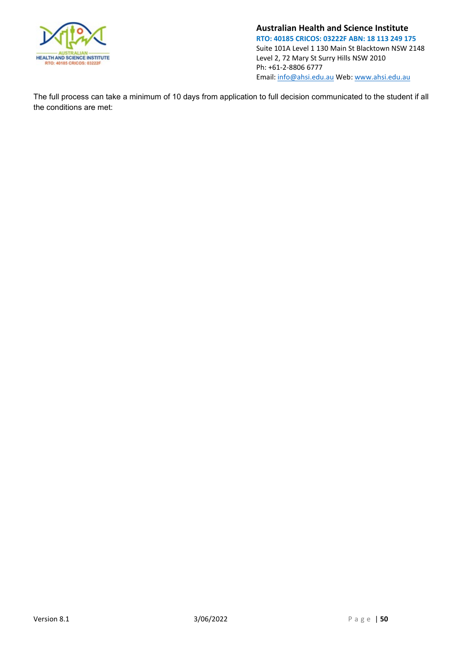

The full process can take a minimum of 10 days from application to full decision communicated to the student if all the conditions are met: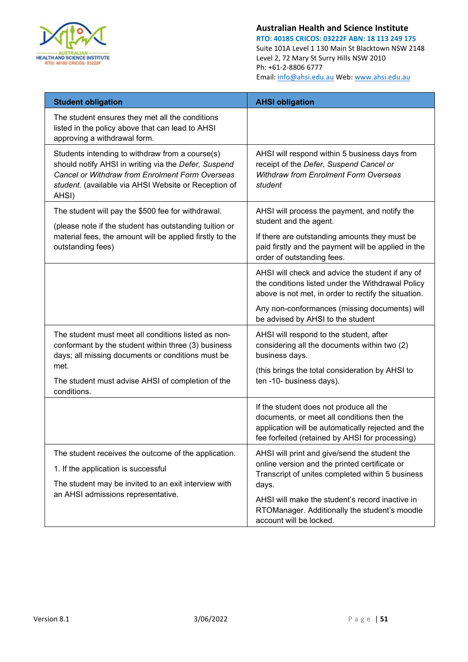

| <b>Student obligation</b>                                                                                                                                                                                                                   | <b>AHSI obligation</b>                                                                                                                                                                                                                                                                     |
|---------------------------------------------------------------------------------------------------------------------------------------------------------------------------------------------------------------------------------------------|--------------------------------------------------------------------------------------------------------------------------------------------------------------------------------------------------------------------------------------------------------------------------------------------|
| The student ensures they met all the conditions<br>listed in the policy above that can lead to AHSI<br>approving a withdrawal form.                                                                                                         |                                                                                                                                                                                                                                                                                            |
| Students intending to withdraw from a course(s)<br>should notify AHSI in writing via the Defer, Suspend<br>Cancel or Withdraw from Enrolment Form Overseas<br>student. (available via AHSI Website or Reception of<br>AHSI)                 | AHSI will respond within 5 business days from<br>receipt of the Defer, Suspend Cancel or<br><b>Withdraw from Enrolment Form Overseas</b><br>student                                                                                                                                        |
| The student will pay the \$500 fee for withdrawal.<br>(please note if the student has outstanding tuition or<br>material fees, the amount will be applied firstly to the<br>outstanding fees)                                               | AHSI will process the payment, and notify the<br>student and the agent.<br>If there are outstanding amounts they must be<br>paid firstly and the payment will be applied in the<br>order of outstanding fees.                                                                              |
|                                                                                                                                                                                                                                             | AHSI will check and advice the student if any of<br>the conditions listed under the Withdrawal Policy<br>above is not met, in order to rectify the situation.<br>Any non-conformances (missing documents) will<br>be advised by AHSI to the student                                        |
| The student must meet all conditions listed as non-<br>conformant by the student within three (3) business<br>days; all missing documents or conditions must be<br>met.<br>The student must advise AHSI of completion of the<br>conditions. | AHSI will respond to the student, after<br>considering all the documents within two (2)<br>business days.<br>(this brings the total consideration by AHSI to<br>ten -10- business days).                                                                                                   |
|                                                                                                                                                                                                                                             | If the student does not produce all the<br>documents, or meet all conditions then the<br>application will be automatically rejected and the<br>fee forfeited (retained by AHSI for processing)                                                                                             |
| The student receives the outcome of the application.<br>1. If the application is successful<br>The student may be invited to an exit interview with<br>an AHSI admissions representative.                                                   | AHSI will print and give/send the student the<br>online version and the printed certificate or<br>Transcript of unites completed within 5 business<br>days.<br>AHSI will make the student's record inactive in<br>RTOManager. Additionally the student's moodle<br>account will be locked. |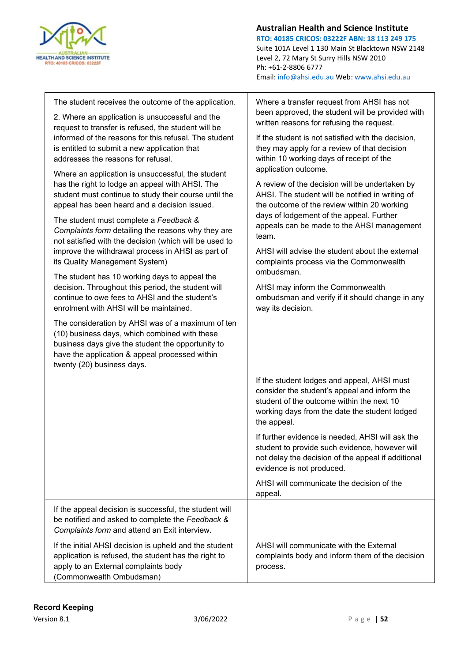

| The student receives the outcome of the application.<br>2. Where an application is unsuccessful and the                                                                                                                                       | Where a transfer request from AHSI has not<br>been approved, the student will be provided with<br>written reasons for refusing the request.                                                                                                                                  |
|-----------------------------------------------------------------------------------------------------------------------------------------------------------------------------------------------------------------------------------------------|------------------------------------------------------------------------------------------------------------------------------------------------------------------------------------------------------------------------------------------------------------------------------|
| request to transfer is refused, the student will be<br>informed of the reasons for this refusal. The student<br>is entitled to submit a new application that<br>addresses the reasons for refusal.                                            | If the student is not satisfied with the decision,<br>they may apply for a review of that decision<br>within 10 working days of receipt of the                                                                                                                               |
| Where an application is unsuccessful, the student<br>has the right to lodge an appeal with AHSI. The<br>student must continue to study their course until the<br>appeal has been heard and a decision issued.                                 | application outcome.<br>A review of the decision will be undertaken by<br>AHSI. The student will be notified in writing of<br>the outcome of the review within 20 working<br>days of lodgement of the appeal. Further<br>appeals can be made to the AHSI management<br>team. |
| The student must complete a Feedback &<br>Complaints form detailing the reasons why they are<br>not satisfied with the decision (which will be used to<br>improve the withdrawal process in AHSI as part of<br>its Quality Management System) |                                                                                                                                                                                                                                                                              |
|                                                                                                                                                                                                                                               | AHSI will advise the student about the external<br>complaints process via the Commonwealth<br>ombudsman.                                                                                                                                                                     |
| The student has 10 working days to appeal the<br>decision. Throughout this period, the student will<br>continue to owe fees to AHSI and the student's<br>enrolment with AHSI will be maintained.                                              | AHSI may inform the Commonwealth<br>ombudsman and verify if it should change in any<br>way its decision.                                                                                                                                                                     |
| The consideration by AHSI was of a maximum of ten<br>(10) business days, which combined with these<br>business days give the student the opportunity to<br>have the application & appeal processed within<br>twenty (20) business days.       |                                                                                                                                                                                                                                                                              |
|                                                                                                                                                                                                                                               | If the student lodges and appeal, AHSI must<br>consider the student's appeal and inform the<br>student of the outcome within the next 10<br>working days from the date the student lodged<br>the appeal.                                                                     |
|                                                                                                                                                                                                                                               | If further evidence is needed, AHSI will ask the<br>student to provide such evidence, however will<br>not delay the decision of the appeal if additional<br>evidence is not produced.                                                                                        |
|                                                                                                                                                                                                                                               | AHSI will communicate the decision of the<br>appeal.                                                                                                                                                                                                                         |
| If the appeal decision is successful, the student will<br>be notified and asked to complete the Feedback &<br>Complaints form and attend an Exit interview.                                                                                   |                                                                                                                                                                                                                                                                              |
| If the initial AHSI decision is upheld and the student<br>application is refused, the student has the right to<br>apply to an External complaints body<br>(Commonwealth Ombudsman)                                                            | AHSI will communicate with the External<br>complaints body and inform them of the decision<br>process.                                                                                                                                                                       |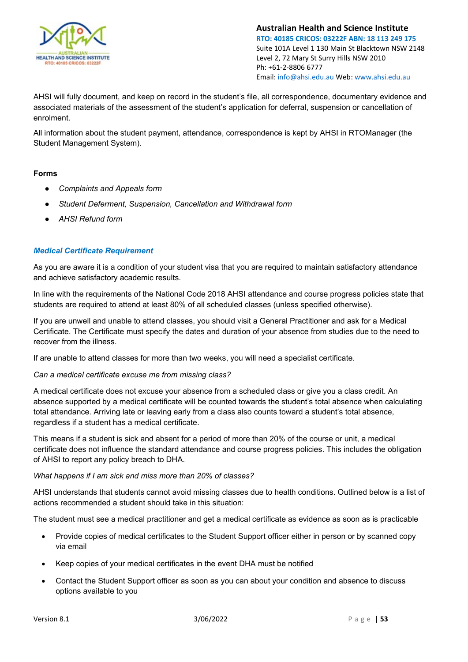

AHSI will fully document, and keep on record in the student's file, all correspondence, documentary evidence and associated materials of the assessment of the student's application for deferral, suspension or cancellation of enrolment.

All information about the student payment, attendance, correspondence is kept by AHSI in RTOManager (the Student Management System).

## **Forms**

- *Complaints and Appeals form*
- *Student Deferment, Suspension, Cancellation and Withdrawal form*
- *AHSI Refund form*

## *Medical Certificate Requirement*

As you are aware it is a condition of your student visa that you are required to maintain satisfactory attendance and achieve satisfactory academic results.

In line with the requirements of the National Code 2018 AHSI attendance and course progress policies state that students are required to attend at least 80% of all scheduled classes (unless specified otherwise).

If you are unwell and unable to attend classes, you should visit a General Practitioner and ask for a Medical Certificate. The Certificate must specify the dates and duration of your absence from studies due to the need to recover from the illness.

If are unable to attend classes for more than two weeks, you will need a specialist certificate.

## *Can a medical certificate excuse me from missing class?*

A medical certificate does not excuse your absence from a scheduled class or give you a class credit. An absence supported by a medical certificate will be counted towards the student's total absence when calculating total attendance. Arriving late or leaving early from a class also counts toward a student's total absence, regardless if a student has a medical certificate.

This means if a student is sick and absent for a period of more than 20% of the course or unit, a medical certificate does not influence the standard attendance and course progress policies. This includes the obligation of AHSI to report any policy breach to DHA.

## *What happens if I am sick and miss more than 20% of classes?*

AHSI understands that students cannot avoid missing classes due to health conditions. Outlined below is a list of actions recommended a student should take in this situation:

The student must see a medical practitioner and get a medical certificate as evidence as soon as is practicable

- Provide copies of medical certificates to the Student Support officer either in person or by scanned copy via email
- Keep copies of your medical certificates in the event DHA must be notified
- Contact the Student Support officer as soon as you can about your condition and absence to discuss options available to you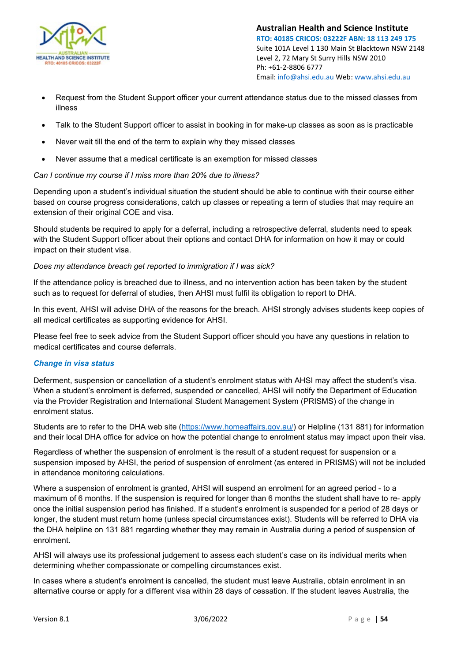

- Request from the Student Support officer your current attendance status due to the missed classes from illness
- Talk to the Student Support officer to assist in booking in for make-up classes as soon as is practicable
- Never wait till the end of the term to explain why they missed classes
- Never assume that a medical certificate is an exemption for missed classes

### *Can I continue my course if I miss more than 20% due to illness?*

Depending upon a student's individual situation the student should be able to continue with their course either based on course progress considerations, catch up classes or repeating a term of studies that may require an extension of their original COE and visa.

Should students be required to apply for a deferral, including a retrospective deferral, students need to speak with the Student Support officer about their options and contact DHA for information on how it may or could impact on their student visa.

### *Does my attendance breach get reported to immigration if I was sick?*

If the attendance policy is breached due to illness, and no intervention action has been taken by the student such as to request for deferral of studies, then AHSI must fulfil its obligation to report to DHA.

In this event, AHSI will advise DHA of the reasons for the breach. AHSI strongly advises students keep copies of all medical certificates as supporting evidence for AHSI.

Please feel free to seek advice from the Student Support officer should you have any questions in relation to medical certificates and course deferrals.

### *Change in visa status*

Deferment, suspension or cancellation of a student's enrolment status with AHSI may affect the student's visa. When a student's enrolment is deferred, suspended or cancelled, AHSI will notify the Department of Education via the Provider Registration and International Student Management System (PRISMS) of the change in enrolment status.

Students are to refer to the DHA web site [\(https://www.homeaffairs.gov.au/\)](https://www.homeaffairs.gov.au/) or Helpline (131 881) for information and their local DHA office for advice on how the potential change to enrolment status may impact upon their visa.

Regardless of whether the suspension of enrolment is the result of a student request for suspension or a suspension imposed by AHSI, the period of suspension of enrolment (as entered in PRISMS) will not be included in attendance monitoring calculations.

Where a suspension of enrolment is granted, AHSI will suspend an enrolment for an agreed period - to a maximum of 6 months. If the suspension is required for longer than 6 months the student shall have to re- apply once the initial suspension period has finished. If a student's enrolment is suspended for a period of 28 days or longer, the student must return home (unless special circumstances exist). Students will be referred to DHA via the DHA helpline on 131 881 regarding whether they may remain in Australia during a period of suspension of enrolment.

AHSI will always use its professional judgement to assess each student's case on its individual merits when determining whether compassionate or compelling circumstances exist.

In cases where a student's enrolment is cancelled, the student must leave Australia, obtain enrolment in an alternative course or apply for a different visa within 28 days of cessation. If the student leaves Australia, the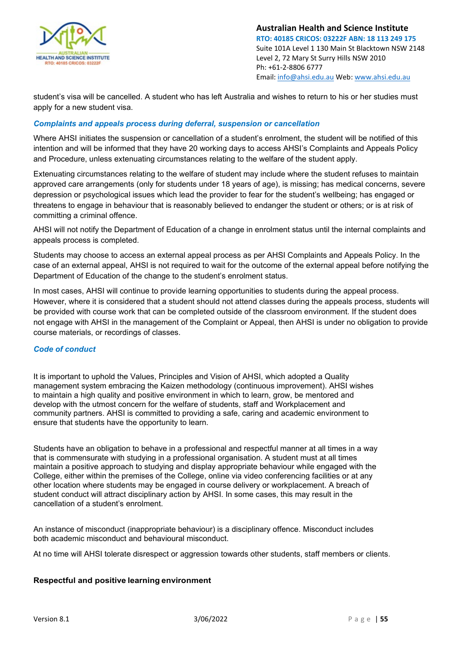

student's visa will be cancelled. A student who has left Australia and wishes to return to his or her studies must apply for a new student visa.

## *Complaints and appeals process during deferral, suspension or cancellation*

Where AHSI initiates the suspension or cancellation of a student's enrolment, the student will be notified of this intention and will be informed that they have 20 working days to access AHSI's Complaints and Appeals Policy and Procedure, unless extenuating circumstances relating to the welfare of the student apply.

Extenuating circumstances relating to the welfare of student may include where the student refuses to maintain approved care arrangements (only for students under 18 years of age), is missing; has medical concerns, severe depression or psychological issues which lead the provider to fear for the student's wellbeing; has engaged or threatens to engage in behaviour that is reasonably believed to endanger the student or others; or is at risk of committing a criminal offence.

AHSI will not notify the Department of Education of a change in enrolment status until the internal complaints and appeals process is completed.

Students may choose to access an external appeal process as per AHSI Complaints and Appeals Policy. In the case of an external appeal, AHSI is not required to wait for the outcome of the external appeal before notifying the Department of Education of the change to the student's enrolment status.

In most cases, AHSI will continue to provide learning opportunities to students during the appeal process. However, where it is considered that a student should not attend classes during the appeals process, students will be provided with course work that can be completed outside of the classroom environment. If the student does not engage with AHSI in the management of the Complaint or Appeal, then AHSI is under no obligation to provide course materials, or recordings of classes.

### *Code of conduct*

It is important to uphold the Values, Principles and Vision of AHSI, which adopted a Quality management system embracing the Kaizen methodology (continuous improvement). AHSI wishes to maintain a high quality and positive environment in which to learn, grow, be mentored and develop with the utmost concern for the welfare of students, staff and Workplacement and community partners. AHSI is committed to providing a safe, caring and academic environment to ensure that students have the opportunity to learn.

Students have an obligation to behave in a professional and respectful manner at all times in a way that is commensurate with studying in a professional organisation. A student must at all times maintain a positive approach to studying and display appropriate behaviour while engaged with the College, either within the premises of the College, online via video conferencing facilities or at any other location where students may be engaged in course delivery or workplacement. A breach of student conduct will attract disciplinary action by AHSI. In some cases, this may result in the cancellation of a student's enrolment.

An instance of misconduct (inappropriate behaviour) is a disciplinary offence. Misconduct includes both academic misconduct and behavioural misconduct.

At no time will AHSI tolerate disrespect or aggression towards other students, staff members or clients.

### **Respectful and positive learning environment**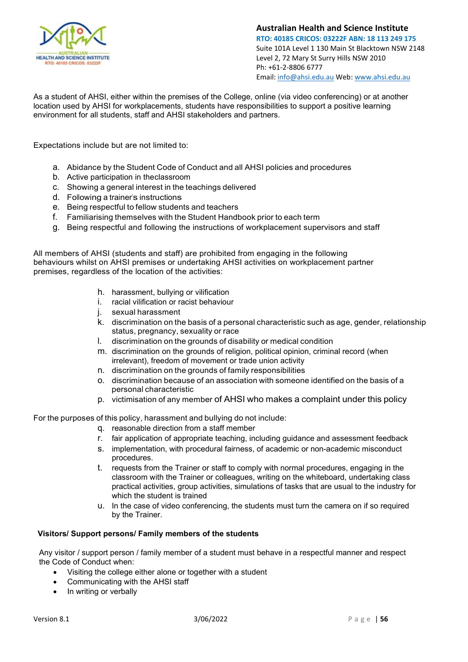

As a student of AHSI, either within the premises of the College, online (via video conferencing) or at another location used by AHSI for workplacements, students have responsibilities to support a positive learning environment for all students, staff and AHSI stakeholders and partners.

Expectations include but are not limited to:

- a. Abidance by the Student Code of Conduct and all AHSI policies and procedures
- b. Active participation in theclassroom
- c. Showing a general interest in the teachings delivered
- d. Following a trainer's instructions
- e. Being respectful to fellow students and teachers
- f. Familiarising themselves with the Student Handbook prior to each term
- g. Being respectful and following the instructions of workplacement supervisors and staff

All members of AHSI (students and staff) are prohibited from engaging in the following behaviours whilst on AHSI premises or undertaking AHSI activities on workplacement partner premises, regardless of the location of the activities:

- h. harassment, bullying or vilification
- i. racial vilification or racist behaviour
- j. sexual harassment
- k. discrimination on the basis of a personal characteristic such as age, gender, relationship status, pregnancy, sexuality or race
- l. discrimination on the grounds of disability or medical condition
- m. discrimination on the grounds of religion, political opinion, criminal record (when irrelevant), freedom of movement or trade union activity
- n. discrimination on the grounds of family responsibilities
- o. discrimination because of an association with someone identified on the basis of a personal characteristic
- p. victimisation of any member of AHSI who makes a complaint under this policy

For the purposes of this policy, harassment and bullying do not include:

- q. reasonable direction from a staff member
- r. fair application of appropriate teaching, including guidance and assessment feedback
- s. implementation, with procedural fairness, of academic or non-academic misconduct procedures.
- t. requests from the Trainer or staff to comply with normal procedures, engaging in the classroom with the Trainer or colleagues, writing on the whiteboard, undertaking class practical activities, group activities, simulations of tasks that are usual to the industry for which the student is trained
- u. In the case of video conferencing, the students must turn the camera on if so required by the Trainer.

### **Visitors/ Support persons/ Family members of the students**

Any visitor / support person / family member of a student must behave in a respectful manner and respect the Code of Conduct when:

- Visiting the college either alone or together with a student
- Communicating with the AHSI staff
- In writing or verbally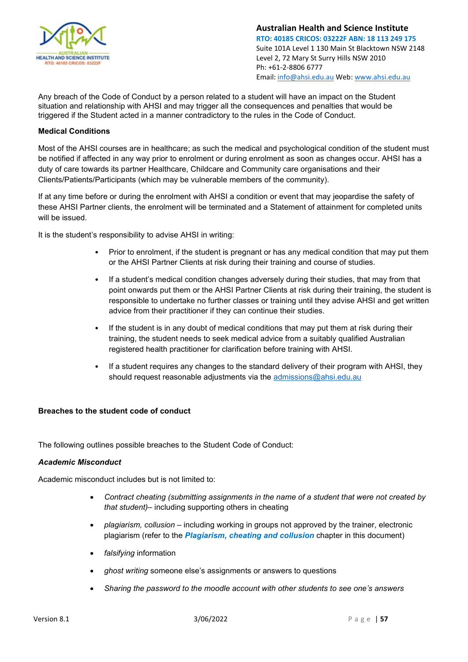

Any breach of the Code of Conduct by a person related to a student will have an impact on the Student situation and relationship with AHSI and may trigger all the consequences and penalties that would be triggered if the Student acted in a manner contradictory to the rules in the Code of Conduct.

## **Medical Conditions**

Most of the AHSI courses are in healthcare; as such the medical and psychological condition of the student must be notified if affected in any way prior to enrolment or during enrolment as soon as changes occur. AHSI has a duty of care towards its partner Healthcare, Childcare and Community care organisations and their Clients/Patients/Participants (which may be vulnerable members of the community).

If at any time before or during the enrolment with AHSI a condition or event that may jeopardise the safety of these AHSI Partner clients, the enrolment will be terminated and a Statement of attainment for completed units will be issued.

It is the student's responsibility to advise AHSI in writing:

- Prior to enrolment, if the student is pregnant or has any medical condition that may put them or the AHSI Partner Clients at risk during their training and course of studies.
- If a student's medical condition changes adversely during their studies, that may from that point onwards put them or the AHSI Partner Clients at risk during their training, the student is responsible to undertake no further classes or training until they advise AHSI and get written advice from their practitioner if they can continue their studies.
- If the student is in any doubt of medical conditions that may put them at risk during their training, the student needs to seek medical advice from a suitably qualified Australian registered health practitioner for clarification before training with AHSI.
- If a student requires any changes to the standard delivery of their program with AHSI, they should request reasonable adjustments via the [admissions@ahsi.edu.au](mailto:admissions@ahsi.edu.au)

### **Breaches to the student code of conduct**

The following outlines possible breaches to the Student Code of Conduct:

### *Academic Misconduct*

Academic misconduct includes but is not limited to:

- *Contract cheating (submitting assignments in the name of a student that were not created by that student)*– including supporting others in cheating
- *plagiarism, collusion*  including working in groups not approved by the trainer, electronic plagiarism (refer to the *Plagiarism, cheating and collusion* chapter in this document)
- *falsifying* information
- *ghost writing* someone else's assignments or answers to questions
- *Sharing the password to the moodle account with other students to see one's answers*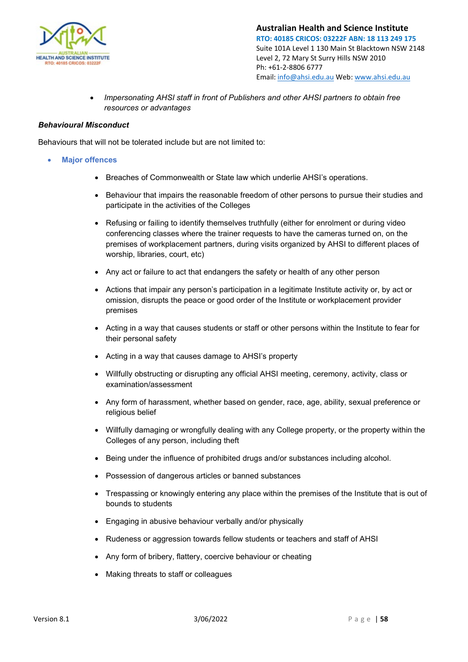

• *Impersonating AHSI staff in front of Publishers and other AHSI partners to obtain free resources or advantages*

## *Behavioural Misconduct*

Behaviours that will not be tolerated include but are not limited to:

- **Major offences**
	- Breaches of Commonwealth or State law which underlie AHSI's operations.
	- Behaviour that impairs the reasonable freedom of other persons to pursue their studies and participate in the activities of the Colleges
	- Refusing or failing to identify themselves truthfully (either for enrolment or during video conferencing classes where the trainer requests to have the cameras turned on, on the premises of workplacement partners, during visits organized by AHSI to different places of worship, libraries, court, etc)
	- Any act or failure to act that endangers the safety or health of any other person
	- Actions that impair any person's participation in a legitimate Institute activity or, by act or omission, disrupts the peace or good order of the Institute or workplacement provider premises
	- Acting in a way that causes students or staff or other persons within the Institute to fear for their personal safety
	- Acting in a way that causes damage to AHSI's property
	- Willfully obstructing or disrupting any official AHSI meeting, ceremony, activity, class or examination/assessment
	- Any form of harassment, whether based on gender, race, age, ability, sexual preference or religious belief
	- Willfully damaging or wrongfully dealing with any College property, or the property within the Colleges of any person, including theft
	- Being under the influence of prohibited drugs and/or substances including alcohol.
	- Possession of dangerous articles or banned substances
	- Trespassing or knowingly entering any place within the premises of the Institute that is out of bounds to students
	- Engaging in abusive behaviour verbally and/or physically
	- Rudeness or aggression towards fellow students or teachers and staff of AHSI
	- Any form of bribery, flattery, coercive behaviour or cheating
	- Making threats to staff or colleagues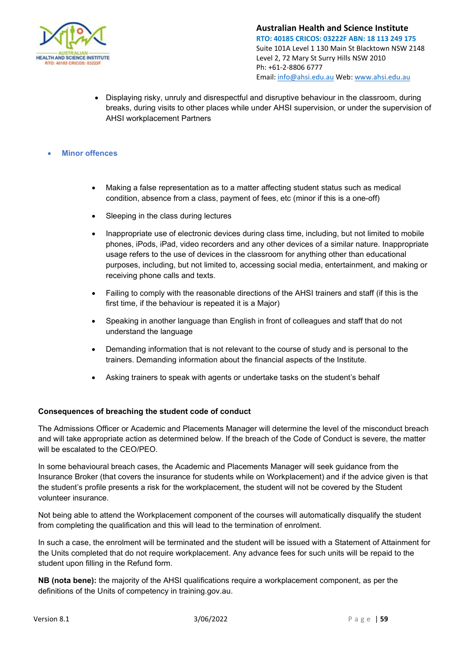

• Displaying risky, unruly and disrespectful and disruptive behaviour in the classroom, during breaks, during visits to other places while under AHSI supervision, or under the supervision of AHSI workplacement Partners

## • **Minor offences**

- Making a false representation as to a matter affecting student status such as medical condition, absence from a class, payment of fees, etc (minor if this is a one-off)
- Sleeping in the class during lectures
- Inappropriate use of electronic devices during class time, including, but not limited to mobile phones, iPods, iPad, video recorders and any other devices of a similar nature. Inappropriate usage refers to the use of devices in the classroom for anything other than educational purposes, including, but not limited to, accessing social media, entertainment, and making or receiving phone calls and texts.
- Failing to comply with the reasonable directions of the AHSI trainers and staff (if this is the first time, if the behaviour is repeated it is a Major)
- Speaking in another language than English in front of colleagues and staff that do not understand the language
- Demanding information that is not relevant to the course of study and is personal to the trainers. Demanding information about the financial aspects of the Institute.
- Asking trainers to speak with agents or undertake tasks on the student's behalf

### **Consequences of breaching the student code of conduct**

The Admissions Officer or Academic and Placements Manager will determine the level of the misconduct breach and will take appropriate action as determined below. If the breach of the Code of Conduct is severe, the matter will be escalated to the CEO/PEO.

In some behavioural breach cases, the Academic and Placements Manager will seek guidance from the Insurance Broker (that covers the insurance for students while on Workplacement) and if the advice given is that the student's profile presents a risk for the workplacement, the student will not be covered by the Student volunteer insurance.

Not being able to attend the Workplacement component of the courses will automatically disqualify the student from completing the qualification and this will lead to the termination of enrolment.

In such a case, the enrolment will be terminated and the student will be issued with a Statement of Attainment for the Units completed that do not require workplacement. Any advance fees for such units will be repaid to the student upon filling in the Refund form.

**NB (nota bene):** the majority of the AHSI qualifications require a workplacement component, as per the definitions of the Units of competency in training.gov.au.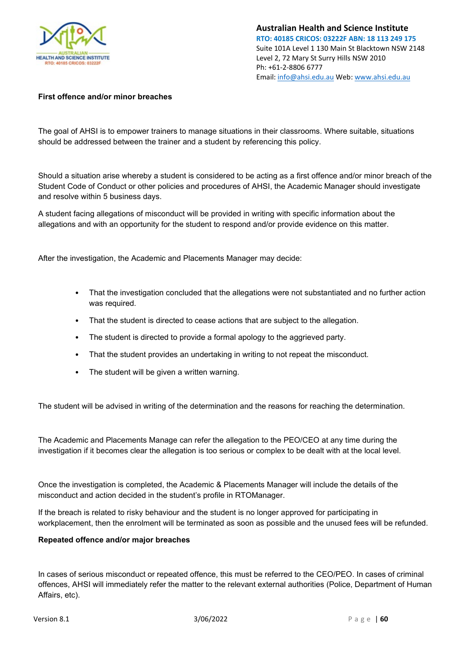

## **First offence and/or minor breaches**

The goal of AHSI is to empower trainers to manage situations in their classrooms. Where suitable, situations should be addressed between the trainer and a student by referencing this policy.

Should a situation arise whereby a student is considered to be acting as a first offence and/or minor breach of the Student Code of Conduct or other policies and procedures of AHSI, the Academic Manager should investigate and resolve within 5 business days.

A student facing allegations of misconduct will be provided in writing with specific information about the allegations and with an opportunity for the student to respond and/or provide evidence on this matter.

After the investigation, the Academic and Placements Manager may decide:

- That the investigation concluded that the allegations were not substantiated and no further action was required.
- That the student is directed to cease actions that are subject to the allegation.
- The student is directed to provide a formal apology to the aggrieved party.
- That the student provides an undertaking in writing to not repeat the misconduct.
- The student will be given a written warning.

The student will be advised in writing of the determination and the reasons for reaching the determination.

The Academic and Placements Manage can refer the allegation to the PEO/CEO at any time during the investigation if it becomes clear the allegation is too serious or complex to be dealt with at the local level.

Once the investigation is completed, the Academic & Placements Manager will include the details of the misconduct and action decided in the student's profile in RTOManager.

If the breach is related to risky behaviour and the student is no longer approved for participating in workplacement, then the enrolment will be terminated as soon as possible and the unused fees will be refunded.

### **Repeated offence and/or major breaches**

In cases of serious misconduct or repeated offence, this must be referred to the CEO/PEO. In cases of criminal offences, AHSI will immediately refer the matter to the relevant external authorities (Police, Department of Human Affairs, etc).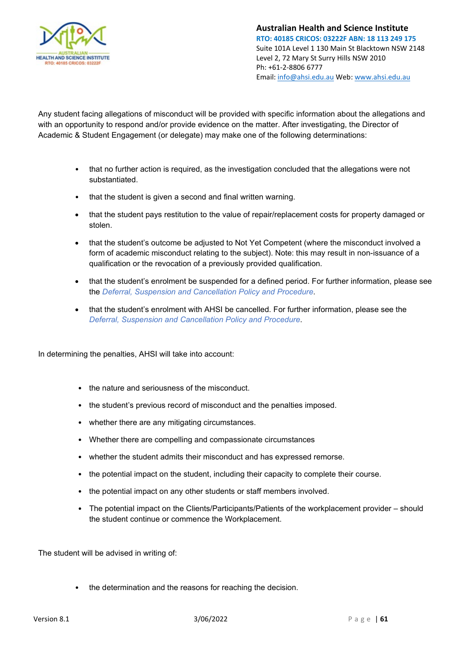

Any student facing allegations of misconduct will be provided with specific information about the allegations and with an opportunity to respond and/or provide evidence on the matter. After investigating, the Director of Academic & Student Engagement (or delegate) may make one of the following determinations:

- that no further action is required, as the investigation concluded that the allegations were not substantiated.
- that the student is given a second and final written warning.
- that the student pays restitution to the value of repair/replacement costs for property damaged or stolen.
- that the student's outcome be adjusted to Not Yet Competent (where the misconduct involved a form of academic misconduct relating to the subject). Note: this may result in non-issuance of a qualification or the revocation of a previously provided qualification.
- that the student's enrolment be suspended for a defined period. For further information, please see the *Deferral, Suspension and Cancellation Policy and Procedure*.
- that the student's enrolment with AHSI be cancelled. For further information, please see the *Deferral, Suspension and Cancellation Policy and Procedure*.

In determining the penalties, AHSI will take into account:

- the nature and seriousness of the misconduct.
- the student's previous record of misconduct and the penalties imposed.
- whether there are any mitigating circumstances.
- Whether there are compelling and compassionate circumstances
- whether the student admits their misconduct and has expressed remorse.
- the potential impact on the student, including their capacity to complete their course.
- the potential impact on any other students or staff members involved.
- The potential impact on the Clients/Participants/Patients of the workplacement provider should the student continue or commence the Workplacement.

The student will be advised in writing of:

• the determination and the reasons for reaching the decision.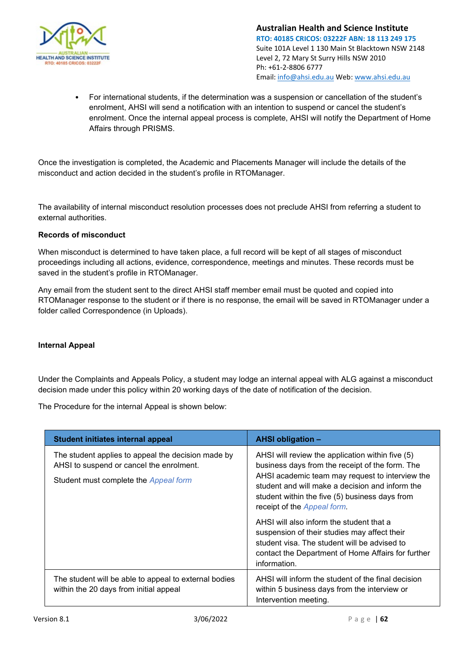

• For international students, if the determination was a suspension or cancellation of the student's enrolment, AHSI will send a notification with an intention to suspend or cancel the student's enrolment. Once the internal appeal process is complete, AHSI will notify the Department of Home Affairs through PRISMS.

Once the investigation is completed, the Academic and Placements Manager will include the details of the misconduct and action decided in the student's profile in RTOManager.

The availability of internal misconduct resolution processes does not preclude AHSI from referring a student to external authorities.

## **Records of misconduct**

When misconduct is determined to have taken place, a full record will be kept of all stages of misconduct proceedings including all actions, evidence, correspondence, meetings and minutes. These records must be saved in the student's profile in RTOManager.

Any email from the student sent to the direct AHSI staff member email must be quoted and copied into RTOManager response to the student or if there is no response, the email will be saved in RTOManager under a folder called Correspondence (in Uploads).

## **Internal Appeal**

Under the Complaints and Appeals Policy, a student may lodge an internal appeal with ALG against a misconduct decision made under this policy within 20 working days of the date of notification of the decision.

The Procedure for the internal Appeal is shown below:

| <b>Student initiates internal appeal</b>                                                                                                | <b>AHSI obligation -</b>                                                                                                                                                                                                                                                                                                                                                                                                                                                                                     |
|-----------------------------------------------------------------------------------------------------------------------------------------|--------------------------------------------------------------------------------------------------------------------------------------------------------------------------------------------------------------------------------------------------------------------------------------------------------------------------------------------------------------------------------------------------------------------------------------------------------------------------------------------------------------|
| The student applies to appeal the decision made by<br>AHSI to suspend or cancel the enrolment.<br>Student must complete the Appeal form | AHSI will review the application within five (5)<br>business days from the receipt of the form. The<br>AHSI academic team may request to interview the<br>student and will make a decision and inform the<br>student within the five (5) business days from<br>receipt of the Appeal form.<br>AHSI will also inform the student that a<br>suspension of their studies may affect their<br>student visa. The student will be advised to<br>contact the Department of Home Affairs for further<br>information. |
| The student will be able to appeal to external bodies<br>within the 20 days from initial appeal                                         | AHSI will inform the student of the final decision<br>within 5 business days from the interview or<br>Intervention meeting.                                                                                                                                                                                                                                                                                                                                                                                  |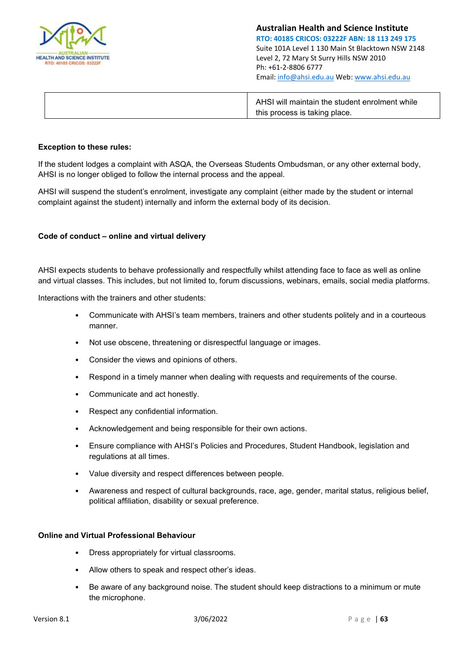

| AHSI will maintain the student enrolment while |
|------------------------------------------------|
| this process is taking place.                  |

### **Exception to these rules:**

If the student lodges a complaint with ASQA, the Overseas Students Ombudsman, or any other external body, AHSI is no longer obliged to follow the internal process and the appeal.

AHSI will suspend the student's enrolment, investigate any complaint (either made by the student or internal complaint against the student) internally and inform the external body of its decision.

### **Code of conduct – online and virtual delivery**

AHSI expects students to behave professionally and respectfully whilst attending face to face as well as online and virtual classes. This includes, but not limited to, forum discussions, webinars, emails, social media platforms.

Interactions with the trainers and other students:

- Communicate with AHSI's team members, trainers and other students politely and in a courteous manner.
- Not use obscene, threatening or disrespectful language or images.
- Consider the views and opinions of others.
- Respond in a timely manner when dealing with requests and requirements of the course.
- Communicate and act honestly.
- Respect any confidential information.
- Acknowledgement and being responsible for their own actions.
- Ensure compliance with AHSI's Policies and Procedures, Student Handbook, legislation and regulations at all times.
- Value diversity and respect differences between people.
- Awareness and respect of cultural backgrounds, race, age, gender, marital status, religious belief, political affiliation, disability or sexual preference.

### **Online and Virtual Professional Behaviour**

- Dress appropriately for virtual classrooms.
- Allow others to speak and respect other's ideas.
- Be aware of any background noise. The student should keep distractions to a minimum or mute the microphone.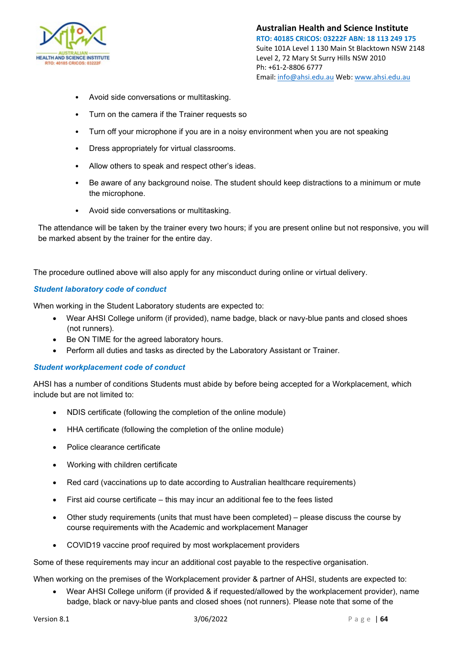

- Avoid side conversations or multitasking.
- Turn on the camera if the Trainer requests so
- Turn off your microphone if you are in a noisy environment when you are not speaking
- Dress appropriately for virtual classrooms.
- Allow others to speak and respect other's ideas.
- Be aware of any background noise. The student should keep distractions to a minimum or mute the microphone.
- Avoid side conversations or multitasking.

The attendance will be taken by the trainer every two hours; if you are present online but not responsive, you will be marked absent by the trainer for the entire day.

The procedure outlined above will also apply for any misconduct during online or virtual delivery.

## *Student laboratory code of conduct*

When working in the Student Laboratory students are expected to:

- Wear AHSI College uniform (if provided), name badge, black or navy-blue pants and closed shoes (not runners).
- Be ON TIME for the agreed laboratory hours.
- Perform all duties and tasks as directed by the Laboratory Assistant or Trainer.

## *Student workplacement code of conduct*

AHSI has a number of conditions Students must abide by before being accepted for a Workplacement, which include but are not limited to:

- NDIS certificate (following the completion of the online module)
- HHA certificate (following the completion of the online module)
- Police clearance certificate
- Working with children certificate
- Red card (vaccinations up to date according to Australian healthcare requirements)
- First aid course certificate this may incur an additional fee to the fees listed
- Other study requirements (units that must have been completed) please discuss the course by course requirements with the Academic and workplacement Manager
- COVID19 vaccine proof required by most workplacement providers

Some of these requirements may incur an additional cost payable to the respective organisation.

When working on the premises of the Workplacement provider & partner of AHSI, students are expected to:

• Wear AHSI College uniform (if provided & if requested/allowed by the workplacement provider), name badge, black or navy-blue pants and closed shoes (not runners). Please note that some of the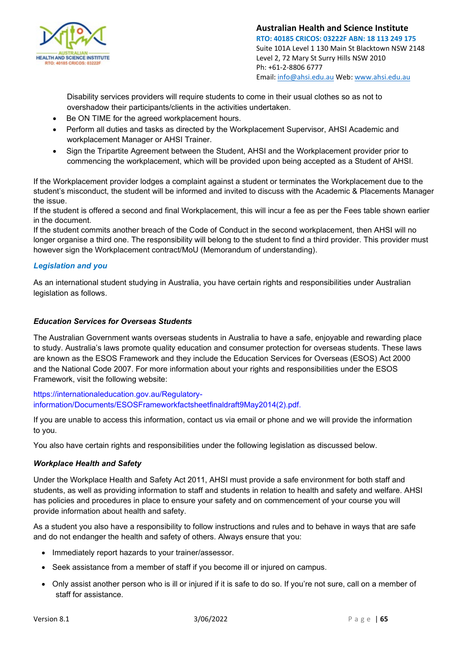

Disability services providers will require students to come in their usual clothes so as not to overshadow their participants/clients in the activities undertaken.

- Be ON TIME for the agreed workplacement hours.
- Perform all duties and tasks as directed by the Workplacement Supervisor, AHSI Academic and workplacement Manager or AHSI Trainer.
- Sign the Tripartite Agreement between the Student, AHSI and the Workplacement provider prior to commencing the workplacement, which will be provided upon being accepted as a Student of AHSI.

If the Workplacement provider lodges a complaint against a student or terminates the Workplacement due to the student's misconduct, the student will be informed and invited to discuss with the Academic & Placements Manager the issue.

If the student is offered a second and final Workplacement, this will incur a fee as per the Fees table shown earlier in the document.

If the student commits another breach of the Code of Conduct in the second workplacement, then AHSI will no longer organise a third one. The responsibility will belong to the student to find a third provider. This provider must however sign the Workplacement contract/MoU (Memorandum of understanding).

## *Legislation and you*

As an international student studying in Australia, you have certain rights and responsibilities under Australian legislation as follows.

## *Education Services for Overseas Students*

The Australian Government wants overseas students in Australia to have a safe, enjoyable and rewarding place to study. Australia's laws promote quality education and consumer protection for overseas students. These laws are known as the ESOS Framework and they include the Education Services for Overseas (ESOS) Act 2000 and the National Code 2007. For more information about your rights and responsibilities under the ESOS Framework, visit the following website:

https://internationaleducation.gov.au/Regulatoryinformation/Documents/ESOSFrameworkfactsheetfinaldraft9May2014(2).pdf.

If you are unable to access this information, contact us via email or phone and we will provide the information to you.

You also have certain rights and responsibilities under the following legislation as discussed below.

## *Workplace Health and Safety*

Under the Workplace Health and Safety Act 2011, AHSI must provide a safe environment for both staff and students, as well as providing information to staff and students in relation to health and safety and welfare. AHSI has policies and procedures in place to ensure your safety and on commencement of your course you will provide information about health and safety.

As a student you also have a responsibility to follow instructions and rules and to behave in ways that are safe and do not endanger the health and safety of others. Always ensure that you:

- Immediately report hazards to your trainer/assessor.
- Seek assistance from a member of staff if you become ill or injured on campus.
- Only assist another person who is ill or injured if it is safe to do so. If you're not sure, call on a member of staff for assistance.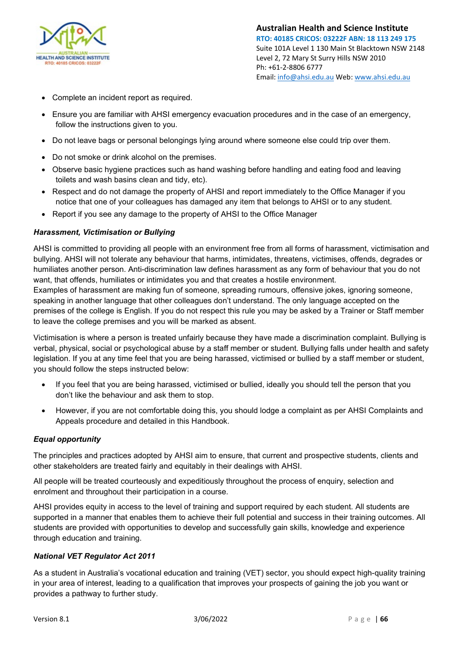

- Complete an incident report as required.
- Ensure you are familiar with AHSI emergency evacuation procedures and in the case of an emergency, follow the instructions given to you.
- Do not leave bags or personal belongings lying around where someone else could trip over them.
- Do not smoke or drink alcohol on the premises.
- Observe basic hygiene practices such as hand washing before handling and eating food and leaving toilets and wash basins clean and tidy, etc).
- Respect and do not damage the property of AHSI and report immediately to the Office Manager if you notice that one of your colleagues has damaged any item that belongs to AHSI or to any student.
- Report if you see any damage to the property of AHSI to the Office Manager

## *Harassment, Victimisation or Bullying*

AHSI is committed to providing all people with an environment free from all forms of harassment, victimisation and bullying. AHSI will not tolerate any behaviour that harms, intimidates, threatens, victimises, offends, degrades or humiliates another person. Anti-discrimination law defines harassment as any form of behaviour that you do not want, that offends, humiliates or intimidates you and that creates a hostile environment.

Examples of harassment are making fun of someone, spreading rumours, offensive jokes, ignoring someone, speaking in another language that other colleagues don't understand. The only language accepted on the premises of the college is English. If you do not respect this rule you may be asked by a Trainer or Staff member to leave the college premises and you will be marked as absent.

Victimisation is where a person is treated unfairly because they have made a discrimination complaint. Bullying is verbal, physical, social or psychological abuse by a staff member or student. Bullying falls under health and safety legislation. If you at any time feel that you are being harassed, victimised or bullied by a staff member or student, you should follow the steps instructed below:

- If you feel that you are being harassed, victimised or bullied, ideally you should tell the person that you don't like the behaviour and ask them to stop.
- However, if you are not comfortable doing this, you should lodge a complaint as per AHSI Complaints and Appeals procedure and detailed in this Handbook.

## *Equal opportunity*

The principles and practices adopted by AHSI aim to ensure, that current and prospective students, clients and other stakeholders are treated fairly and equitably in their dealings with AHSI.

All people will be treated courteously and expeditiously throughout the process of enquiry, selection and enrolment and throughout their participation in a course.

AHSI provides equity in access to the level of training and support required by each student. All students are supported in a manner that enables them to achieve their full potential and success in their training outcomes. All students are provided with opportunities to develop and successfully gain skills, knowledge and experience through education and training.

## *National VET Regulator Act 2011*

As a student in Australia's vocational education and training (VET) sector, you should expect high-quality training in your area of interest, leading to a qualification that improves your prospects of gaining the job you want or provides a pathway to further study.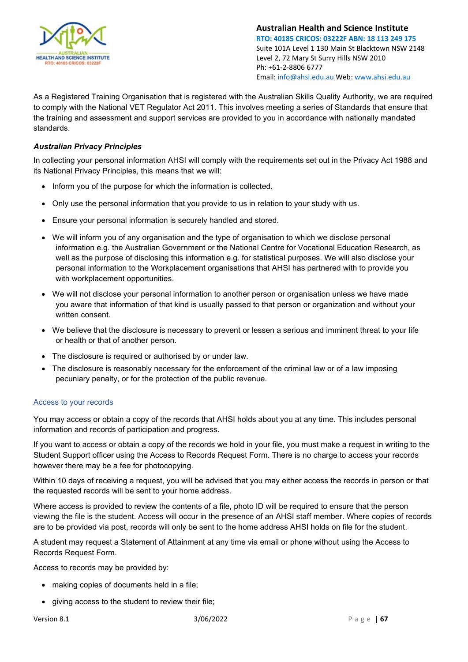

As a Registered Training Organisation that is registered with the Australian Skills Quality Authority, we are required to comply with the National VET Regulator Act 2011. This involves meeting a series of Standards that ensure that the training and assessment and support services are provided to you in accordance with nationally mandated standards.

## *Australian Privacy Principles*

In collecting your personal information AHSI will comply with the requirements set out in the Privacy Act 1988 and its National Privacy Principles, this means that we will:

- Inform you of the purpose for which the information is collected.
- Only use the personal information that you provide to us in relation to your study with us.
- Ensure your personal information is securely handled and stored.
- We will inform you of any organisation and the type of organisation to which we disclose personal information e.g. the Australian Government or the National Centre for Vocational Education Research, as well as the purpose of disclosing this information e.g. for statistical purposes. We will also disclose your personal information to the Workplacement organisations that AHSI has partnered with to provide you with workplacement opportunities.
- We will not disclose your personal information to another person or organisation unless we have made you aware that information of that kind is usually passed to that person or organization and without your written consent.
- We believe that the disclosure is necessary to prevent or lessen a serious and imminent threat to your life or health or that of another person.
- The disclosure is required or authorised by or under law.
- The disclosure is reasonably necessary for the enforcement of the criminal law or of a law imposing pecuniary penalty, or for the protection of the public revenue.

## Access to your records

You may access or obtain a copy of the records that AHSI holds about you at any time. This includes personal information and records of participation and progress.

If you want to access or obtain a copy of the records we hold in your file, you must make a request in writing to the Student Support officer using the Access to Records Request Form. There is no charge to access your records however there may be a fee for photocopying.

Within 10 days of receiving a request, you will be advised that you may either access the records in person or that the requested records will be sent to your home address.

Where access is provided to review the contents of a file, photo ID will be required to ensure that the person viewing the file is the student. Access will occur in the presence of an AHSI staff member. Where copies of records are to be provided via post, records will only be sent to the home address AHSI holds on file for the student.

A student may request a Statement of Attainment at any time via email or phone without using the Access to Records Request Form.

Access to records may be provided by:

- making copies of documents held in a file;
- giving access to the student to review their file;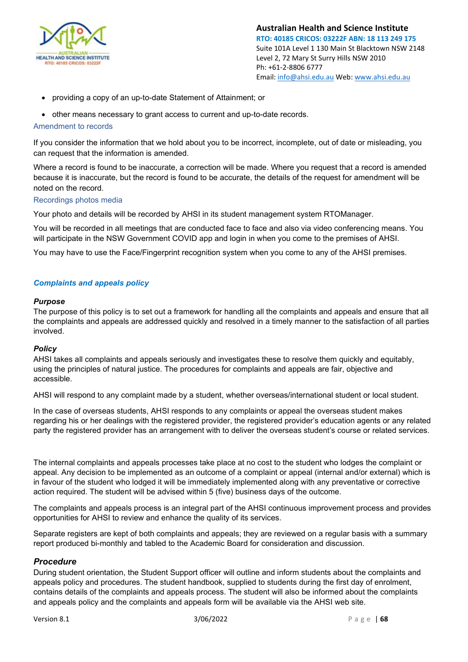

- providing a copy of an up-to-date Statement of Attainment; or
- other means necessary to grant access to current and up-to-date records.

### Amendment to records

If you consider the information that we hold about you to be incorrect, incomplete, out of date or misleading, you can request that the information is amended.

Where a record is found to be inaccurate, a correction will be made. Where you request that a record is amended because it is inaccurate, but the record is found to be accurate, the details of the request for amendment will be noted on the record.

### Recordings photos media

Your photo and details will be recorded by AHSI in its student management system RTOManager.

You will be recorded in all meetings that are conducted face to face and also via video conferencing means. You will participate in the NSW Government COVID app and login in when you come to the premises of AHSI.

You may have to use the Face/Fingerprint recognition system when you come to any of the AHSI premises.

## *Complaints and appeals policy*

#### *Purpose*

The purpose of this policy is to set out a framework for handling all the complaints and appeals and ensure that all the complaints and appeals are addressed quickly and resolved in a timely manner to the satisfaction of all parties involved.

### *Policy*

AHSI takes all complaints and appeals seriously and investigates these to resolve them quickly and equitably, using the principles of natural justice. The procedures for complaints and appeals are fair, objective and accessible.

AHSI will respond to any complaint made by a student, whether overseas/international student or local student.

In the case of overseas students, AHSI responds to any complaints or appeal the overseas student makes regarding his or her dealings with the registered provider, the registered provider's education agents or any related party the registered provider has an arrangement with to deliver the overseas student's course or related services.

The internal complaints and appeals processes take place at no cost to the student who lodges the complaint or appeal. Any decision to be implemented as an outcome of a complaint or appeal (internal and/or external) which is in favour of the student who lodged it will be immediately implemented along with any preventative or corrective action required. The student will be advised within 5 (five) business days of the outcome.

The complaints and appeals process is an integral part of the AHSI continuous improvement process and provides opportunities for AHSI to review and enhance the quality of its services.

Separate registers are kept of both complaints and appeals; they are reviewed on a regular basis with a summary report produced bi-monthly and tabled to the Academic Board for consideration and discussion.

### *Procedure*

During student orientation, the Student Support officer will outline and inform students about the complaints and appeals policy and procedures. The student handbook, supplied to students during the first day of enrolment, contains details of the complaints and appeals process. The student will also be informed about the complaints and appeals policy and the complaints and appeals form will be available via the AHSI web site.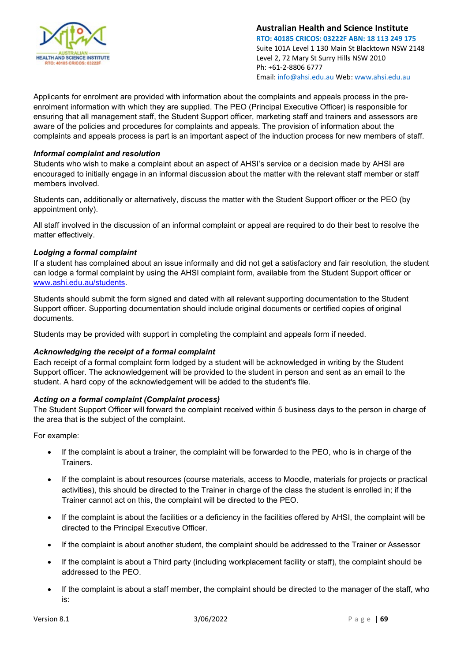

Applicants for enrolment are provided with information about the complaints and appeals process in the preenrolment information with which they are supplied. The PEO (Principal Executive Officer) is responsible for ensuring that all management staff, the Student Support officer, marketing staff and trainers and assessors are aware of the policies and procedures for complaints and appeals. The provision of information about the complaints and appeals process is part is an important aspect of the induction process for new members of staff.

## *Informal complaint and resolution*

Students who wish to make a complaint about an aspect of AHSI's service or a decision made by AHSI are encouraged to initially engage in an informal discussion about the matter with the relevant staff member or staff members involved.

Students can, additionally or alternatively, discuss the matter with the Student Support officer or the PEO (by appointment only).

All staff involved in the discussion of an informal complaint or appeal are required to do their best to resolve the matter effectively.

## *Lodging a formal complaint*

If a student has complained about an issue informally and did not get a satisfactory and fair resolution, the student can lodge a formal complaint by using the AHSI complaint form, available from the Student Support officer or [www.ashi.edu.au/students.](http://www.ashi.edu.au/students) 

Students should submit the form signed and dated with all relevant supporting documentation to the Student Support officer. Supporting documentation should include original documents or certified copies of original documents.

Students may be provided with support in completing the complaint and appeals form if needed.

## *Acknowledging the receipt of a formal complaint*

Each receipt of a formal complaint form lodged by a student will be acknowledged in writing by the Student Support officer. The acknowledgement will be provided to the student in person and sent as an email to the student. A hard copy of the acknowledgement will be added to the student's file.

## *Acting on a formal complaint (Complaint process)*

The Student Support Officer will forward the complaint received within 5 business days to the person in charge of the area that is the subject of the complaint.

For example:

- If the complaint is about a trainer, the complaint will be forwarded to the PEO, who is in charge of the **Trainers**
- If the complaint is about resources (course materials, access to Moodle, materials for projects or practical activities), this should be directed to the Trainer in charge of the class the student is enrolled in; if the Trainer cannot act on this, the complaint will be directed to the PEO.
- If the complaint is about the facilities or a deficiency in the facilities offered by AHSI, the complaint will be directed to the Principal Executive Officer.
- If the complaint is about another student, the complaint should be addressed to the Trainer or Assessor
- If the complaint is about a Third party (including workplacement facility or staff), the complaint should be addressed to the PEO.
- If the complaint is about a staff member, the complaint should be directed to the manager of the staff, who is: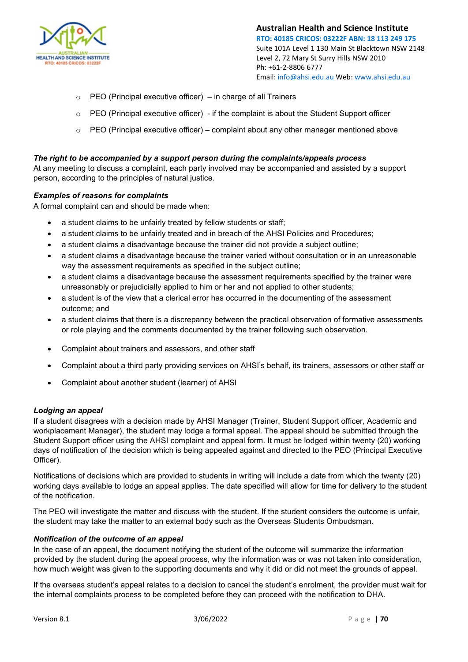

- $\circ$  PEO (Principal executive officer) in charge of all Trainers
- $\circ$  PEO (Principal executive officer) if the complaint is about the Student Support officer
- $\circ$  PEO (Principal executive officer) complaint about any other manager mentioned above

### *The right to be accompanied by a support person during the complaints/appeals process*

At any meeting to discuss a complaint, each party involved may be accompanied and assisted by a support person, according to the principles of natural justice.

### *Examples of reasons for complaints*

A formal complaint can and should be made when:

- a student claims to be unfairly treated by fellow students or staff:
- a student claims to be unfairly treated and in breach of the AHSI Policies and Procedures;
- a student claims a disadvantage because the trainer did not provide a subject outline;
- a student claims a disadvantage because the trainer varied without consultation or in an unreasonable way the assessment requirements as specified in the subject outline;
- a student claims a disadvantage because the assessment requirements specified by the trainer were unreasonably or prejudicially applied to him or her and not applied to other students;
- a student is of the view that a clerical error has occurred in the documenting of the assessment outcome; and
- a student claims that there is a discrepancy between the practical observation of formative assessments or role playing and the comments documented by the trainer following such observation.
- Complaint about trainers and assessors, and other staff
- Complaint about a third party providing services on AHSI's behalf, its trainers, assessors or other staff or
- Complaint about another student (learner) of AHSI

### *Lodging an appeal*

If a student disagrees with a decision made by AHSI Manager (Trainer, Student Support officer, Academic and workplacement Manager), the student may lodge a formal appeal. The appeal should be submitted through the Student Support officer using the AHSI complaint and appeal form. It must be lodged within twenty (20) working days of notification of the decision which is being appealed against and directed to the PEO (Principal Executive Officer).

Notifications of decisions which are provided to students in writing will include a date from which the twenty (20) working days available to lodge an appeal applies. The date specified will allow for time for delivery to the student of the notification.

The PEO will investigate the matter and discuss with the student. If the student considers the outcome is unfair, the student may take the matter to an external body such as the Overseas Students Ombudsman.

## *Notification of the outcome of an appeal*

In the case of an appeal, the document notifying the student of the outcome will summarize the information provided by the student during the appeal process, why the information was or was not taken into consideration, how much weight was given to the supporting documents and why it did or did not meet the grounds of appeal.

If the overseas student's appeal relates to a decision to cancel the student's enrolment, the provider must wait for the internal complaints process to be completed before they can proceed with the notification to DHA.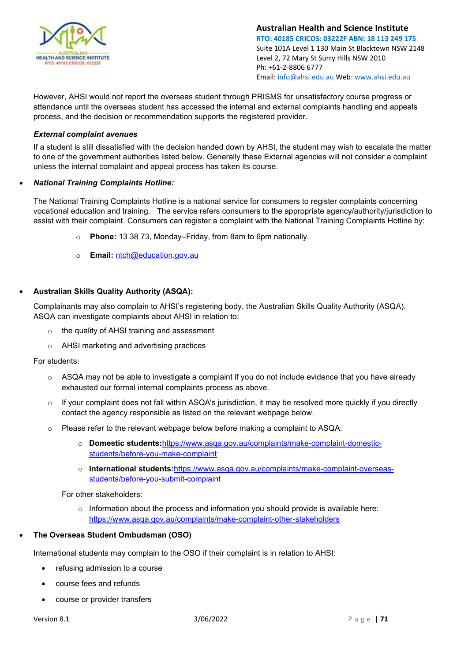

However, AHSI would not report the overseas student through PRISMS for unsatisfactory course progress or attendance until the overseas student has accessed the internal and external complaints handling and appeals process, and the decision or recommendation supports the registered provider.

### *External complaint avenues*

If a student is still dissatisfied with the decision handed down by AHSI, the student may wish to escalate the matter to one of the government authorities listed below. Generally these External agencies will not consider a complaint unless the internal complaint and appeal process has taken its course.

### • *National Training Complaints Hotline:*

The National Training Complaints Hotline is a national service for consumers to register complaints concerning vocational education and training. The service refers consumers to the appropriate agency/authority/jurisdiction to assist with their complaint. Consumers can register a complaint with the National Training Complaints Hotline by:

- o **Phone:** 13 38 73, Monday–Friday, from 8am to 6pm nationally.
- o **Email:** [ntch@education.gov.au](mailto:ntch@education.gov.au)

### • **Australian Skills Quality Authority (ASQA):**

Complainants may also complain to AHSI's registering body, the Australian Skills Quality Authority (ASQA). ASQA can investigate complaints about AHSI in relation to:

- o the quality of AHSI training and assessment
- o AHSI marketing and advertising practices

For students:

- ASQA may not be able to investigate a complaint if you do not include evidence that you have already exhausted our formal internal complaints process as above.
- $\circ$  If your complaint does not fall within ASQA's jurisdiction, it may be resolved more quickly if you directly contact the agency responsible as listed on the relevant webpage below.
- $\circ$  Please refer to the relevant webpage below before making a complaint to ASQA:
	- o **Domestic students:**[https://www.asqa.gov.au/complaints/make-complaint-domestic](https://www.asqa.gov.au/complaints/make-complaint-domestic-students/before-you-make-complaint)[students/before-you-make-complaint](https://www.asqa.gov.au/complaints/make-complaint-domestic-students/before-you-make-complaint)
	- o **International students:**[https://www.asqa.gov.au/complaints/make-complaint-overseas](https://www.asqa.gov.au/complaints/make-complaint-overseas-students/before-you-submit-complaint)[students/before-you-submit-complaint](https://www.asqa.gov.au/complaints/make-complaint-overseas-students/before-you-submit-complaint)

For other stakeholders:

 $\circ$  Information about the process and information you should provide is available here: <https://www.asqa.gov.au/complaints/make-complaint-other-stakeholders>

## • **The Overseas Student Ombudsman (OSO)**

International students may complain to the OSO if their complaint is in relation to AHSI:

- refusing admission to a course
- course fees and refunds
- course or provider transfers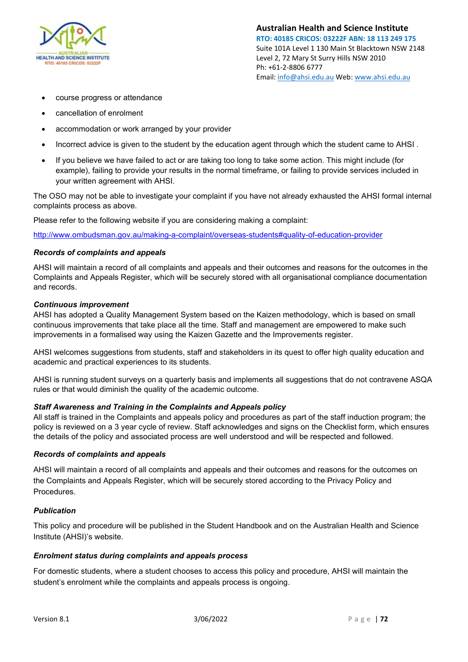

- course progress or attendance
- cancellation of enrolment
- accommodation or work arranged by your provider
- Incorrect advice is given to the student by the education agent through which the student came to AHSI .
- If you believe we have failed to act or are taking too long to take some action. This might include (for example), failing to provide your results in the normal timeframe, or failing to provide services included in your written agreement with AHSI.

The OSO may not be able to investigate your complaint if you have not already exhausted the AHSI formal internal complaints process as above.

Please refer to the following website if you are considering making a complaint:

<http://www.ombudsman.gov.au/making-a-complaint/overseas-students#quality-of-education-provider>

### *Records of complaints and appeals*

AHSI will maintain a record of all complaints and appeals and their outcomes and reasons for the outcomes in the Complaints and Appeals Register, which will be securely stored with all organisational compliance documentation and records.

#### *Continuous improvement*

AHSI has adopted a Quality Management System based on the Kaizen methodology, which is based on small continuous improvements that take place all the time. Staff and management are empowered to make such improvements in a formalised way using the Kaizen Gazette and the Improvements register.

AHSI welcomes suggestions from students, staff and stakeholders in its quest to offer high quality education and academic and practical experiences to its students.

AHSI is running student surveys on a quarterly basis and implements all suggestions that do not contravene ASQA rules or that would diminish the quality of the academic outcome.

### *Staff Awareness and Training in the Complaints and Appeals policy*

All staff is trained in the Complaints and appeals policy and procedures as part of the staff induction program; the policy is reviewed on a 3 year cycle of review. Staff acknowledges and signs on the Checklist form, which ensures the details of the policy and associated process are well understood and will be respected and followed.

### *Records of complaints and appeals*

AHSI will maintain a record of all complaints and appeals and their outcomes and reasons for the outcomes on the Complaints and Appeals Register, which will be securely stored according to the Privacy Policy and Procedures.

### *Publication*

This policy and procedure will be published in the Student Handbook and on the Australian Health and Science Institute (AHSI)'s website.

### *Enrolment status during complaints and appeals process*

For domestic students, where a student chooses to access this policy and procedure, AHSI will maintain the student's enrolment while the complaints and appeals process is ongoing.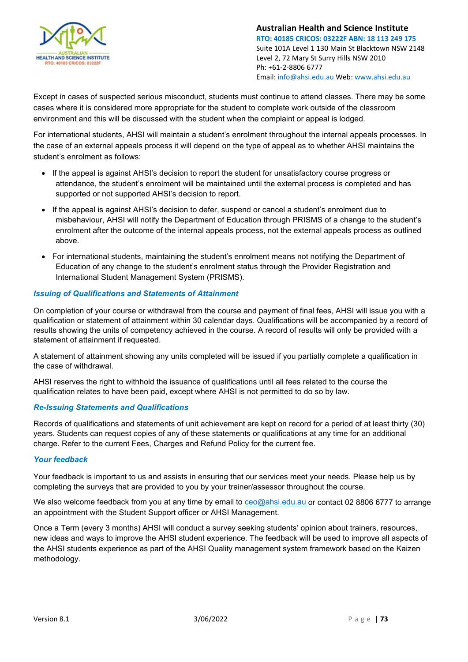

**Australian Health and Science Institute RTO: 40185 CRICOS: 03222F ABN: 18 113 249 175** Suite 101A Level 1 130 Main St Blacktown NSW 2148 Level 2, 72 Mary St Surry Hills NSW 2010 Ph: +61-2-8806 6777 Email[: info@ahsi.edu.au](mailto:info@ahsi.edu.au) Web[: www.ahsi.edu.au](http://www.ahsi.edu.au/)

Except in cases of suspected serious misconduct, students must continue to attend classes. There may be some cases where it is considered more appropriate for the student to complete work outside of the classroom environment and this will be discussed with the student when the complaint or appeal is lodged.

For international students, AHSI will maintain a student's enrolment throughout the internal appeals processes. In the case of an external appeals process it will depend on the type of appeal as to whether AHSI maintains the student's enrolment as follows:

- If the appeal is against AHSI's decision to report the student for unsatisfactory course progress or attendance, the student's enrolment will be maintained until the external process is completed and has supported or not supported AHSI's decision to report.
- If the appeal is against AHSI's decision to defer, suspend or cancel a student's enrolment due to misbehaviour, AHSI will notify the Department of Education through PRISMS of a change to the student's enrolment after the outcome of the internal appeals process, not the external appeals process as outlined above.
- For international students, maintaining the student's enrolment means not notifying the Department of Education of any change to the student's enrolment status through the Provider Registration and International Student Management System (PRISMS).

### *Issuing of Qualifications and Statements of Attainment*

On completion of your course or withdrawal from the course and payment of final fees, AHSI will issue you with a qualification or statement of attainment within 30 calendar days. Qualifications will be accompanied by a record of results showing the units of competency achieved in the course. A record of results will only be provided with a statement of attainment if requested.

A statement of attainment showing any units completed will be issued if you partially complete a qualification in the case of withdrawal.

AHSI reserves the right to withhold the issuance of qualifications until all fees related to the course the qualification relates to have been paid, except where AHSI is not permitted to do so by law.

#### *Re-Issuing Statements and Qualifications*

Records of qualifications and statements of unit achievement are kept on record for a period of at least thirty (30) years. Students can request copies of any of these statements or qualifications at any time for an additional charge. Refer to the current Fees, Charges and Refund Policy for the current fee.

#### *Your feedback*

Your feedback is important to us and assists in ensuring that our services meet your needs. Please help us by completing the surveys that are provided to you by your trainer/assessor throughout the course.

We also welcome feedback from you at any time by email to [ceo@ahsi.edu.au o](mailto:ceo@ahsi.edu.au)r contact 02 8806 6777 to arrange an appointment with the Student Support officer or AHSI Management.

Once a Term (every 3 months) AHSI will conduct a survey seeking students' opinion about trainers, resources, new ideas and ways to improve the AHSI student experience. The feedback will be used to improve all aspects of the AHSI students experience as part of the AHSI Quality management system framework based on the Kaizen methodology.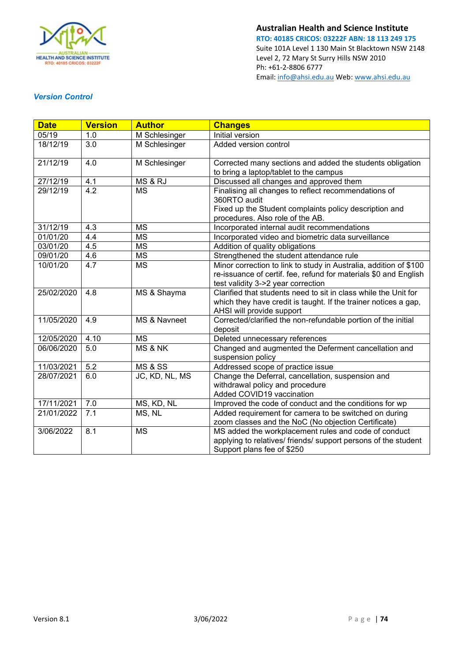

**Australian Health and Science Institute**

**RTO: 40185 CRICOS: 03222F ABN: 18 113 249 175** Suite 101A Level 1 130 Main St Blacktown NSW 2148 Level 2, 72 Mary St Surry Hills NSW 2010 Ph: +61-2-8806 6777 Email[: info@ahsi.edu.au](mailto:info@ahsi.edu.au) Web[: www.ahsi.edu.au](http://www.ahsi.edu.au/)

## *Version Control*

| <b>Date</b> | <b>Version</b>   | <b>Author</b>          | <b>Changes</b>                                                    |  |  |  |
|-------------|------------------|------------------------|-------------------------------------------------------------------|--|--|--|
| 05/19       | 1.0              | M Schlesinger          | Initial version                                                   |  |  |  |
| 18/12/19    | 3.0              | M Schlesinger          | Added version control                                             |  |  |  |
|             |                  |                        |                                                                   |  |  |  |
| 21/12/19    | 4.0              | M Schlesinger          | Corrected many sections and added the students obligation         |  |  |  |
|             |                  |                        | to bring a laptop/tablet to the campus                            |  |  |  |
| 27/12/19    | 4.1              | MS & RJ                | Discussed all changes and approved them                           |  |  |  |
| 29/12/19    | $\overline{4.2}$ | $\overline{\text{MS}}$ | Finalising all changes to reflect recommendations of              |  |  |  |
|             |                  |                        | 360RTO audit                                                      |  |  |  |
|             |                  |                        | Fixed up the Student complaints policy description and            |  |  |  |
|             |                  |                        | procedures. Also role of the AB.                                  |  |  |  |
| 31/12/19    | 4.3              | <b>MS</b>              | Incorporated internal audit recommendations                       |  |  |  |
| 01/01/20    | 4.4              | <b>MS</b>              | Incorporated video and biometric data surveillance                |  |  |  |
| 03/01/20    | 4.5              | <b>MS</b>              | Addition of quality obligations                                   |  |  |  |
| 09/01/20    | 4.6              | <b>MS</b>              | Strengthened the student attendance rule                          |  |  |  |
| 10/01/20    | 4.7              | <b>MS</b>              | Minor correction to link to study in Australia, addition of \$100 |  |  |  |
|             |                  |                        | re-issuance of certif. fee, refund for materials \$0 and English  |  |  |  |
|             |                  |                        | test validity 3->2 year correction                                |  |  |  |
| 25/02/2020  | 4.8              | MS & Shayma            | Clarified that students need to sit in class while the Unit for   |  |  |  |
|             |                  |                        | which they have credit is taught. If the trainer notices a gap,   |  |  |  |
|             |                  |                        | AHSI will provide support                                         |  |  |  |
| 11/05/2020  | 4.9              | MS & Navneet           | Corrected/clarified the non-refundable portion of the initial     |  |  |  |
|             |                  |                        | deposit                                                           |  |  |  |
| 12/05/2020  | 4.10             | <b>MS</b>              | Deleted unnecessary references                                    |  |  |  |
| 06/06/2020  | 5.0              | <b>MS &amp; NK</b>     | Changed and augmented the Deferment cancellation and              |  |  |  |
|             |                  |                        | suspension policy                                                 |  |  |  |
| 11/03/2021  | $\overline{5.2}$ | <b>MS &amp; SS</b>     | Addressed scope of practice issue                                 |  |  |  |
| 28/07/2021  | 6.0              | JC, KD, NL, MS         | Change the Deferral, cancellation, suspension and                 |  |  |  |
|             |                  |                        | withdrawal policy and procedure                                   |  |  |  |
|             |                  |                        | Added COVID19 vaccination                                         |  |  |  |
| 17/11/2021  | 7.0              | MS, KD, NL             | Improved the code of conduct and the conditions for wp            |  |  |  |
| 21/01/2022  | 7.1              | MS, NL                 | Added requirement for camera to be switched on during             |  |  |  |
|             |                  |                        | zoom classes and the NoC (No objection Certificate)               |  |  |  |
| 3/06/2022   | 8.1              | <b>MS</b>              | MS added the workplacement rules and code of conduct              |  |  |  |
|             |                  |                        | applying to relatives/ friends/ support persons of the student    |  |  |  |
|             |                  |                        | Support plans fee of \$250                                        |  |  |  |